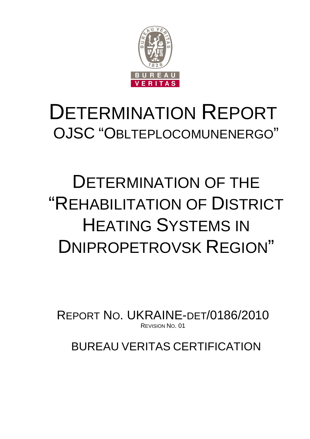

## DETERMINATION REPORT OJSC "OBLTEPLOCOMUNENERGO"

## DETERMINATION OF THE "REHABILITATION OF DISTRICT HEATING SYSTEMS IN DNIPROPETROVSK REGION"

REPORT NO. UKRAINE-DET/0186/2010 REVISION NO. 01

BUREAU VERITAS CERTIFICATION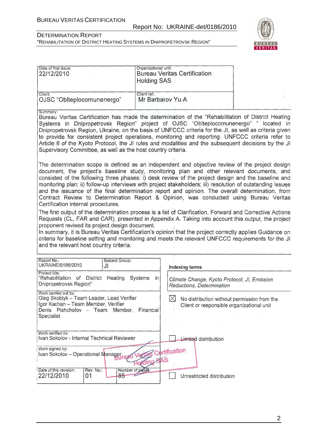#### Report No: UKRAINE-det/0186/2010

## BUREAU VERITAS

#### DETERMINATION REPORT "REHABILITATION OF DISTRICT HEATING SYSTEMS IN DNIPROPETROVSK REGION"

| Date of first issue:<br>22/12/2010                                                                                                                                                                                                                                                                                                                                                                                                                                                                                                                                                                                                                 | Organizational unit:<br><b>Bureau Veritas Certification</b><br>Holding SAS |                |                             |                                                                                                      |
|----------------------------------------------------------------------------------------------------------------------------------------------------------------------------------------------------------------------------------------------------------------------------------------------------------------------------------------------------------------------------------------------------------------------------------------------------------------------------------------------------------------------------------------------------------------------------------------------------------------------------------------------------|----------------------------------------------------------------------------|----------------|-----------------------------|------------------------------------------------------------------------------------------------------|
| Client:<br>OJSC "Oblteplocomunenergo"                                                                                                                                                                                                                                                                                                                                                                                                                                                                                                                                                                                                              | Client ref.:<br>Mr Barbarov Yu.A                                           |                |                             |                                                                                                      |
| Summary:<br>Bureau Veritas Certification has made the determination of the "Rehabilitation of District Heating<br>Systems in Dnipropetrovsk Region" project of OJSC "Oblteplocomunenergo" " located in<br>Dnipropetrovsk Region, Ukraine, on the basis of UNFCCC criteria for the JI, as well as criteria given<br>to provide for consistent project operations, monitoring and reporting. UNFCCC criteria refer to<br>Article 6 of the Kyoto Protocol, the JI rules and modalities and the subsequent decisions by the JI<br>Supervisory Committee, as well as the host country criteria.                                                         |                                                                            |                |                             |                                                                                                      |
| The determination scope is defined as an independent and objective review of the project design<br>document, the project's baseline study, monitoring plan and other relevant documents, and<br>consisted of the following three phases: i) desk review of the project design and the baseline and<br>monitoring plan; ii) follow-up interviews with project stakeholders; iii) resolution of outstanding issues<br>and the issuance of the final determination report and opinion. The overall determination, from<br>Contract Review to Determination Report & Opinion, was conducted using Bureau Veritas<br>Certification internal procedures. |                                                                            |                |                             |                                                                                                      |
| The first output of the determination process is a list of Clarification, Forward and Corrective Actions<br>Requests (CL, FAR and CAR), presented in Appendix A. Taking into account this output, the project<br>proponent revised its project design document.<br>In summary, it is Bureau Veritas Certification's opinion that the project correctly applies Guidance on<br>criteria for baseline setting and monitoring and meets the relevant UNFCCC requirements for the JI<br>and the relevant host country criteria.                                                                                                                        |                                                                            |                |                             |                                                                                                      |
| Report No.:<br>Subject Group:<br>UKRAINE/0186/2010<br>JI                                                                                                                                                                                                                                                                                                                                                                                                                                                                                                                                                                                           |                                                                            |                |                             |                                                                                                      |
| Project title:<br>"Rehabilitation of District<br>Heating<br>Dnipropetrovsk Region"                                                                                                                                                                                                                                                                                                                                                                                                                                                                                                                                                                 | Systems<br>in                                                              | Indexing terms | Reductions, Determination   | Climate Change, Kyoto Protocol, JI, Emission                                                         |
| Work carried out by:<br>Oleg Skoblyk - Team Leader, Lead Verifier<br>Igor Kachan - Team Member, Verifier<br>Denis Pishchalov - Team Member,<br>Specialist                                                                                                                                                                                                                                                                                                                                                                                                                                                                                          | Financial                                                                  |                |                             | $\boxtimes$ No distribution without permission from the<br>Client or responsible organizational unit |
|                                                                                                                                                                                                                                                                                                                                                                                                                                                                                                                                                                                                                                                    |                                                                            |                |                             |                                                                                                      |
| Work verified by:<br>Ivan Sokolov - Internal Technical Reviewer                                                                                                                                                                                                                                                                                                                                                                                                                                                                                                                                                                                    |                                                                            |                | <b>Limited distribution</b> |                                                                                                      |
| Work signed by:<br>Ivan Sokolov - Operational Manager                                                                                                                                                                                                                                                                                                                                                                                                                                                                                                                                                                                              | VeO<br>ding SAS                                                            | Certification  |                             |                                                                                                      |
| Date of this revision:<br>Rev. No.:<br>$85 -$<br>22/12/2010<br>01                                                                                                                                                                                                                                                                                                                                                                                                                                                                                                                                                                                  | Number of pages:                                                           |                | Unrestricted distribution   |                                                                                                      |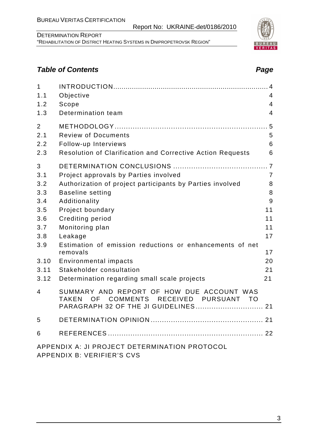APPENDIX B: VERIFIER'S CVS

DETERMINATION REPORT "REHABILITATION OF DISTRICT HEATING SYSTEMS IN DNIPROPETROVSK REGION"

Report No: UKRAINE-det/0186/2010

#### **Table of Contents Page 2018**

| $\mathbf{1}$   |                                                                                                    |                |
|----------------|----------------------------------------------------------------------------------------------------|----------------|
| 1.1            | Objective                                                                                          | $\overline{4}$ |
| 1.2            | Scope                                                                                              | $\overline{4}$ |
| 1.3            | Determination team                                                                                 | $\overline{4}$ |
| $\overline{2}$ |                                                                                                    |                |
| 2.1            | <b>Review of Documents</b>                                                                         | 5              |
| 2.2            | Follow-up Interviews                                                                               | 6              |
| 2.3            | Resolution of Clarification and Corrective Action Requests                                         | 6              |
| 3              |                                                                                                    |                |
| 3.1            | Project approvals by Parties involved                                                              | $\overline{7}$ |
| 3.2            | Authorization of project participants by Parties involved                                          | 8              |
| 3.3            | <b>Baseline setting</b>                                                                            | 8              |
| 3.4            | Additionality                                                                                      | 9              |
| 3.5            | Project boundary                                                                                   | 11             |
| 3.6            | <b>Crediting period</b>                                                                            | 11             |
| 3.7            | Monitoring plan                                                                                    | 11             |
| 3.8            | Leakage                                                                                            | 17             |
| 3.9            | Estimation of emission reductions or enhancements of net                                           | 17             |
|                | removals                                                                                           |                |
| 3.10           | <b>Environmental impacts</b>                                                                       | 20             |
| 3.11           | Stakeholder consultation                                                                           | 21             |
| 3.12           | Determination regarding small scale projects                                                       | 21             |
| $\overline{4}$ | SUMMARY AND REPORT OF HOW DUE ACCOUNT WAS<br>COMMENTS RECEIVED PURSUANT TO<br><b>TAKEN</b><br>OF a |                |
|                | PARAGRAPH 32 OF THE JI GUIDELINES 21                                                               |                |
| 5              |                                                                                                    |                |
| 6              |                                                                                                    |                |
|                | APPENDIX A: JI PROJECT DETERMINATION PROTOCOL                                                      |                |

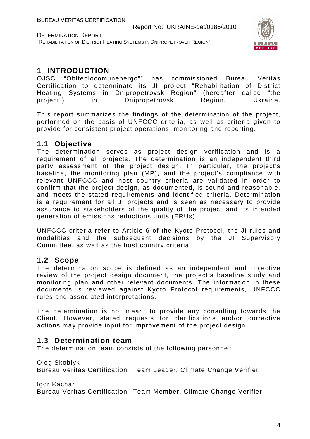

DETERMINATION REPORT "REHABILITATION OF DISTRICT HEATING SYSTEMS IN DNIPROPETROVSK REGION"

#### **1 INTRODUCTION**

OJSC "Oblteplocomunenergo"" has commissioned Bureau Veritas Certification to determinate its JI project "Rehabilitation of District Heating Systems in Dnipropetrovsk Region" (hereafter called "the project") in Dnipropetrovsk Region, Ukraine.

This report summarizes the findings of the determination of the project, performed on the basis of UNFCCC criteria, as well as criteria given to provide for consistent project operations, monitoring and reporting.

#### **1.1 Objective**

The determination serves as project design verification and is a requirement of all projects. The determination is an independent third party assessment of the project design. In particular, the project's baseline, the monitoring plan (MP), and the project's compliance with relevant UNFCCC and host country criteria are validated in order to confirm that the project design, as documented, is sound and reasonable, and meets the stated requirements and identified criteria. Determination is a requirement for all JI projects and is seen as necessary to provide assurance to stakeholders of the quality of the project and its intended generation of emissions reductions units (ERUs).

UNFCCC criteria refer to Article 6 of the Kyoto Protocol, the JI rules and modalities and the subsequent decisions by the JI Supervisory Committee, as well as the host country criteria.

#### **1.2 Scope**

The determination scope is defined as an independent and objective review of the project design document, the project's baseline study and monitoring plan and other relevant documents. The information in these documents is reviewed against Kyoto Protocol requirements, UNFCCC rules and associated interpretations.

The determination is not meant to provide any consulting towards the Client. However, stated requests for clarifications and/or corrective actions may provide input for improvement of the project design.

#### **1.3 Determination team**

The determination team consists of the following personnel:

Oleg Skoblyk

Bureau Veritas Certification Team Leader, Climate Change Verifier

Igor Kachan

Bureau Veritas Certification Team Member, Climate Change Verifier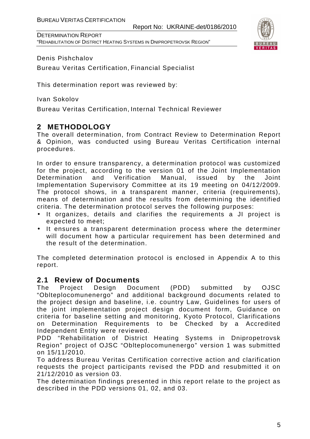DETERMINATION REPORT "REHABILITATION OF DISTRICT HEATING SYSTEMS IN DNIPROPETROVSK REGION"



#### Denis Pishchalov

Bureau Veritas Certification, Financial Specialist

This determination report was reviewed by:

Ivan Sokolov

Bureau Veritas Certification, Internal Technical Reviewer

#### **2 METHODOLOGY**

The overall determination, from Contract Review to Determination Report & Opinion, was conducted using Bureau Veritas Certification internal procedures.

In order to ensure transparency, a determination protocol was customized for the project, according to the version 01 of the Joint Implementation Determination and Verification Manual, issued by the Joint Implementation Supervisory Committee at its 19 meeting on 04/12/2009. The protocol shows, in a transparent manner, criteria (requirements), means of determination and the results from determining the identified criteria. The determination protocol serves the following purposes:

- It organizes, details and clarifies the requirements a JI project is expected to meet;
- It ensures a transparent determination process where the determiner will document how a particular requirement has been determined and the result of the determination.

The completed determination protocol is enclosed in Appendix A to this report.

#### **2.1 Review of Documents**

The Project Design Document (PDD) submitted by OJSC "Oblteplocomunenergo" and additional background documents related to the project design and baseline, i.e. country Law, Guidelines for users of the joint implementation project design document form, Guidance on criteria for baseline setting and monitoring, Kyoto Protocol, Clarifications on Determination Requirements to be Checked by a Accredited Independent Entity were reviewed.

PDD "Rehabilitation of District Heating Systems in Dnipropetrovsk Region" project of OJSC "Oblteplocomunenergo" version 1 was submitted on 15/11/2010.

To address Bureau Veritas Certification corrective action and clarification requests the project participants revised the PDD and resubmitted it on 21/12/2010 as version 03.

The determination findings presented in this report relate to the project as described in the PDD versions 01, 02, and 03.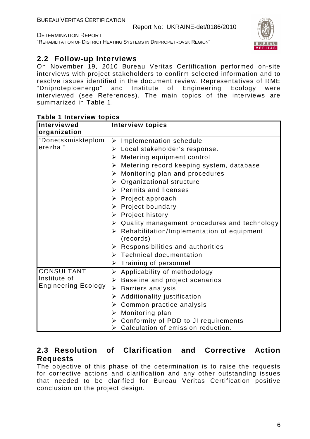"REHABILITATION OF DISTRICT HEATING SYSTEMS IN DNIPROPETROVSK REGION"



#### **2.2 Follow-up Interviews**

On November 19, 2010 Bureau Veritas Certification performed on-site interviews with project stakeholders to confirm selected information and to resolve issues identified in the document review. Representatives of RME "Dniproteploenergo" and Institute of Engineering Ecology were interviewed (see References). The main topics of the interviews are summarized in Table 1.

| <b>Interviewed</b>         | <b>Interview topics</b>                                   |
|----------------------------|-----------------------------------------------------------|
| organization               |                                                           |
| "Donetskmiskteplom         | $\triangleright$ Implementation schedule                  |
| erezha"                    | $\triangleright$ Local stakeholder's response.            |
|                            | $\triangleright$ Metering equipment control               |
|                            | $\triangleright$ Metering record keeping system, database |
|                            | Monitoring plan and procedures<br>➤                       |
|                            | Organizational structure<br>➤                             |
|                            | $\triangleright$ Permits and licenses                     |
|                            | $\triangleright$ Project approach                         |
|                            | $\triangleright$ Project boundary                         |
|                            | $\triangleright$ Project history                          |
|                            | Quality management procedures and technology<br>≻         |
|                            | Rehabilitation/Implementation of equipment<br>≻           |
|                            | (records)                                                 |
|                            | $\triangleright$ Responsibilities and authorities         |
|                            | $\triangleright$ Technical documentation                  |
|                            | Training of personnel<br>➤                                |
| <b>CONSULTANT</b>          | $\triangleright$ Applicability of methodology             |
| Institute of               | Baseline and project scenarios<br>➤                       |
| <b>Engineering Ecology</b> | <b>Barriers analysis</b><br>≻                             |
|                            | Additionality justification<br>➤                          |
|                            | Common practice analysis<br>➤                             |
|                            | Monitoring plan<br>≻                                      |
|                            | Conformity of PDD to JI requirements<br>➤                 |
|                            | Calculation of emission reduction.                        |

#### **Table 1 Interview topics**

#### **2.3 Resolution of Clarification and Corrective Action Requests**

The objective of this phase of the determination is to raise the requests for corrective actions and clarification and any other outstanding issues that needed to be clarified for Bureau Veritas Certification positive conclusion on the project design.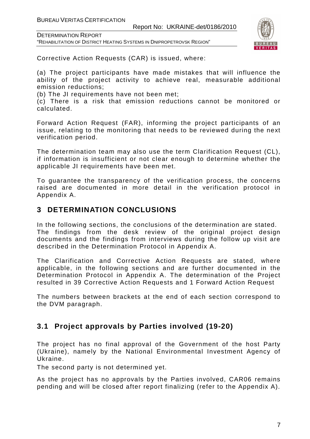DETERMINATION REPORT

"REHABILITATION OF DISTRICT HEATING SYSTEMS IN DNIPROPETROVSK REGION"



Corrective Action Requests (CAR) is issued, where:

(a) The project participants have made mistakes that will influence the ability of the project activity to achieve real, measurable additional emission reductions;

(b) The JI requirements have not been met;

(c) There is a risk that emission reductions cannot be monitored or calculated.

Forward Action Request (FAR), informing the project participants of an issue, relating to the monitoring that needs to be reviewed during the next verification period.

The determination team may also use the term Clarification Request (CL), if information is insufficient or not clear enough to determine whether the applicable JI requirements have been met.

To guarantee the transparency of the verification process, the concerns raised are documented in more detail in the verification protocol in Appendix A.

#### **3 DETERMINATION CONCLUSIONS**

In the following sections, the conclusions of the determination are stated. The findings from the desk review of the original project design documents and the findings from interviews during the follow up visit are described in the Determination Protocol in Appendix A.

The Clarification and Corrective Action Requests are stated, where applicable, in the following sections and are further documented in the Determination Protocol in Appendix A. The determination of the Project resulted in 39 Corrective Action Requests and 1 Forward Action Request

The numbers between brackets at the end of each section correspond to the DVM paragraph.

#### **3.1 Project approvals by Parties involved (19-20)**

The project has no final approval of the Government of the host Party (Ukraine), namely by the National Environmental Investment Agency of Ukraine.

The second party is not determined yet.

As the project has no approvals by the Parties involved, CAR06 remains pending and will be closed after report finalizing (refer to the Appendix A).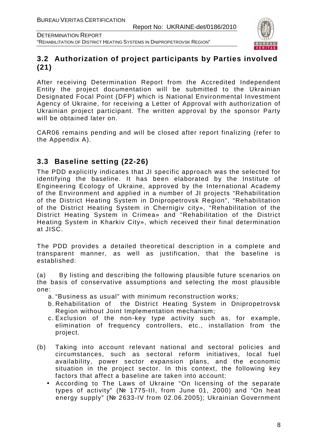

DETERMINATION REPORT "REHABILITATION OF DISTRICT HEATING SYSTEMS IN DNIPROPETROVSK REGION"

#### **3.2 Authorization of project participants by Parties involved (21)**

After receiving Determination Report from the Accredited Independent Entity the project documentation will be submitted to the Ukrainian Designated Focal Point (DFP) which is National Environmental Investment Agency of Ukraine, for receiving a Letter of Approval with authorization of Ukrainian project participant. The written approval by the sponsor Party will be obtained later on.

CAR06 remains pending and will be closed after report finalizing (refer to the Appendix A).

#### **3.3 Baseline setting (22-26)**

The PDD explicitly indicates that JI specific approach was the selected for identifying the baseline. It has been elaborated by the Institute of Engineering Ecology of Ukraine, approved by the International Academy of the Environment and applied in a number of JI projects "Rehabilitation of the District Heating System in Dnipropetrovsk Region", "Rehabilitation of the District Heating System in Chernigiv city», "Rehabilitation of the District Heating System in Crimea» and "Rehabilitation of the District Heating System in Kharkiv City», which received their final determination at JISC.

The PDD provides a detailed theoretical description in a complete and transparent manner, as well as justification, that the baseline is established:

(a) By listing and describing the following plausible future scenarios on the basis of conservative assumptions and selecting the most plausible one:

- a. "Business as usual" with minimum reconstruction works;
- b. Rehabilitation of the District Heating System in Dnipropetrovsk Region without Joint Implementation mechanism;
- c. Exclusion of the non-key type activity such as, for example, elimination of frequency controllers, etc., installation from the project.
- (b) Taking into account relevant national and sectoral policies and circumstances, such as sectoral reform initiatives, local fuel availability, power sector expansion plans, and the economic situation in the project sector. In this context, the following key factors that affect a baseline are taken into account:
	- According to The Laws of Ukraine "On licensing of the separate types of activity" (№ 1775-III, from June 01, 2000) and "On heat energy supply" (№ 2633-IV from 02.06.2005); Ukrainian Government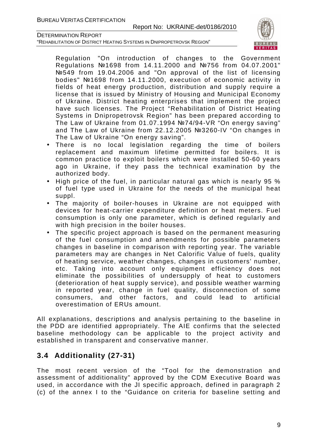"REHABILITATION OF DISTRICT HEATING SYSTEMS IN DNIPROPETROVSK REGION"



Regulation "On introduction of changes to the Government Regulations №1698 from 14.11.2000 and №756 from 04.07.2001" №549 from 19.04.2006 and "On approval of the list of licensing bodies" №1698 from 14.11.2000, execution of economic activity in fields of heat energy production, distribution and supply require a license that is issued by Ministry of Housing and Municipal Economy of Ukraine. District heating enterprises that implement the project have such licenses. The Project "Rehabilitation of District Heating Systems in Dnipropetrovsk Region" has been prepared according to The Law of Ukraine from 01.07.1994 №74/94-VR "On energy saving" and The Law of Ukraine from 22.12.2005 №3260-IV "On changes in The Law of Ukraine "On energy saving".

- There is no local legislation regarding the time of boilers replacement and maximum lifetime permitted for boilers. It is common practice to exploit boilers which were installed 50-60 years ago in Ukraine, if they pass the technical examination by the authorized body.
- High price of the fuel, in particular natural gas which is nearly 95 % of fuel type used in Ukraine for the needs of the municipal heat suppl.
- The majority of boiler-houses in Ukraine are not equipped with devices for heat-carrier expenditure definition or heat meters. Fuel consumption is only one parameter, which is defined regularly and with high precision in the boiler houses.
- The specific project approach is based on the permanent measuring of the fuel consumption and amendments for possible parameters changes in baseline in comparison with reporting year. The variable parameters may are changes in Net Calorific Value of fuels, quality of heating service, weather changes, changes in customers' number, etc. Taking into account only equipment efficiency does not eliminate the possibilities of undersupply of heat to customers (deterioration of heat supply service), and possible weather warming in reported year, change in fuel quality, disconnection of some consumers, and other factors, and could lead to artificial overestimation of ERUs amount.

All explanations, descriptions and analysis pertaining to the baseline in the PDD are identified appropriately. The AIE confirms that the selected baseline methodology can be applicable to the project activity and established in transparent and conservative manner.

#### **3.4 Additionality (27-31)**

The most recent version of the "Tool for the demonstration and assessment of additionality" approved by the CDM Executive Board was used, in accordance with the JI specific approach, defined in paragraph 2 (c) of the annex I to the "Guidance on criteria for baseline setting and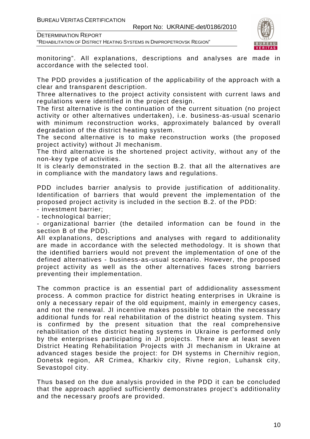"REHABILITATION OF DISTRICT HEATING SYSTEMS IN DNIPROPETROVSK REGION"



monitoring". All explanations, descriptions and analyses are made in accordance with the selected tool.

The PDD provides a justification of the applicability of the approach with a clear and transparent description.

Three alternatives to the project activity consistent with current laws and regulations were identified in the project design.

The first alternative is the continuation of the current situation (no project activity or other alternatives undertaken), i.e. business-as-usual scenario with minimum reconstruction works, approximately balanced by overall degradation of the district heating system.

The second alternative is to make reconstruction works (the proposed project activity) without JI mechanism.

The third alternative is the shortened project activity, without any of the non-key type of activities.

It is clearly demonstrated in the section B.2. that all the alternatives are in compliance with the mandatory laws and regulations.

PDD includes barrier analysis to provide justification of additionality. Identification of barriers that would prevent the implementation of the proposed project activity is included in the section B.2. of the PDD:

- investment barrier;

- technological barrier;

- organizational barrier (the detailed information can be found in the section B of the PDD).

All explanations, descriptions and analyses with regard to additionality are made in accordance with the selected methodology. It is shown that the identified barriers would not prevent the implementation of one of the defined alternatives - business-as-usual scenario. However, the proposed project activity as well as the other alternatives faces strong barriers preventing their implementation.

The common practice is an essential part of addidionality assessment process. A common practice for district heating enterprises in Ukraine is only a necessary repair of the old equipment, mainly in emergency cases, and not the renewal. JI incentive makes possible to obtain the necessary additional funds for real rehabilitation of the district heating system. This is confirmed by the present situation that the real comprehensive rehabilitation of the district heating systems in Ukraine is performed only by the enterprises participating in JI projects. There are at least seven District Heating Rehabilitation Projects with JI mechanism in Ukraine at advanced stages beside the project: for DH systems in Chernihiv region, Donetsk region, AR Crimea, Kharkiv city, Rivne region, Luhansk city, Sevastopol city.

Thus based on the due analysis provided in the PDD it can be concluded that the approach applied sufficiently demonstrates project's additionality and the necessary proofs are provided.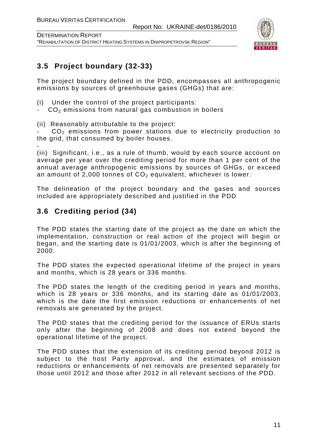DETERMINATION REPORT "REHABILITATION OF DISTRICT HEATING SYSTEMS IN DNIPROPETROVSK REGION"



#### **3.5 Project boundary (32-33)**

The project boundary defined in the PDD, encompasses all anthropogenic emissions by sources of greenhouse gases (GHGs) that are:

- (i) Under the control of the project participants:
- $CO<sub>2</sub>$  emissions from natural gas combustion in boilers
- (ii) Reasonably attributable to the project:

 $CO<sub>2</sub>$  emissions from power stations due to electricity production to the grid, that consumed by boiler houses.

- (iii) Significant, i.e., as a rule of thumb, would by each source account on average per year over the crediting period for more than 1 per cent of the annual average anthropogenic emissions by sources of GHGs, or exceed an amount of 2,000 tonnes of  $CO<sub>2</sub>$  equivalent, whichever is lower.

The delineation of the project boundary and the gases and sources included are appropriately described and justified in the PDD

#### **3.6 Crediting period (34)**

The PDD states the starting date of the project as the date on which the implementation, construction or real action of the project will begin or began, and the starting date is 01/01/2003, which is after the beginning of 2000.

The PDD states the expected operational lifetime of the project in years and months, which is 28 years or 336 months.

The PDD states the length of the crediting period in years and months, which is 28 years or 336 months, and its starting date as 01/01/2003, which is the date the first emission reductions or enhancements of net removals are generated by the project.

The PDD states that the crediting period for the issuance of ERUs starts only after the beginning of 2008 and does not extend beyond the operational lifetime of the project.

The PDD states that the extension of its crediting period beyond 2012 is subject to the host Party approval, and the estimates of emission reductions or enhancements of net removals are presented separately for those until 2012 and those after 2012 in all relevant sections of the PDD.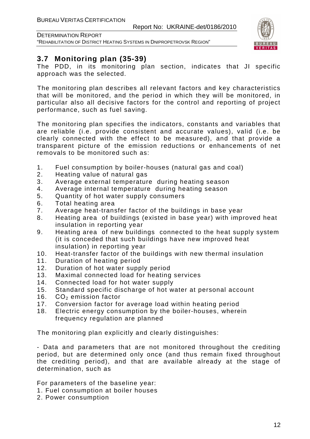



#### **3.7 Monitoring plan (35-39)**

The PDD, in its monitoring plan section, indicates that JI specific approach was the selected.

The monitoring plan describes all relevant factors and key characteristics that will be monitored, and the period in which they will be monitored, in particular also all decisive factors for the control and reporting of project performance, such as fuel saving.

The monitoring plan specifies the indicators, constants and variables that are reliable (i.e. provide consistent and accurate values), valid (i.e. be clearly connected with the effect to be measured), and that provide a transparent picture of the emission reductions or enhancements of net removals to be monitored such as:

- 1. Fuel consumption by boiler-houses (natural gas and coal)
- 2. Heating value of natural gas
- 3. Average external temperature during heating season
- 4. Average internal temperature during heating season
- 5. Quantity of hot water supply consumers
- 6. Total heating area
- 7. Average heat-transfer factor of the buildings in base year
- 8. Heating area of buildings (existed in base year) with improved heat insulation in reporting year
- 9. Heating area of new buildings connected to the heat supply system (it is conceded that such buildings have new improved heat insulation) in reporting year
- 10. Heat-transfer factor of the buildings with new thermal insulation
- 11. Duration of heating period
- 12. Duration of hot water supply period
- 13. Maximal connected load for heating services
- 14. Connected load for hot water supply
- 15. Standard specific discharge of hot water at personal account
- 16.  $CO<sub>2</sub>$  emission factor
- 17. Conversion factor for average load within heating period
- 18. Electric energy consumption by the boiler-houses, wherein frequency regulation are planned

The monitoring plan explicitly and clearly distinguishes:

- Data and parameters that are not monitored throughout the crediting period, but are determined only once (and thus remain fixed throughout the crediting period), and that are available already at the stage of determination, such as

For parameters of the baseline year:

- 1. Fuel consumption at boiler houses
- 2. Power consumption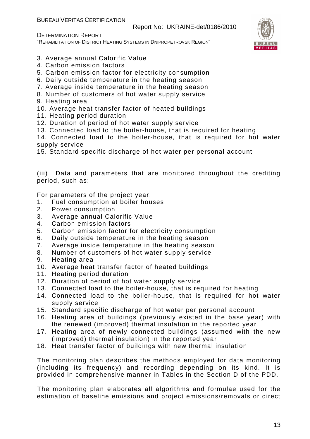DETERMINATION REPORT

"REHABILITATION OF DISTRICT HEATING SYSTEMS IN DNIPROPETROVSK REGION"



- 3. Average annual Calorific Value
- 4. Carbon emission factors
- 5. Carbon emission factor for electricity consumption
- 6. Daily outside temperature in the heating season
- 7. Average inside temperature in the heating season
- 8. Number of customers of hot water supply service
- 9. Heating area
- 10. Average heat transfer factor of heated buildings
- 11. Heating period duration
- 12. Duration of period of hot water supply service
- 13. Connected load to the boiler-house, that is required for heating
- 14. Connected load to the boiler-house, that is required for hot water supply service
- 15. Standard specific discharge of hot water per personal account

(iii) Data and parameters that are monitored throughout the crediting period, such as:

For parameters of the project year:

- 1. Fuel consumption at boiler houses
- 2. Power consumption
- 3. Average annual Calorific Value
- 4. Carbon emission factors
- 5. Carbon emission factor for electricity consumption
- 6. Daily outside temperature in the heating season
- 7. Average inside temperature in the heating season
- 8. Number of customers of hot water supply service
- 9. Heating area
- 10. Average heat transfer factor of heated buildings
- 11. Heating period duration
- 12. Duration of period of hot water supply service
- 13. Connected load to the boiler-house, that is required for heating
- 14. Connected load to the boiler-house, that is required for hot water supply service
- 15. Standard specific discharge of hot water per personal account
- 16. Heating area of buildings (previously existed in the base year) with the renewed (improved) thermal insulation in the reported year
- 17. Heating area of newly connected buildings (assumed with the new (improved) thermal insulation) in the reported year
- 18. Heat transfer factor of buildings with new thermal insulation

The monitoring plan describes the methods employed for data monitoring (including its frequency) and recording depending on its kind. It is provided in comprehensive manner in Tables in the Section D of the PDD.

The monitoring plan elaborates all algorithms and formulae used for the estimation of baseline emissions and project emissions/removals or direct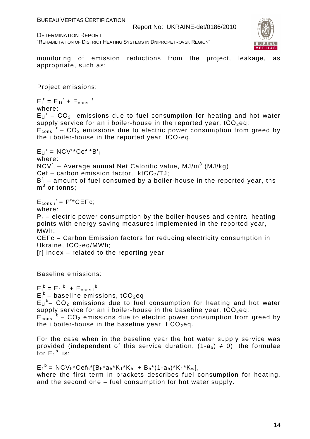

"REHABILITATION OF DISTRICT HEATING SYSTEMS IN DNIPROPETROVSK REGION"

monitoring of emission reductions from the project, leakage, as appropriate, such as:

Project emissions:

 $E_i^r = E_{1i}^r + E_{cons i}^r$ where:  $E_{1i}$ <sup>r</sup> –  $CO_2$  emissions due to fuel consumption for heating and hot water supply service for an i boiler-house in the reported year,  $tCO_2$ eq;  $E_{\text{cons}}$   $I - CO_2$  emissions due to electric power consumption from greed by the i boiler-house in the reported year,  $tCO<sub>2</sub>$ eq.  $E_{1i}^r = NCV^r * Cef^r * B_i^r$ 

where:

NCV'<sub>i</sub> – Average annual Net Calorific value, MJ/m<sup>3</sup> (MJ/kg)

Cef – carbon emission factor,  $ktCO<sub>2</sub>/TJ$ ;

 $B^{r}$ <sub>i</sub> – amount of fuel consumed by a boiler-house in the reported year, ths  $\mathsf{m}^3$  or tonns;

 $E_{cons i}^r = P^{r*}CEFc;$ 

where:

 $P_r$  – electric power consumption by the boiler-houses and central heating points with energy saving measures implemented in the reported year, MWh;

CEFc – Carbon Emission factors for reducing electricity consumption in Ukraine, tCO<sub>2</sub>eq/MWh;

[r] index – related to the reporting year

Baseline emissions:

 $E_i^b = E_{1i}^b + E_{cons i}^b$  $E_i^b$  – baseline emissions, tCO<sub>2</sub>eq

 $E_{1i}$ <sup>b</sup>– CO<sub>2</sub> emissions due to fuel consumption for heating and hot water supply service for an i boiler-house in the baseline year,  $tCO<sub>2</sub>$ eq;

 $E_{\text{cons}}$ <sup>b</sup> – CO<sub>2</sub> emissions due to electric power consumption from greed by the i boiler-house in the baseline year,  $t$  CO<sub>2</sub>eq.

For the case when in the baseline year the hot water supply service was provided (independent of this service duration,  $(1-a_b) \neq 0$ ), the formulae for  $E_1^b$  is:

 $E_1^b = NCV_b*Cef_b*[B_b*a_b*K_1*K_h + B_b*(1-a_b)*K_1*K_w],$ where the first term in brackets describes fuel consumption for heating, and the second one – fuel consumption for hot water supply.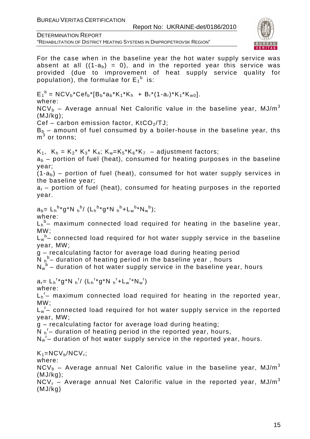Report No: UKRAINE-det/0186/2010

DETERMINATION REPORT

"REHABILITATION OF DISTRICT HEATING SYSTEMS IN DNIPROPETROVSK REGION"



For the case when in the baseline year the hot water supply service was absent at all  $((1-a_b) = 0)$ , and in the reported year this service was provided (due to improvement of heat supply service quality for population), the formulae for  $E_1^b$  is:  $E_1^b = NCV_b*Cef_b* [B_b*a_b*K_1*K_h + B_r*(1-a_r)*K_1*K_{w0}].$ where:  $NCV<sub>b</sub>$  – Average annual Net Calorific value in the baseline year, MJ/m<sup>3</sup> (MJ/kg);  $Cef - carbon$  emission factor,  $KtCO<sub>2</sub>/TJ$ :  $B<sub>b</sub>$  – amount of fuel consumed by a boiler-house in the baseline year, ths  $\mathsf{m}}^3$  or tonns;  $K_1$ ,  $K_h = K_2^* K_3^* K_4$ ;  $K_w = K_5^* K_6^* K_7 -$  adjustment factors;  $a<sub>b</sub>$  – portion of fuel (heat), consumed for heating purposes in the baseline year;  $(1-a<sub>b</sub>)$  – portion of fuel (heat), consumed for hot water supply services in the baseline year;  $a<sub>r</sub>$  – portion of fuel (heat), consumed for heating purposes in the reported year.  $a_b = L_h^{b*} g^* N h^{b} / (L_h^{b*} g^* N h^{b} + L_w^{b*} N_w^{b});$ where:  ${\sf L_h}^{\sf b}$ - maximum connected load required for heating in the baseline year, MW;  $\mathsf{L}_{\mathsf{w}}^{\mathsf{b}}$ - connected load required for hot water supply service in the baseline year, MW; g – recalculating factor for average load during heating period N <sup>h</sup>  $b$ – duration of heating period in the baseline year, hours  $N_w^b$  – duration of hot water supply service in the baseline year, hours  $a_r = L_h^{r*} g^* N_h^{r} / (L_h^{r*} g^* N_h^{r} + L_w^{r*} N_w^{r})$ where:  $L_h$ <sup>r</sup>- maximum connected load required for heating in the reported year, MW;  $L_w$ <sup>r</sup>- connected load required for hot water supply service in the reported year, MW; g – recalculating factor for average load during heating;  $\overline{N}$   $_{h}$ <sup>r</sup> – duration of heating period in the reported year, hours, N<sub>w</sub><sup>-</sup> duration of hot water supply service in the reported year, hours.  $K_1=NCV_b/NCV_r;$ where:  $NCV<sub>b</sub>$  – Average annual Net Calorific value in the baseline year, MJ/m<sup>3</sup> (MJ/kg);  $NCV<sub>r</sub>$  – Average annual Net Calorific value in the reported year, MJ/m<sup>3</sup> (MJ/kg)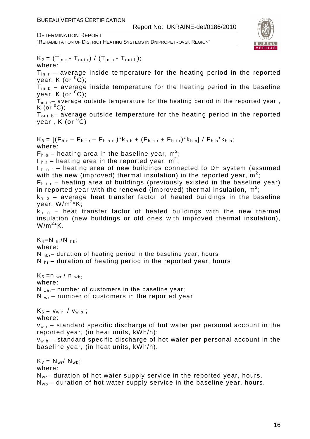DETERMINATION REPORT

"REHABILITATION OF DISTRICT HEATING SYSTEMS IN DNIPROPETROVSK REGION"



 $K_2 = (T_{\text{in }r} - T_{\text{out }r}) / (T_{\text{in }b} - T_{\text{out }b});$ where:

 $T_{\text{in}}$   $\tau$  – average inside temperature for the heating period in the reported year, K (or  $^0C$ );

 $T_{in b}$  – average inside temperature for the heating period in the baseline vear, K (or  $^0C$ );

 $T_{\text{out}}$  – average outside temperature for the heating period in the reported year,  $K$  (or  $^0C$ );

 $T_{\text{out b}}$  average outside temperature for the heating period in the reported year,  $K$  (or  $^0C$ )

 $K_3 = \left[ (F_{h r} - F_{h tr} - F_{h nr}) \right] K_{h b} + (F_{h nr} + F_{h tr}) \left. K_{h n} \right] / F_{h b} \left. K_{h b} \right);$ where:  $F_{h b}$  – heating area in the baseline year, m<sup>2</sup>;  $F_{h,r}$  – heating area in the reported year, m<sup>2</sup>;  $F_{h h r}$  – heating area of new buildings connected to DH system (assumed with the new (improved) thermal insulation) in the reported year,  $\overline{m}^2$ ;  $F_{h,t,r}$  – heating area of buildings (previously existed in the baseline year) in reported year with the renewed (improved) thermal insulation,  $\mathsf{m}^2$ ;  $k_{h h}$  – average heat transfer factor of heated buildings in the baseline year, W/m<sup>2</sup> \*K;  $k_{h,n}$  – heat transfer factor of heated buildings with the new thermal insulation (new buildings or old ones with improved thermal insulation),  $W/m^2$ \*K.  $K_4=N_{hr}/N_{hb}$ ; where:  $N_{\text{hb}}$  duration of heating period in the baseline year, hours  $N_{hr}$  – duration of heating period in the reported year, hours  $K_5 = n_{wr} / n_{wb}$ ; where:  $N_{wb}$ , – number of customers in the baseline year;  $N_{wr}$  – number of customers in the reported year  $K_6 = v_{w r} / v_{w b}$ ; where:  $v_{w,r}$  – standard specific discharge of hot water per personal account in the reported year, (in heat units, kWh/h);  $v_{w, b}$  – standard specific discharge of hot water per personal account in the baseline year, (in heat units, kWh/h).  $K_7 = N_{wr} / N_{wb}$ ; where:

 $N_{wr}$  duration of hot water supply service in the reported year, hours.  $N_{wb}$  – duration of hot water supply service in the baseline year, hours.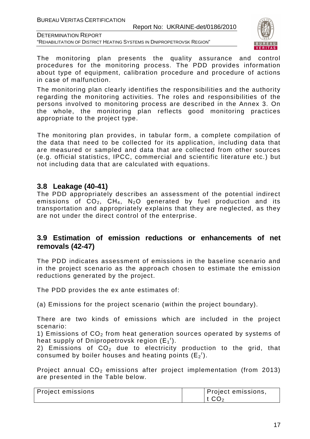Report No: UKRAINE-det/0186/2010

DETERMINATION REPORT

"REHABILITATION OF DISTRICT HEATING SYSTEMS IN DNIPROPETROVSK REGION"



The monitoring plan presents the quality assurance and control procedures for the monitoring process. The PDD provides information about type of equipment, calibration procedure and procedure of actions in case of malfunction.

The monitoring plan clearly identifies the responsibilities and the authority regarding the monitoring activities. The roles and responsibilities of the persons involved to monitoring process are described in the Annex 3. On the whole, the monitoring plan reflects good monitoring practices appropriate to the project type.

The monitoring plan provides, in tabular form, a complete compilation of the data that need to be collected for its application, including data that are measured or sampled and data that are collected from other sources (e.g. official statistics, IPCC, commercial and scientific literature etc.) but not including data that are calculated with equations.

#### **3.8 Leakage (40-41)**

The PDD appropriately describes an assessment of the potential indirect emissions of  $CO_2$ ,  $CH_4$ , N<sub>2</sub>O generated by fuel production and its transportation and appropriately explains that they are neglected, as they are not under the direct control of the enterprise.

#### **3.9 Estimation of emission reductions or enhancements of net removals (42-47)**

The PDD indicates assessment of emissions in the baseline scenario and in the project scenario as the approach chosen to estimate the emission reductions generated by the project.

The PDD provides the ex ante estimates of:

(a) Emissions for the project scenario (within the project boundary).

There are two kinds of emissions which are included in the project scenario:

1) Emissions of  $CO<sub>2</sub>$  from heat generation sources operated by systems of heat supply of Dnipropetrovsk region  $(E_1^f)$ .

2) Emissions of  $CO<sub>2</sub>$  due to electricity production to the grid, that consumed by boiler houses and heating points  $(E_2^r)$ .

Project annual  $CO<sub>2</sub>$  emissions after project implementation (from 2013) are presented in the Table below.

| <b>Project emissions</b> | Project emissions, |
|--------------------------|--------------------|
|                          | t CO <sub>2</sub>  |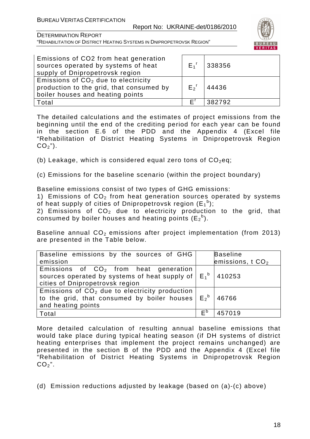

DETERMINATION REPORT "REHABILITATION OF DISTRICT HEATING SYSTEMS IN DNIPROPETROVSK REGION"

| Emissions of CO2 from heat generation<br>sources operated by systems of heat<br>supply of Dnipropetrovsk region       | $E_1^r$            | 338356 |
|-----------------------------------------------------------------------------------------------------------------------|--------------------|--------|
| Emissions of $CO2$ due to electricity<br>production to the grid, that consumed by<br>boiler houses and heating points | $E_2$ <sup>r</sup> | 44436  |
| Total                                                                                                                 | ΕĹ                 | 382792 |

The detailed calculations and the estimates of project emissions from the beginning until the end of the crediting period for each year can be found in the section E.6 of the PDD and the Appendix 4 (Excel file "Rehabilitation of District Heating Systems in Dnipropetrovsk Region  $CO<sub>2</sub>$ ").

(b) Leakage, which is considered equal zero tons of  $CO<sub>2</sub>$ eq;

(c) Emissions for the baseline scenario (within the project boundary)

Baseline emissions consist of two types of GHG emissions:

1) Emissions of  $CO<sub>2</sub>$  from heat generation sources operated by systems of heat supply of cities of Dnipropetrovsk region  $(\mathsf{E}_1^{\mathsf{b}});$ 

2) Emissions of  $CO<sub>2</sub>$  due to electricity production to the grid, that consumed by boiler houses and heating points  $(E_2^b)$ .

Baseline annual  $CO<sub>2</sub>$  emissions after project implementation (from 2013) are presented in the Table below.

| Baseline emissions by the sources of GHG                                                                                                     |                | <b>Baseline</b>   |
|----------------------------------------------------------------------------------------------------------------------------------------------|----------------|-------------------|
| emission                                                                                                                                     |                | emissions, $tCO2$ |
| Emissions of $CO2$ from heat generation<br>sources operated by systems of heat supply of $E_1^b$   410253<br>cities of Dnipropetrovsk region |                |                   |
| Emissions of $CO2$ due to electricity production<br>to the grid, that consumed by boiler houses $E_2^b$   46766<br>and heating points        |                |                   |
| Total                                                                                                                                        | F <sub>p</sub> | 457019            |

More detailed calculation of resulting annual baseline emissions that would take place during typical heating season (if DH systems of district heating enterprises that implement the project remains unchanged) are presented in the section B of the PDD and the Appendix 4 (Excel file "Rehabilitation of District Heating Systems in Dnipropetrovsk Region  $CO<sub>2</sub>$ ".

(d) Emission reductions adjusted by leakage (based on (a)-(c) above)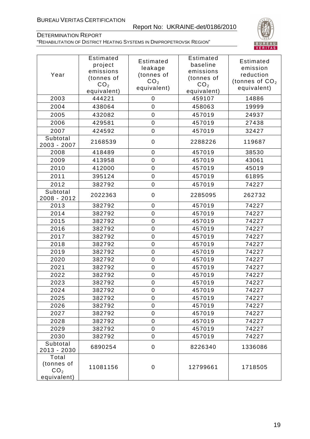#### Report No: UKRAINE-det/0186/2010



#### DETERMINATION REPORT "REHABILITATION OF DISTRICT HEATING SYSTEMS IN DNIPROPETROVSK REGION"

| Year                                                  | Estimated<br>project<br>emissions<br>(tonnes of<br>CO <sub>2</sub><br>equivalent) | Estimated<br>leakage<br>(tonnes of<br>CO <sub>2</sub><br>equivalent) | <b>Estimated</b><br>baseline<br>emissions<br>(tonnes of<br>CO <sub>2</sub><br>equivalent) | <b>Estimated</b><br>emission<br>reduction<br>(tonnes of $CO2$<br>equivalent) |
|-------------------------------------------------------|-----------------------------------------------------------------------------------|----------------------------------------------------------------------|-------------------------------------------------------------------------------------------|------------------------------------------------------------------------------|
| 2003                                                  | 444221                                                                            | 0                                                                    | 459107                                                                                    | 14886                                                                        |
| 2004                                                  | 438064                                                                            | 0                                                                    | 458063                                                                                    | 19999                                                                        |
| 2005                                                  | 432082                                                                            | $\mathbf 0$                                                          | 457019                                                                                    | 24937                                                                        |
| 2006                                                  | 429581                                                                            | $\mathsf{O}\xspace$                                                  | 457019                                                                                    | 27438                                                                        |
| 2007                                                  | 424592                                                                            | $\mathbf 0$                                                          | 457019                                                                                    | 32427                                                                        |
| Subtotal<br>2003 - 2007                               | 2168539                                                                           | $\mathbf 0$                                                          | 2288226                                                                                   | 119687                                                                       |
| 2008                                                  | 418489                                                                            | 0                                                                    | 457019                                                                                    | 38530                                                                        |
| 2009                                                  | 413958                                                                            | $\mathbf 0$                                                          | 457019                                                                                    | 43061                                                                        |
| 2010                                                  | 412000                                                                            | $\overline{0}$                                                       | 457019                                                                                    | 45019                                                                        |
| 2011                                                  | 395124                                                                            | $\boldsymbol{0}$                                                     | 457019                                                                                    | 61895                                                                        |
| 2012                                                  | 382792                                                                            | $\mathbf 0$                                                          | 457019                                                                                    | 74227                                                                        |
| Subtotal<br>2008 - 2012                               | 2022363                                                                           | $\mathbf 0$                                                          | 2285095                                                                                   | 262732                                                                       |
| 2013                                                  | 382792                                                                            | $\mathbf 0$                                                          | 457019                                                                                    | 74227                                                                        |
| 2014                                                  | 382792                                                                            | $\mathbf 0$                                                          | 457019                                                                                    | 74227                                                                        |
| 2015                                                  | 382792                                                                            | $\mathbf 0$                                                          | 457019                                                                                    | 74227                                                                        |
| 2016                                                  | 382792                                                                            | $\mathbf 0$                                                          | 457019                                                                                    | 74227                                                                        |
| 2017                                                  | 382792                                                                            | $\mathbf 0$                                                          | 457019                                                                                    | 74227                                                                        |
| 2018                                                  | 382792                                                                            | $\mathbf 0$                                                          | 457019                                                                                    | 74227                                                                        |
| 2019                                                  | 382792                                                                            | $\mathbf 0$                                                          | 457019                                                                                    | 74227                                                                        |
| 2020                                                  | 382792                                                                            | $\mathbf 0$                                                          | 457019                                                                                    | 74227                                                                        |
| 2021                                                  | 382792                                                                            | $\mathbf 0$                                                          | 457019                                                                                    | 74227                                                                        |
| 2022                                                  | 382792                                                                            | $\mathbf 0$                                                          | 457019                                                                                    | 74227                                                                        |
| 2023                                                  | 382792                                                                            | $\boldsymbol{0}$                                                     | 457019                                                                                    | 74227                                                                        |
| 2024                                                  | 382792                                                                            | 0                                                                    | 457019                                                                                    | 74227                                                                        |
| 2025                                                  | 382792                                                                            | 0                                                                    | 457019                                                                                    | 74227                                                                        |
| 2026                                                  | 382792                                                                            | $\mathbf 0$                                                          | 457019                                                                                    | 74227                                                                        |
| 2027                                                  | 382792                                                                            | $\mathsf{O}\xspace$                                                  | 457019                                                                                    | 74227                                                                        |
| 2028                                                  | 382792                                                                            | 0                                                                    | 457019                                                                                    | 74227                                                                        |
| 2029                                                  | 382792                                                                            | 0                                                                    | 457019                                                                                    | 74227                                                                        |
| 2030                                                  | 382792                                                                            | 0                                                                    | 457019                                                                                    | 74227                                                                        |
| Subtotal<br>2013 - 2030                               | 6890254                                                                           | $\mathbf 0$                                                          | 8226340                                                                                   | 1336086                                                                      |
| Total<br>(tonnes of<br>CO <sub>2</sub><br>equivalent) | 11081156                                                                          | 0                                                                    | 12799661                                                                                  | 1718505                                                                      |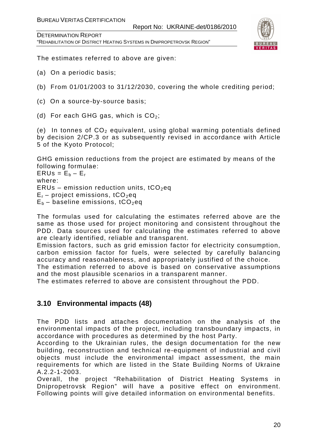DETERMINATION REPORT "REHABILITATION OF DISTRICT HEATING SYSTEMS IN DNIPROPETROVSK REGION"



The estimates referred to above are given:

- (a) On a periodic basis;
- (b) From 01/01/2003 to 31/12/2030, covering the whole crediting period;
- (c) On a source-by-source basis;
- (d) For each GHG gas, which is  $CO<sub>2</sub>$ ;

(e) In tonnes of  $CO<sub>2</sub>$  equivalent, using global warming potentials defined by decision 2/CP.3 or as subsequently revised in accordance with Article 5 of the Kyoto Protocol;

GHG emission reductions from the project are estimated by means of the following formulae:

 $ERUs = E_b - E_r$ where: ERUs – emission reduction units,  $tCO<sub>2</sub>$ eq  $E_r$  – project emissions, tCO<sub>2</sub>eq  $E_b$  – baseline emissions, tCO<sub>2</sub>eq

The formulas used for calculating the estimates referred above are the same as those used for project monitoring and consistent throughout the PDD. Data sources used for calculating the estimates referred to above are clearly identified, reliable and transparent.

Emission factors, such as grid emission factor for electricity consumption, carbon emission factor for fuels, were selected by carefully balancing accuracy and reasonableness, and appropriately justified of the choice.

The estimation referred to above is based on conservative assumptions and the most plausible scenarios in a transparent manner.

The estimates referred to above are consistent throughout the PDD.

#### **3.10 Environmental impacts (48)**

The PDD lists and attaches documentation on the analysis of the environmental impacts of the project, including transboundary impacts, in accordance with procedures as determined by the host Party.

According to the Ukrainian rules, the design documentation for the new building, reconstruction and technical re-equipment of industrial and civil objects must include the environmental impact assessment, the main requirements for which are listed in the State Building Norms of Ukraine A.2.2-1-2003.

Overall, the project "Rehabilitation of District Heating Systems in Dnipropetrovsk Region" will have a positive effect on environment. Following points will give detailed information on environmental benefits.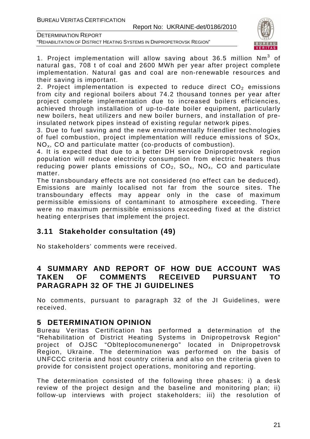"REHABILITATION OF DISTRICT HEATING SYSTEMS IN DNIPROPETROVSK REGION"



1. Project implementation will allow saving about 36.5 million  $Nm^3$  of natural gas, 708 t of coal and 2600 MWh per year after project complete implementation. Natural gas and coal are non-renewable resources and their saving is important.

2. Project implementation is expected to reduce direct  $CO<sub>2</sub>$  emissions from city and regional boilers about 74.2 thousand tonnes per year after project complete implementation due to increased boilers efficiencies, achieved through installation of up-to-date boiler equipment, particularly new boilers, heat utilizers and new boiler burners, and installation of preinsulated network pipes instead of existing regular network pipes.

3. Due to fuel saving and the new environmentally friendlier technologies of fuel combustion, project implementation will reduce emissions of SOx, NOx, CO and particulate matter (co-products of combustion).

4. It is expected that due to a better DH service Dnipropetrovsk region population will reduce electricity consumption from electric heaters thus reducing power plants emissions of  $CO<sub>2</sub>$ ,  $SO<sub>x</sub>$ ,  $NO<sub>x</sub>$ , CO and particulate matter.

The transboundary effects are not considered (no effect can be deduced). Emissions are mainly localised not far from the source sites. The transboundary effects may appear only in the case of maximum permissible emissions of contaminant to atmosphere exceeding. There were no maximum permissible emissions exceeding fixed at the district heating enterprises that implement the project.

#### **3.11 Stakeholder consultation (49)**

No stakeholders' comments were received.

#### **4 SUMMARY AND REPORT OF HOW DUE ACCOUNT WAS TAKEN OF COMMENTS RECEIVED PURSUANT TO PARAGRAPH 32 OF THE JI GUIDELINES**

No comments, pursuant to paragraph 32 of the JI Guidelines, were received.

#### **5 DETERMINATION OPINION**

Bureau Veritas Certification has performed a determination of the "Rehabilitation of District Heating Systems in Dnipropetrovsk Region" project of OJSC "Oblteplocomunenergo" located in Dnipropetrovsk Region, Ukraine. The determination was performed on the basis of UNFCCC criteria and host country criteria and also on the criteria given to provide for consistent project operations, monitoring and reporting.

The determination consisted of the following three phases: i) a desk review of the project design and the baseline and monitoring plan; ii) follow-up interviews with project stakeholders; iii) the resolution of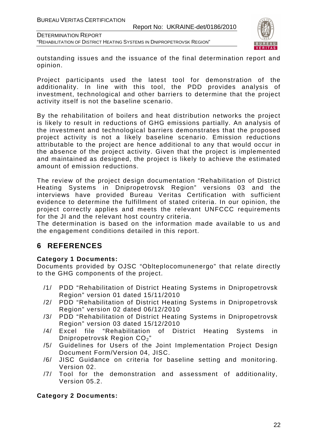DETERMINATION REPORT "REHABILITATION OF DISTRICT HEATING SYSTEMS IN DNIPROPETROVSK REGION"



outstanding issues and the issuance of the final determination report and opinion.

Project participants used the latest tool for demonstration of the additionality. In line with this tool, the PDD provides analysis of investment, technological and other barriers to determine that the project activity itself is not the baseline scenario.

By the rehabilitation of boilers and heat distribution networks the project is likely to result in reductions of GHG emissions partially. An analysis of the investment and technological barriers demonstrates that the proposed project activity is not a likely baseline scenario. Emission reductions attributable to the project are hence additional to any that would occur in the absence of the project activity. Given that the project is implemented and maintained as designed, the project is likely to achieve the estimated amount of emission reductions.

The review of the project design documentation "Rehabilitation of District Heating Systems in Dnipropetrovsk Region" versions 03 and the interviews have provided Bureau Veritas Certification with sufficient evidence to determine the fulfillment of stated criteria. In our opinion, the project correctly applies and meets the relevant UNFCCC requirements for the JI and the relevant host country criteria.

The determination is based on the information made available to us and the engagement conditions detailed in this report.

#### **6 REFERENCES**

#### **Category 1 Documents:**

Documents provided by OJSC "Oblteplocomunenergo" that relate directly to the GHG components of the project.

- /1/ PDD "Rehabilitation of District Heating Systems in Dnipropetrovsk Region" version 01 dated 15/11/2010
- /2/ PDD "Rehabilitation of District Heating Systems in Dnipropetrovsk Region" version 02 dated 06/12/2010
- /3/ PDD "Rehabilitation of District Heating Systems in Dnipropetrovsk Region" version 03 dated 15/12/2010
- /4/ Excel file "Rehabilitation of District Heating Systems in Dnipropetrovsk Region CO<sub>2</sub>"
- /5/ Guidelines for Users of the Joint Implementation Project Design Document Form/Version 04, JISC.
- /6/ JISC Guidance on criteria for baseline setting and monitoring. Version 02.
- /7/ Tool for the demonstration and assessment of additionality, Version 05.2.

#### **Category 2 Documents:**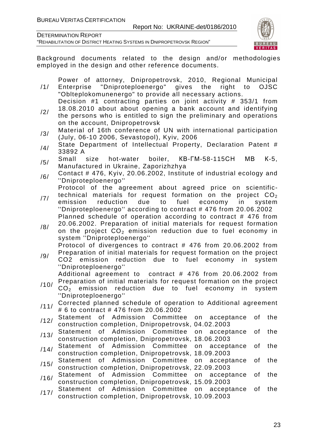Report No: UKRAINE-det/0186/2010

DETERMINATION REPORT

"REHABILITATION OF DISTRICT HEATING SYSTEMS IN DNIPROPETROVSK REGION"



Background documents related to the design and/or methodologies employed in the design and other reference documents.

/1/ Power of attorney, Dnipropetrovsk, 2010, Regional Municipal Enterprise "Dniproteploenergo" gives the right to OJSC "Oblteplokomunenergo" to provide all necessary actions.

Decision #1 contracting parties on joint activity # 353/1 from 18.08.2010 about about opening a bank account and identifying

- /2/ the persons who is entitled to sign the preliminary and operations on the account, Dnipropetrovsk
- /3/ Material of 16th conference of UN with international participation (July, 06-10 2006, Sevastopol), Kyiv, 2006
- $/4/$  State Department of Intellectual Property, Declaration Patent # 33892 A
- /5/ Small size hot-water boiler, КВ-ГМ-58-115СН МВ <sup>К</sup>-5, Manufactured in Ukraine, Zaporizhzhya
- $/6/$  Contact # 476, Kyiv, 20.06.2002, Institute of industrial ecology and ''Dniproteploenergo''

Protocol of the agreement about agreed price on scientifictechnical materials for request formation on the project  $CO<sub>2</sub>$ 

- /7/ emission reduction due to fuel economy in system ''Dniproteploenergo'' according to contract # 476 from 20.06.2002 Planned schedule of operation according to contract # 476 from
- /8/ 20.06.2002. Preparation of initial materials for request formation on the project  $CO<sub>2</sub>$  emission reduction due to fuel economy in system ''Dniproteploenergo'' Protocol of divergences to contract # 476 from 20.06.2002 from

Preparation of initial materials for request formation on the project

/9/ CO2 emission reduction due to fuel economy in system ''Dniproteploenergo''

Additional agreement to contract # 476 from 20.06.2002 from Preparation of initial materials for request formation on the project

- /10/  $CO<sub>2</sub>$  emission reduction due to fuel economy in system ''Dniproteploenergo''
- /11/ Corrected planned schedule of operation to Additional agreement # 6 to contract # 476 from 20.06.2002
- /12/ Statement of Admission Committee on acceptance of the construction completion, Dnipropetrovsk, 04.02.2003
- /13/ Statement of Admission Committee on acceptance of the construction completion, Dnipropetrovsk, 18.06.2003
- /14/ Statement of Admission Committee on acceptance of the construction completion, Dnipropetrovsk, 18.09.2003
- /15/ Statement of Admission Committee on acceptance of the construction completion, Dnipropetrovsk, 22.09.2003
- /16/ Statement of Admission Committee on acceptance of the construction completion, Dnipropetrovsk, 15.09.2003
- /17/ Statement of Admission Committee on acceptance of the construction completion, Dnipropetrovsk, 10.09.2003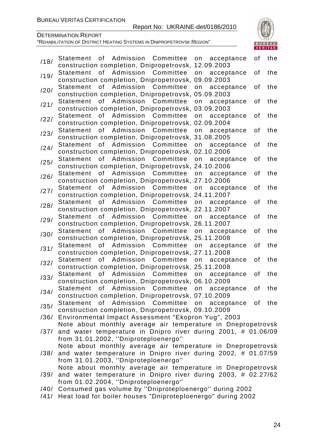#### Report No: UKRAINE-det/0186/2010



DETERMINATION REPORT

| /18/ | of Admission Committee on<br>acceptance<br>Statement                 | οf | the |
|------|----------------------------------------------------------------------|----|-----|
|      | construction completion, Dnipropetrovsk, 12.09.2003                  |    |     |
| /19/ | of<br>Admission<br>Committee<br>Statement<br>on<br>acceptance        | οf | the |
|      | construction completion, Dnipropetrovsk, 09.09.2003                  |    |     |
| /20/ | of Admission Committee<br><b>Statement</b><br>on<br>acceptance       | οf | the |
|      | construction completion, Dnipropetrovsk, 05.09.2003                  |    |     |
| /21/ | of Admission Committee<br>on<br>acceptance<br><b>Statement</b>       | οf | the |
|      | construction completion, Dnipropetrovsk, 03.09.2003                  |    |     |
| /22/ | of<br>Admission<br>Committee<br><b>Statement</b><br>on<br>acceptance | οf | the |
|      | construction completion, Dnipropetrovsk, 02.09.2004                  |    |     |
| /23/ | Admission Committee<br>of<br><b>Statement</b><br>on<br>acceptance    | οf | the |
|      | construction completion, Dnipropetrovsk, 31.08.2005                  |    |     |
| /24/ | of Admission Committee<br><b>Statement</b><br>on<br>acceptance       | οf | the |
|      | construction completion, Dnipropetrovsk, 02.10.2006                  |    |     |
| /25/ | of<br>Admission Committee<br>on<br><b>Statement</b><br>acceptance    | οf | the |
|      | construction completion, Dnipropetrovsk, 24.10.2006                  |    |     |
| /26/ | Admission<br>Committee<br><b>Statement</b><br>of<br>on<br>acceptance | οf | the |
|      | construction completion, Dnipropetrovsk, 27.10.2006                  |    |     |
| /27/ | of Admission Committee<br><b>Statement</b><br>on<br>acceptance       | οf | the |
|      | construction completion, Dnipropetrovsk, 24.11.2007                  |    |     |
| /28/ | of<br>Admission Committee<br><b>Statement</b><br>on<br>acceptance    | οf | the |
|      | construction completion, Dnipropetrovsk, 22.11.2007                  |    |     |
| /29/ | Admission<br>Committee<br><b>Statement</b><br>of<br>on<br>acceptance | οf | the |
|      | construction completion, Dnipropetrovsk, 26.11.2007                  |    |     |
| /30/ | of Admission Committee<br><b>Statement</b><br>on<br>acceptance       | οf | the |
|      | construction completion, Dnipropetrovsk, 25.11.2008                  |    |     |
| /31/ | Admission Committee<br>of<br>on<br>Statement<br>acceptance           | οf | the |
|      | construction completion, Dnipropetrovsk, 27.11.2008                  |    |     |
| /32/ | of<br>Admission<br>Committee<br><b>Statement</b><br>on<br>acceptance | οf | the |
|      | construction completion, Dnipropetrovsk, 25.11.2008                  |    |     |
| /33/ | Admission Committee<br><b>Statement</b><br>of<br>on<br>acceptance    | of | the |
|      | construction completion, Dnipropetrovsk, 06.10.2009                  |    |     |
| /34/ | Statement of Admission Committee on acceptance                       | of | the |
|      | construction completion, Dnipropetrovsk, 07.10.2009                  |    |     |
| /35/ | Statement of Admission Committee on acceptance                       | of | the |
|      | construction completion, Dnipropetrovsk, 09.10.2009                  |    |     |
| /36/ | Environmental Impact Assessment "Ekopron Yug", 2003                  |    |     |
|      | Note about monthly average air temperature in Dnepropetrovsk         |    |     |
| /37/ | and water temperature in Dnipro river during 2001, # 01.06/09        |    |     |
|      | from 31.01.2002, "Dniproteploenergo"                                 |    |     |
|      | Note about monthly average air temperature in Dnepropetrovsk         |    |     |
| /38/ | and water temperature in Dnipro river during 2002, # 01.07/59        |    |     |
|      | from 31.01.2003, "Dniproteploenergo"                                 |    |     |
|      | Note about monthly average air temperature in Dnepropetrovsk         |    |     |
| /39/ | and water temperature in Dnipro river during 2003, # 02.27/62        |    |     |
|      | from 01.02.2004, "Dniproteploenergo"                                 |    |     |
|      | /40/ Consumed gas volume by "Dniproteploenergo" during 2002          |    |     |
|      | /41/ Heat load for boiler houses "Dniproteploenergo" during 2002     |    |     |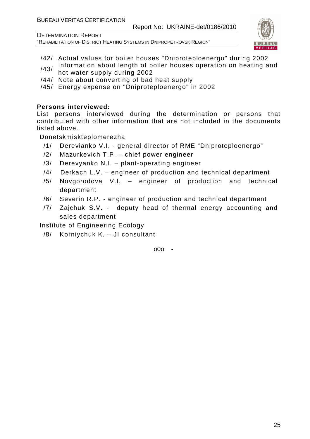DETERMINATION REPORT

"REHABILITATION OF DISTRICT HEATING SYSTEMS IN DNIPROPETROVSK REGION"



- /42/ Actual values for boiler houses "Dniproteploenergo" during 2002
- /43/ Information about length of boiler houses operation on heating and hot water supply during 2002
- /44/ Note about converting of bad heat supply
- /45/ Energy expense on "Dniproteploenergo" in 2002

#### **Persons interviewed:**

List persons interviewed during the determination or persons that contributed with other information that are not included in the documents listed above.

Donetskmiskteplomerezha

- /1/ Derevianko V.I. general director of RME "Dniproteploenergo"
- /2/ Mazurkevich T.P. chief power engineer
- /3/ Derevyanko N.I. plant-operating engineer
- /4/ Derkach L.V. engineer of production and technical department
- /5/ Novgorodova V.I. engineer of production and technical department
- /6/ Severin R.P. engineer of production and technical department
- /7/ Zajchuk S.V. deputy head of thermal energy accounting and sales department

Institute of Engineering Ecology

/8/ Korniychuk K. – JI consultant

 $000 -$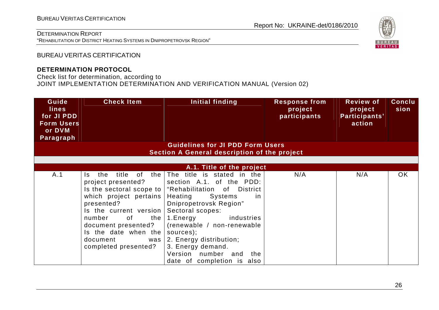"REHABILITATION OF DISTRICT HEATING SYSTEMS IN DNIPROPETROVSK REGION"

### Report No: UKRAINE-det/0186/2010



BUREAU VERITAS CERTIFICATION

#### **DETERMINATION PROTOCOL**

Check list for determination, according to

JOINT IMPLEMENTATION DETERMINATION AND VERIFICATION MANUAL (Version 02)

| Guide<br><b>lines</b><br>for JI PDD<br><b>Form Users</b><br>or DVM<br>Paragraph | <b>Check Item</b>                                                                                                                                                                                                                         | Initial finding                                                                                                                                                                                                                                                                                                                                                          | <b>Response from</b><br>project<br>participants | <b>Review of</b><br>project<br>Participants'<br>action | Conclu<br>sion |
|---------------------------------------------------------------------------------|-------------------------------------------------------------------------------------------------------------------------------------------------------------------------------------------------------------------------------------------|--------------------------------------------------------------------------------------------------------------------------------------------------------------------------------------------------------------------------------------------------------------------------------------------------------------------------------------------------------------------------|-------------------------------------------------|--------------------------------------------------------|----------------|
|                                                                                 |                                                                                                                                                                                                                                           | <b>Guidelines for JI PDD Form Users</b><br>Section A General description of the project                                                                                                                                                                                                                                                                                  |                                                 |                                                        |                |
|                                                                                 |                                                                                                                                                                                                                                           |                                                                                                                                                                                                                                                                                                                                                                          |                                                 |                                                        |                |
|                                                                                 |                                                                                                                                                                                                                                           | A.1. Title of the project                                                                                                                                                                                                                                                                                                                                                |                                                 |                                                        |                |
| A.1                                                                             | the<br>title<br>of<br>the<br>Is.<br>project presented?<br>which project pertains<br>presented?<br>Is the current version<br>number<br>of<br>the<br>document presented?<br>Is the date when the<br>document<br>was<br>completed presented? | The title is stated in the<br>section A.1. of the PDD:<br>Is the sectoral scope to   "Rehabilitation of District<br>Systems<br>Heating<br>-in<br>Dnipropetrovsk Region"<br>Sectoral scopes:<br>1.Energy<br>industries<br>(renewable / non-renewable<br>sources);<br>2. Energy distribution;<br>3. Energy demand.<br>Version number and the<br>date of completion is also | N/A                                             | N/A                                                    | <b>OK</b>      |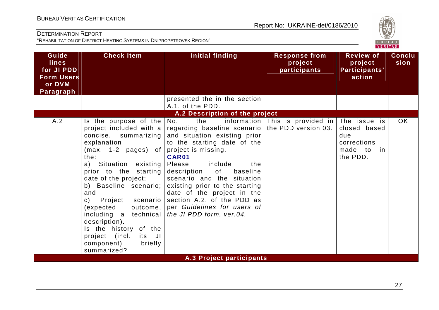

| Guide<br><b>lines</b><br>for JI PDD<br><b>Form Users</b><br>or DVM<br>Paragraph | <b>Check Item</b>                                                                                                                                                                                                                                                                                                                                                                                                                        | <b>Initial finding</b>                                                                                                                                                                                                                                                                                                                                                                                                                                                                                                          | <b>Response from</b><br>project<br>participants | <b>Review of</b><br>project<br>Participants'<br>action       | <b>Conclu</b><br>sion |
|---------------------------------------------------------------------------------|------------------------------------------------------------------------------------------------------------------------------------------------------------------------------------------------------------------------------------------------------------------------------------------------------------------------------------------------------------------------------------------------------------------------------------------|---------------------------------------------------------------------------------------------------------------------------------------------------------------------------------------------------------------------------------------------------------------------------------------------------------------------------------------------------------------------------------------------------------------------------------------------------------------------------------------------------------------------------------|-------------------------------------------------|--------------------------------------------------------------|-----------------------|
|                                                                                 |                                                                                                                                                                                                                                                                                                                                                                                                                                          | presented the in the section<br>A.1. of the PDD.                                                                                                                                                                                                                                                                                                                                                                                                                                                                                |                                                 |                                                              |                       |
|                                                                                 |                                                                                                                                                                                                                                                                                                                                                                                                                                          | A.2 Description of the project                                                                                                                                                                                                                                                                                                                                                                                                                                                                                                  |                                                 |                                                              |                       |
| A.2                                                                             | Is the purpose of the<br>project included with a<br>concise, summarizing<br>explanation<br>$(max. 1-2 pages)$ of<br>the:<br>a) Situation existing<br>prior to the starting<br>date of the project;<br>b) Baseline scenario;<br>and<br>Project scenario<br>$\mathsf{C}$ )<br>(expected<br>outcome,<br>including a technical<br>description).<br>Is the history of the<br>project (incl.<br>its JI<br>component)<br>briefly<br>summarized? | the<br>No,<br>regarding baseline scenario   the PDD version 03.<br>and situation existing prior<br>to the starting date of the<br>project is missing.<br>CAR01<br>include<br>Please<br>the<br>of the contract of the contract of the contract of the contract of the contract of the contract of the contract<br>baseline<br>description<br>scenario and the situation<br>existing prior to the starting<br>date of the project in the<br>section A.2. of the PDD as<br>per Guidelines for users of<br>the JI PDD form, ver.04. | information This is provided in The issue is    | closed based<br>due<br>corrections<br>made to in<br>the PDD. | <b>OK</b>             |
|                                                                                 |                                                                                                                                                                                                                                                                                                                                                                                                                                          | <b>A.3 Project participants</b>                                                                                                                                                                                                                                                                                                                                                                                                                                                                                                 |                                                 |                                                              |                       |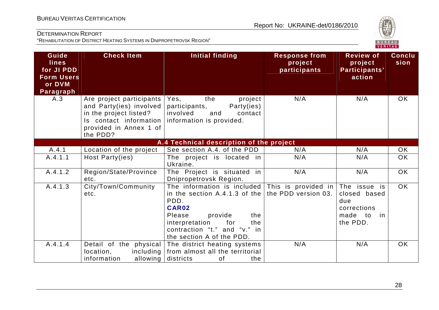

| Guide<br>lines<br>for JI PDD<br><b>Form Users</b><br>or DVM<br>Paragraph | <b>Check Item</b>                                                                                                                             | <b>Initial finding</b>                                                                                                                                                                                 | <b>Response from</b><br>project<br>participants | <b>Review of</b><br>project<br>Participants'<br>action                             | <b>Conclu</b><br>sion |
|--------------------------------------------------------------------------|-----------------------------------------------------------------------------------------------------------------------------------------------|--------------------------------------------------------------------------------------------------------------------------------------------------------------------------------------------------------|-------------------------------------------------|------------------------------------------------------------------------------------|-----------------------|
| A.3                                                                      | Are project participants<br>and Party(ies) involved<br>in the project listed?<br>Is contact information<br>provided in Annex 1 of<br>the PDD? | Yes,<br>the<br>project<br>participants,<br>Party(ies)<br>involved<br>and<br>contact<br>information is provided.                                                                                        | N/A                                             | N/A                                                                                | <b>OK</b>             |
|                                                                          |                                                                                                                                               | A.4 Technical description of the project                                                                                                                                                               |                                                 |                                                                                    |                       |
| A.4.1                                                                    | Location of the project                                                                                                                       | See section A.4. of the PDD                                                                                                                                                                            | N/A                                             | N/A                                                                                | OK                    |
| A.4.1.1                                                                  | Host Party(ies)                                                                                                                               | The project is located in<br>Ukraine.                                                                                                                                                                  | N/A                                             | N/A                                                                                | OK                    |
| A.4.1.2                                                                  | Region/State/Province<br>etc.                                                                                                                 | The Project is situated in<br>Dnipropetrovsk Region.                                                                                                                                                   | N/A                                             | N/A                                                                                | OK                    |
| A.4.1.3                                                                  | City/Town/Community<br>etc.                                                                                                                   | The information is included<br>in the section A.4.1.3 of the<br>PDD.<br>CAR02<br>provide<br>Please<br>the<br>for<br>interpretation<br>the<br>contraction "t." and "v." in<br>the section A of the PDD. | This is provided in<br>the PDD version 03.      | The issue is<br>closed based<br>due<br>corrections<br>made<br>to<br>in<br>the PDD. | OK                    |
| A.4.1.4                                                                  | Detail of the physical<br>location,<br>including<br>allowing<br>information                                                                   | The district heating systems<br>from almost all the territorial<br>districts<br>0f<br>the                                                                                                              | N/A                                             | N/A                                                                                | <b>OK</b>             |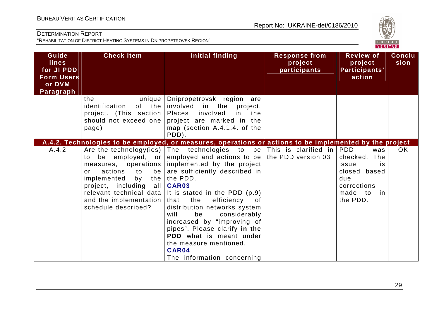

| Guide<br><b>lines</b><br>for JI PDD<br><b>Form Users</b><br>or DVM<br>Paragraph | <b>Check Item</b>                                                                                                                                                                  | Initial finding                                                                                                                                                                                                                                                                                                                                                                                                                                                                                                                                                                                                              | <b>Response from</b><br>project<br>participants | <b>Review of</b><br>project<br>Participants'<br>action                                                    | <b>Conclu</b><br>sion |
|---------------------------------------------------------------------------------|------------------------------------------------------------------------------------------------------------------------------------------------------------------------------------|------------------------------------------------------------------------------------------------------------------------------------------------------------------------------------------------------------------------------------------------------------------------------------------------------------------------------------------------------------------------------------------------------------------------------------------------------------------------------------------------------------------------------------------------------------------------------------------------------------------------------|-------------------------------------------------|-----------------------------------------------------------------------------------------------------------|-----------------------|
|                                                                                 | the<br>unique<br>identification<br>project. (This section)<br>should not exceed one<br>page)                                                                                       | Dnipropetrovsk region are<br>of the involved<br>in the<br>project.<br>Places involved<br>in the<br>project are marked in the<br>map (section A.4.1.4. of the<br>PDD).                                                                                                                                                                                                                                                                                                                                                                                                                                                        |                                                 |                                                                                                           |                       |
| A.4.2                                                                           | to<br>measures, operations<br>actions<br>to<br>be<br>or<br>implemented<br>by<br>project, including all<br>relevant technical data<br>and the implementation<br>schedule described? | A.4.2. Technologies to be employed, or measures, operations or actions to be implemented by the project<br>Are the technology (ies) $ $ The technologies to<br>be employed, or employed and actions to be the PDD version 03<br>implemented by the project<br>are sufficiently described in<br>the $ $ the PDD.<br>CAR03<br>It is stated in the PDD (p.9)<br>the<br>efficiency<br>that<br>of<br>distribution networks system<br>considerably<br>will<br>be<br>increased by "improving of<br>pipes". Please clarify in the<br><b>PDD</b> what is meant under<br>the measure mentioned.<br>CAR04<br>The information concerning | be This is clarified in PDD                     | was<br>The<br>checked.<br>issue<br>is.<br>closed based<br>due<br>corrections<br>made to<br>in<br>the PDD. | <b>OK</b>             |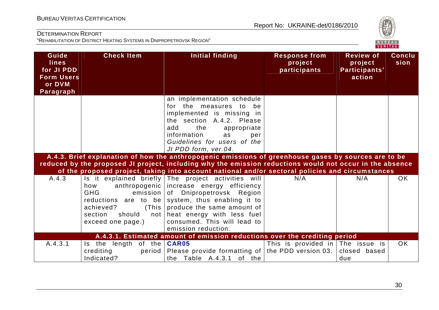

| Guide<br><b>lines</b><br>for JI PDD<br><b>Form Users</b><br>or DVM<br>Paragraph | <b>Check Item</b>                                                                                                                               | <b>Initial finding</b>                                                                                                                                                                                                                                                                                               | <b>Response from</b><br>project<br>participants | <b>Review of</b><br>project<br>Participants'<br>action | <b>Conclu</b><br>sion |
|---------------------------------------------------------------------------------|-------------------------------------------------------------------------------------------------------------------------------------------------|----------------------------------------------------------------------------------------------------------------------------------------------------------------------------------------------------------------------------------------------------------------------------------------------------------------------|-------------------------------------------------|--------------------------------------------------------|-----------------------|
|                                                                                 |                                                                                                                                                 | an implementation schedule<br>for the measures to<br>- be<br>implemented is missing in<br>the section A.4.2. Please<br>add<br>the<br>appropriate<br>information<br>as<br>per<br>Guidelines for users of the<br>JI PDD form, ver.04.                                                                                  |                                                 |                                                        |                       |
|                                                                                 |                                                                                                                                                 | A.4.3. Brief explanation of how the anthropogenic emissions of greenhouse gases by sources are to be<br>reduced by the proposed JI project, including why the emission reductions would not occur in the absence<br>of the proposed project, taking into account national and/or sectoral policies and circumstances |                                                 |                                                        |                       |
| A.4.3                                                                           | anthropogenic  <br>how<br><b>GHG</b><br>emission<br>reductions are to be<br>achieved?<br>(This<br>section<br>should<br>not<br>exceed one page.) | Is it explained briefly The project activities will<br>increase energy efficiency<br>of Dnipropetrovsk Region<br>system, thus enabling it to<br>produce the same amount of<br>heat energy with less fuel<br>consumed. This will lead to<br>emission reduction.                                                       | N/A                                             | N/A                                                    | <b>OK</b>             |
|                                                                                 |                                                                                                                                                 | A.4.3.1. Estimated amount of emission reductions over the crediting period                                                                                                                                                                                                                                           |                                                 |                                                        |                       |
| A.4.3.1                                                                         | Is the length of the $CAR05$<br>crediting<br>period<br>Indicated?                                                                               | Please provide formatting of the PDD version 03.<br>the Table A.4.3.1 of the                                                                                                                                                                                                                                         | This is provided in The issue is                | closed based<br>due                                    | <b>OK</b>             |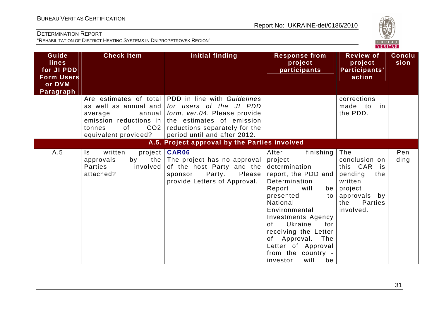

| Guide                                           | <b>Check Item</b>                                                                                                               | <b>Initial finding</b>                                                                                                                                                                                      | <b>Response from</b>                                                                                                                                                                                                                                                                                                                         | <b>Review of</b>                                                                                                                  | <b>Conclu</b> |
|-------------------------------------------------|---------------------------------------------------------------------------------------------------------------------------------|-------------------------------------------------------------------------------------------------------------------------------------------------------------------------------------------------------------|----------------------------------------------------------------------------------------------------------------------------------------------------------------------------------------------------------------------------------------------------------------------------------------------------------------------------------------------|-----------------------------------------------------------------------------------------------------------------------------------|---------------|
| <b>lines</b><br>for JI PDD<br><b>Form Users</b> |                                                                                                                                 |                                                                                                                                                                                                             | project<br>participants                                                                                                                                                                                                                                                                                                                      | project<br>Participants'<br>action                                                                                                | sion          |
| or DVM<br>Paragraph                             |                                                                                                                                 |                                                                                                                                                                                                             |                                                                                                                                                                                                                                                                                                                                              |                                                                                                                                   |               |
|                                                 | as well as annual and<br>average<br>annual<br>emission reductions in<br>CO <sub>2</sub><br>0f<br>tonnes<br>equivalent provided? | Are estimates of total PDD in line with Guidelines<br>for users of the JI PDD<br>form, ver.04. Please provide<br>the estimates of emission<br>reductions separately for the<br>period until and after 2012. |                                                                                                                                                                                                                                                                                                                                              | corrections<br>made to<br>in<br>the PDD.                                                                                          |               |
|                                                 |                                                                                                                                 | A.5. Project approval by the Parties involved                                                                                                                                                               |                                                                                                                                                                                                                                                                                                                                              |                                                                                                                                   |               |
| A.5                                             | written<br>Is.<br>approvals<br>by<br><b>Parties</b><br>involved<br>attached?                                                    | project   CAR06<br>the The project has no approval<br>of the host Party and the<br>Party.<br>Please<br>sponsor<br>provide Letters of Approval.                                                              | After<br>finishing $\vert$<br>project<br>determination<br>report, the PDD and<br>Determination<br>Report<br>will<br>presented<br>to I<br>National<br>Environmental<br><b>Investments Agency</b><br>Ukraine<br>for<br>of<br>receiving the Letter<br>of Approval.<br>The<br>Letter of Approval<br>from the country -<br>will<br>investor<br>be | The<br>conclusion on<br>this CAR is<br>pending<br>the<br>written<br>$be$   project<br>approvals by<br>Parties<br>the<br>involved. | Pen<br>ding   |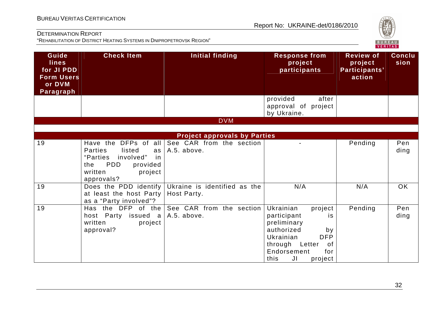# **VERITAS**

#### DETERMINATION REPORT

| Guide<br><b>lines</b><br>for JI PDD<br><b>Form Users</b><br>or DVM<br>Paragraph | <b>Check Item</b>                                                                                                                                          | <b>Initial finding</b>                      | <b>Response from</b><br>project<br>participants                                                                                                                                       | <b>Review of</b><br>project<br>Participants'<br>action | <b>Conclu</b><br>sion |  |
|---------------------------------------------------------------------------------|------------------------------------------------------------------------------------------------------------------------------------------------------------|---------------------------------------------|---------------------------------------------------------------------------------------------------------------------------------------------------------------------------------------|--------------------------------------------------------|-----------------------|--|
|                                                                                 |                                                                                                                                                            |                                             | provided<br>after<br>approval of project<br>by Ukraine.                                                                                                                               |                                                        |                       |  |
|                                                                                 |                                                                                                                                                            | <b>DVM</b>                                  |                                                                                                                                                                                       |                                                        |                       |  |
|                                                                                 |                                                                                                                                                            |                                             |                                                                                                                                                                                       |                                                        |                       |  |
|                                                                                 |                                                                                                                                                            | <b>Project approvals by Parties</b>         |                                                                                                                                                                                       |                                                        |                       |  |
| 19                                                                              | Have the DFPs of all<br><b>Parties</b><br>listed<br>as<br>involved"<br>"Parties<br>in<br><b>PDD</b><br>the<br>provided<br>written<br>project<br>approvals? | See CAR from the section<br>A.5. above.     |                                                                                                                                                                                       | Pending                                                | Pen<br>ding           |  |
| 19                                                                              | Does the PDD identify<br>at least the host Party<br>as a "Party involved"?                                                                                 | Ukraine is identified as the<br>Host Party. | N/A                                                                                                                                                                                   | N/A                                                    | <b>OK</b>             |  |
| 19                                                                              | the DFP of the<br>Has<br>host Party issued a<br>written<br>project<br>approval?                                                                            | See CAR from the section<br>A.5. above.     | Ukrainian<br>project<br>participant<br><i>is</i><br>preliminary<br>authorized<br>by<br><b>DFP</b><br>Ukrainian<br>through Letter<br>0f<br>Endorsement<br>for<br>JI<br>this<br>project | Pending                                                | Pen<br>ding           |  |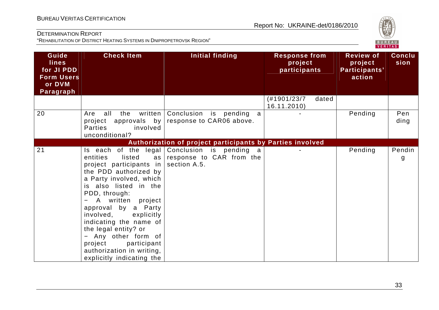

| Guide<br><b>lines</b><br>for JI PDD<br><b>Form Users</b><br>or DVM<br>Paragraph | <b>Check Item</b>                                                                                                                                                                                                                                                                                                                                                                                                | Initial finding                                                     | <b>Response from</b><br>project<br>participants |       | <b>Review of</b><br>project<br>Participants'<br>action | <b>Conclu</b><br>sion |
|---------------------------------------------------------------------------------|------------------------------------------------------------------------------------------------------------------------------------------------------------------------------------------------------------------------------------------------------------------------------------------------------------------------------------------------------------------------------------------------------------------|---------------------------------------------------------------------|-------------------------------------------------|-------|--------------------------------------------------------|-----------------------|
|                                                                                 |                                                                                                                                                                                                                                                                                                                                                                                                                  |                                                                     | (H1901/23/7)<br>16.11.2010)                     | dated |                                                        |                       |
| 20                                                                              | the<br>written<br>Are<br>all<br>project approvals by<br>Parties<br>involved<br>unconditional?                                                                                                                                                                                                                                                                                                                    | Conclusion is pending<br>a a<br>response to CAR06 above.            |                                                 |       | Pending                                                | Pen<br>ding           |
|                                                                                 |                                                                                                                                                                                                                                                                                                                                                                                                                  | Authorization of project participants by Parties involved           |                                                 |       |                                                        |                       |
| 21                                                                              | legal<br>Is each of the<br>listed<br>entities<br>as<br>project participants in<br>the PDD authorized by<br>a Party involved, which<br>is also listed in the<br>PDD, through:<br>A written project<br>approval by a Party<br>involved,<br>explicitly<br>indicating the name of<br>the legal entity? or<br>- Any other form of<br>project<br>participant<br>authorization in writing,<br>explicitly indicating the | Conclusion is pending a<br>response to CAR from the<br>section A.5. |                                                 |       | Pending                                                | Pendin<br>g           |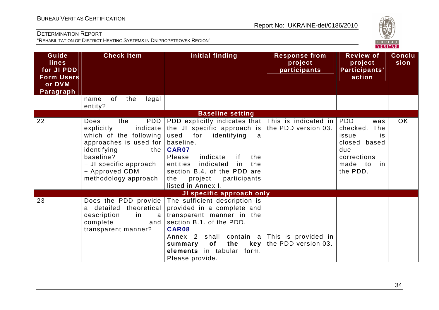

| Guide<br><b>lines</b><br>for JI PDD<br><b>Form Users</b><br>or DVM<br>Paragraph | <b>Check Item</b>                                                                                                                                                                                                | <b>Initial finding</b>                                                                                                                                                                                                                                                                                                  | <b>Response from</b><br>project<br>participants | <b>Review of</b><br>project<br>Participants'<br>action                                                       | <b>Conclu</b><br>sion |
|---------------------------------------------------------------------------------|------------------------------------------------------------------------------------------------------------------------------------------------------------------------------------------------------------------|-------------------------------------------------------------------------------------------------------------------------------------------------------------------------------------------------------------------------------------------------------------------------------------------------------------------------|-------------------------------------------------|--------------------------------------------------------------------------------------------------------------|-----------------------|
|                                                                                 | of<br>the<br>legal<br>name<br>entity?                                                                                                                                                                            |                                                                                                                                                                                                                                                                                                                         |                                                 |                                                                                                              |                       |
|                                                                                 |                                                                                                                                                                                                                  | <b>Baseline setting</b>                                                                                                                                                                                                                                                                                                 |                                                 |                                                                                                              |                       |
| 22                                                                              | PDD<br>the<br><b>Does</b><br>explicitly<br>indicate<br>which of the following<br>approaches is used for<br>identifying<br>the I<br>baseline?<br>- JI specific approach<br>- Approved CDM<br>methodology approach | PDD explicitly indicates that $ $ This is indicated in $ $ PDD<br>the JI specific approach is<br>for<br>used<br>identifying<br>a<br>baseline.<br>CAR07<br>Please<br>indicate<br>if.<br>the<br>indicated<br>the<br>entities<br>in<br>section B.4. of the PDD are<br>project<br>participants<br>the<br>listed in Annex I. | the PDD version 03.                             | was<br>checked.<br>The<br>issue<br>is<br>closed based<br>due<br>corrections<br>made<br>to<br>-in<br>the PDD. | <b>OK</b>             |
|                                                                                 |                                                                                                                                                                                                                  | JI specific approach only                                                                                                                                                                                                                                                                                               |                                                 |                                                                                                              |                       |
| 23                                                                              | Does the PDD provide<br>a detailed<br>theoretical<br>description<br>in<br>a<br>complete<br>and<br>transparent manner?                                                                                            | The sufficient description is<br>provided in a complete and<br>transparent manner in the<br>section B.1. of the PDD.<br>CAR08<br>Annex 2 shall contain $a$ This is provided in<br>of<br>the<br>key<br>summary<br>elements in tabular form.<br>Please provide.                                                           | the PDD version 03.                             |                                                                                                              |                       |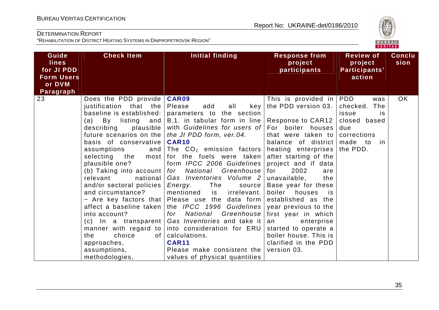

| Guide<br>lines                  | <b>Check Item</b>                                                                                                                                                                                                                                                                                                                                                                                                                                           | <b>Initial finding</b>                                                                                                                                                                                                                                                                                                                                                                                                                                                                                                                                                                                                                                                                                                                                                                                                                    | <b>Response from</b><br>project                                                                                                                                                                                                                                                                                                                                           | <b>Review of</b><br>project                                                            | <b>Conclu</b><br>sion |
|---------------------------------|-------------------------------------------------------------------------------------------------------------------------------------------------------------------------------------------------------------------------------------------------------------------------------------------------------------------------------------------------------------------------------------------------------------------------------------------------------------|-------------------------------------------------------------------------------------------------------------------------------------------------------------------------------------------------------------------------------------------------------------------------------------------------------------------------------------------------------------------------------------------------------------------------------------------------------------------------------------------------------------------------------------------------------------------------------------------------------------------------------------------------------------------------------------------------------------------------------------------------------------------------------------------------------------------------------------------|---------------------------------------------------------------------------------------------------------------------------------------------------------------------------------------------------------------------------------------------------------------------------------------------------------------------------------------------------------------------------|----------------------------------------------------------------------------------------|-----------------------|
| for JI PDD<br><b>Form Users</b> |                                                                                                                                                                                                                                                                                                                                                                                                                                                             |                                                                                                                                                                                                                                                                                                                                                                                                                                                                                                                                                                                                                                                                                                                                                                                                                                           | participants                                                                                                                                                                                                                                                                                                                                                              | Participants'<br>action                                                                |                       |
| or DVM                          |                                                                                                                                                                                                                                                                                                                                                                                                                                                             |                                                                                                                                                                                                                                                                                                                                                                                                                                                                                                                                                                                                                                                                                                                                                                                                                                           |                                                                                                                                                                                                                                                                                                                                                                           |                                                                                        |                       |
| Paragraph<br>23                 | Does the PDD provide  <br>justification that the<br>baseline is established:<br>(a)<br>By listing and<br>plausible  <br>describing<br>future scenarios on the $ $<br>basis of conservative<br>assumptions<br>plausible one?<br>national<br>relevant<br>and/or sectoral policies  <br>and circumstance?<br>affect a baseline taken<br>into account?<br>$(c)$ In a transparent<br>manner with regard to<br>choice<br>0f<br>the<br>approaches,<br>assumptions, | <b>CAR09</b><br>Please<br>add<br>all<br>key<br>parameters to the section<br>B.1. in tabular form in line   Response to CAR12  <br>with Guidelines for users of For boiler houses<br>the JI PDD form, ver.04.<br><b>CAR10</b><br>and $\vert$ The $CO2$ emission factors   heating enterprises   the PDD.<br>selecting the most for the fuels were taken<br>form IPCC 2006 Guidelines<br>(b) Taking into account   for    National    Greenhouse   for<br>Gas Inventories Volume 2<br>The<br>Energy.<br>source  <br>mentioned<br>irrelevant.<br>is<br>- Are key factors that Please use the data form<br>the <i>IPCC</i> 1996 Guidelines year previous to the<br>National Greenhouse first year in which<br>for<br>Gas Inventories and take it<br>into consideration for ERU<br>calculations.<br><b>CAR11</b><br>Please make consistent the | This is provided in $ PDD $<br>the PDD version 03.<br>that were taken to<br>balance of district<br>after starting of the<br>project and if data<br>2002<br>are<br>unavailable,<br>the<br>Base year for these<br>boiler<br>houses<br>is.<br>established as the<br>enterprise<br>an<br>started to operate a<br>boiler house. This is<br>clarified in the PDD<br>version 03. | was<br>checked. The<br>issue<br>is<br>closed based<br>due<br>corrections<br>made to in | <b>OK</b>             |
|                                 | methodologies,                                                                                                                                                                                                                                                                                                                                                                                                                                              | values of physical quantities                                                                                                                                                                                                                                                                                                                                                                                                                                                                                                                                                                                                                                                                                                                                                                                                             |                                                                                                                                                                                                                                                                                                                                                                           |                                                                                        |                       |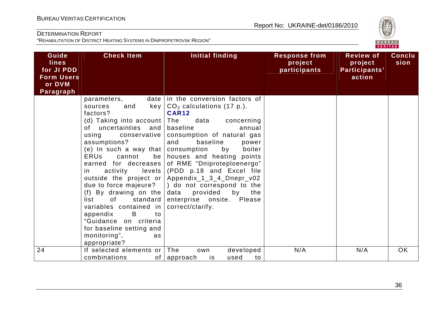

| Guide<br><b>lines</b><br>for JI PDD<br><b>Form Users</b><br>or DVM<br>Paragraph | <b>Check Item</b>                                                                                                                                                                                                                                                                                                                                                                                                                                                                                                                                                                                                                                                                                                      | Initial finding                                                                                                                                                                                                                                                                                                                                                                                                                                                                       | <b>Response from</b><br>project<br>participants | <b>Review of</b><br>project<br>Participants'<br>action | <b>Conclu</b><br>sion |
|---------------------------------------------------------------------------------|------------------------------------------------------------------------------------------------------------------------------------------------------------------------------------------------------------------------------------------------------------------------------------------------------------------------------------------------------------------------------------------------------------------------------------------------------------------------------------------------------------------------------------------------------------------------------------------------------------------------------------------------------------------------------------------------------------------------|---------------------------------------------------------------------------------------------------------------------------------------------------------------------------------------------------------------------------------------------------------------------------------------------------------------------------------------------------------------------------------------------------------------------------------------------------------------------------------------|-------------------------------------------------|--------------------------------------------------------|-----------------------|
|                                                                                 | parameters,<br>key  <br>and<br>sources<br>factors?<br>(d) Taking into account   The<br>of uncertainties and<br>using<br>conservative<br>assumptions?<br>(e) In such a way that $ $<br>cannot<br><b>ERUs</b><br>earned for decreases<br>activity<br>levels<br>in i<br>outside the project or<br>(f) By drawing on the<br>of the contract of the contract of the contract of the contract of the contract of the contract of the contract of the contract of the contract of the contract of the contract of the contract of the contract of the contrac<br>standard<br>list<br>variables contained in<br>B<br>to<br>appendix<br>"Guidance on criteria<br>for baseline setting and<br>monitoring",<br>as<br>appropriate? | date   in the conversion factors of<br>$CO2$ calculations (17 p.).<br><b>CAR12</b><br>data<br>concerning<br>baseline<br>annual<br>consumption of natural gas<br>baseline<br>and<br>power<br>consumption<br>by<br>boiler<br>be houses and heating points<br>of RME "Dniproteploenergo"<br>(PDD p.18 and Excel file<br>Appendix_1_3_4_Dnepr_v02<br>due to force majeure? $ $ do not correspond to the<br>provided<br>by<br>data<br>the<br>enterprise onsite. Please<br>correct/clarify. |                                                 |                                                        |                       |
| 24                                                                              | If selected elements or The<br>combinations                                                                                                                                                                                                                                                                                                                                                                                                                                                                                                                                                                                                                                                                            | developed<br>own<br>is<br>used<br>of   approach<br>to                                                                                                                                                                                                                                                                                                                                                                                                                                 | N/A                                             | N/A                                                    | <b>OK</b>             |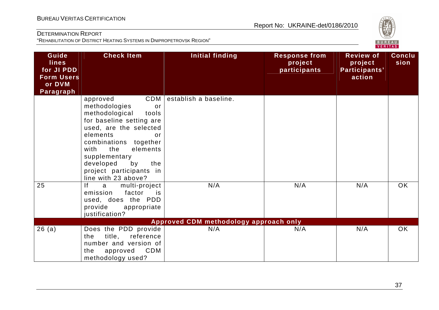

| Guide<br><b>lines</b><br>for JI PDD<br><b>Form Users</b><br>or DVM<br>Paragraph | <b>Check Item</b>                                                                                                                                                                                                                                                                          | <b>Initial finding</b>                        | <b>Response from</b><br>project<br>participants | <b>Review of</b><br>project<br>Participants'<br>action | <b>Conclu</b><br>sion |
|---------------------------------------------------------------------------------|--------------------------------------------------------------------------------------------------------------------------------------------------------------------------------------------------------------------------------------------------------------------------------------------|-----------------------------------------------|-------------------------------------------------|--------------------------------------------------------|-----------------------|
|                                                                                 | CDM<br>approved<br>methodologies<br>or<br>methodological<br>tools<br>for baseline setting are<br>used, are the selected<br>elements<br>or<br>combinations together<br>elements<br>the<br>with<br>supplementary<br>developed<br>by<br>the<br>project participants in<br>line with 23 above? | establish a baseline.                         |                                                 |                                                        |                       |
| 25                                                                              | f <br>multi-project<br>a<br>factor<br>emission<br>is<br>used, does the PDD<br>provide<br>appropriate<br>justification?                                                                                                                                                                     | N/A                                           | N/A                                             | N/A                                                    | <b>OK</b>             |
| 26(a)                                                                           | Does the PDD provide<br>title,<br>reference<br>the<br>number and version of<br>CDM<br>approved<br>the<br>methodology used?                                                                                                                                                                 | Approved CDM methodology approach only<br>N/A | N/A                                             | N/A                                                    | <b>OK</b>             |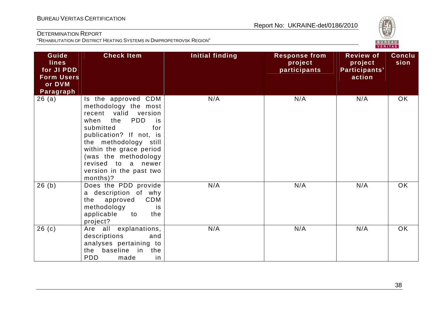

| Guide<br><b>lines</b><br>for JI PDD<br><b>Form Users</b><br>or DVM<br>Paragraph | <b>Check Item</b>                                                                                                                                                                                                                                                                       | <b>Initial finding</b> | <b>Response from</b><br>project<br>participants | <b>Review of</b><br>project<br>Participants'<br>action | <b>Conclu</b><br>sion |
|---------------------------------------------------------------------------------|-----------------------------------------------------------------------------------------------------------------------------------------------------------------------------------------------------------------------------------------------------------------------------------------|------------------------|-------------------------------------------------|--------------------------------------------------------|-----------------------|
| 26(a)                                                                           | Is the approved CDM<br>methodology the most<br>recent valid version<br>the<br>PDD<br>when<br>is<br>submitted<br>for<br>publication? If not, is<br>the methodology still<br>within the grace period<br>(was the methodology<br>revised to a newer<br>version in the past two<br>months)? | N/A                    | N/A                                             | N/A                                                    | OK                    |
| 26(b)                                                                           | Does the PDD provide<br>a description of why<br>CDM<br>approved<br>the<br>methodology<br>is<br>applicable<br>to<br>the<br>project?                                                                                                                                                      | N/A                    | N/A                                             | N/A                                                    | <b>OK</b>             |
| 26(c)                                                                           | Are all explanations,<br>descriptions<br>and<br>analyses pertaining to<br>baseline in the<br>the<br><b>PDD</b><br>made<br>in                                                                                                                                                            | N/A                    | N/A                                             | N/A                                                    | OK                    |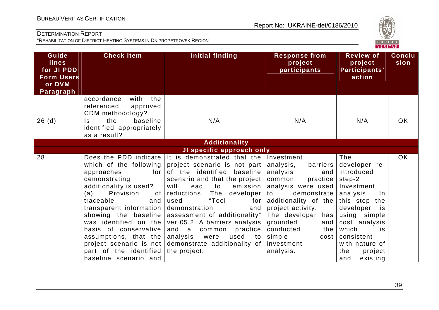

| Guide<br><b>lines</b><br>for JI PDD<br><b>Form Users</b><br>or DVM<br>Paragraph | <b>Check Item</b>                                                                                                                                                                                                                                                                                                                                                         | <b>Initial finding</b>                                                                                                                                                                                                                                                                                                                                                                                                                        | Response from<br>project<br>participants                                                                                                                                                                                                                                        | <b>Review of</b><br>project<br>Participants'<br>action                                                                                                                                                                                  | Conclu<br>sion |
|---------------------------------------------------------------------------------|---------------------------------------------------------------------------------------------------------------------------------------------------------------------------------------------------------------------------------------------------------------------------------------------------------------------------------------------------------------------------|-----------------------------------------------------------------------------------------------------------------------------------------------------------------------------------------------------------------------------------------------------------------------------------------------------------------------------------------------------------------------------------------------------------------------------------------------|---------------------------------------------------------------------------------------------------------------------------------------------------------------------------------------------------------------------------------------------------------------------------------|-----------------------------------------------------------------------------------------------------------------------------------------------------------------------------------------------------------------------------------------|----------------|
|                                                                                 | accordance<br>with<br>the<br>referenced<br>approved<br>CDM methodology?                                                                                                                                                                                                                                                                                                   |                                                                                                                                                                                                                                                                                                                                                                                                                                               |                                                                                                                                                                                                                                                                                 |                                                                                                                                                                                                                                         |                |
| 26(d)                                                                           | baseline<br>$\mathsf{ls}$<br>the<br>identified appropriately<br>as a result?                                                                                                                                                                                                                                                                                              | N/A                                                                                                                                                                                                                                                                                                                                                                                                                                           | N/A                                                                                                                                                                                                                                                                             | N/A                                                                                                                                                                                                                                     | <b>OK</b>      |
|                                                                                 |                                                                                                                                                                                                                                                                                                                                                                           | <b>Additionality</b>                                                                                                                                                                                                                                                                                                                                                                                                                          |                                                                                                                                                                                                                                                                                 |                                                                                                                                                                                                                                         |                |
|                                                                                 |                                                                                                                                                                                                                                                                                                                                                                           | JI specific approach only                                                                                                                                                                                                                                                                                                                                                                                                                     |                                                                                                                                                                                                                                                                                 |                                                                                                                                                                                                                                         |                |
| 28                                                                              | Does the PDD indicate<br>which of the following<br>approaches<br>for<br>demonstrating<br>additionality is used?<br>Provision<br>(a)<br>of<br>traceable<br>and<br>transparent information<br>showing the baseline<br>was identified on the<br>basis of conservative<br>assumptions, that the<br>project scenario is not<br>part of the identified<br>baseline scenario and | It is demonstrated that the<br>project scenario is not part<br>of the identified baseline<br>scenario and that the project<br>will<br>emission<br>lead<br>to<br>The<br>reductions.<br>developer<br>"Tool<br>used<br>for<br>demonstration<br>and<br>assessment of additionality"<br>ver 05.2. A barriers analysis<br>and<br>practice  <br>$\alpha$<br>common<br>analysis<br>used<br>were<br>to<br>demonstrate additionality of<br>the project. | Investment<br>analysis,<br>barriers<br>analysis<br>and<br>practice<br>common<br>analysis were used<br>demonstrate<br>to<br>additionality of the<br>project activity.<br>The developer has<br>grounded<br>and<br>conducted<br>the<br>simple<br>cost  <br>investment<br>analysis. | The<br>developer re-<br>introduced<br>step-2<br>Investment<br>analysis.<br>In.<br>this step the<br>developer<br>is<br>using simple<br>cost analysis<br>which<br>is<br>consistent<br>with nature of<br>the<br>project<br>existing<br>and | OK             |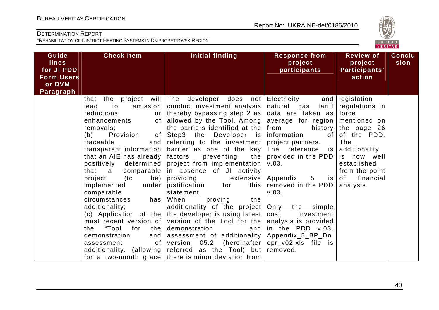

| Guide<br><b>lines</b><br>for JI PDD<br><b>Form Users</b><br>or DVM<br>Paragraph | <b>Check Item</b>                                                                                                                                                                                                                                                                                                                                                                                                                                                                                        | Initial finding                                                                                                                                                                                                                                                                                                                                                                                                                                                                                                                                                                                                                                                                                                                                                                                                       | <b>Response from</b><br>project<br>participants                                                                                                                                                                                                                                                                                        | <b>Review of</b><br>project<br>Participants'<br>action                                                                                                                             | <b>Conclu</b><br>sion |
|---------------------------------------------------------------------------------|----------------------------------------------------------------------------------------------------------------------------------------------------------------------------------------------------------------------------------------------------------------------------------------------------------------------------------------------------------------------------------------------------------------------------------------------------------------------------------------------------------|-----------------------------------------------------------------------------------------------------------------------------------------------------------------------------------------------------------------------------------------------------------------------------------------------------------------------------------------------------------------------------------------------------------------------------------------------------------------------------------------------------------------------------------------------------------------------------------------------------------------------------------------------------------------------------------------------------------------------------------------------------------------------------------------------------------------------|----------------------------------------------------------------------------------------------------------------------------------------------------------------------------------------------------------------------------------------------------------------------------------------------------------------------------------------|------------------------------------------------------------------------------------------------------------------------------------------------------------------------------------|-----------------------|
|                                                                                 | to<br>emission<br>lead<br>reductions<br>or<br>enhancements<br>of<br>removals;<br>Provision<br>of<br>(b)<br>traceable<br>and<br>transparent information<br>that an AIE has already<br>positively<br>determined<br>that a<br>comparable<br>project<br>(to<br>be)<br>under<br>implemented<br>comparable<br>circumstances<br>has<br>additionality;<br>(c) Application of the<br>most recent version of<br>"Tool<br>for<br>the<br>the<br>demonstration<br>and<br>assessment<br>of<br>additionality. (allowing | that the project will The developer does not Electricity<br>conduct investment analysis<br>thereby bypassing step 2 as $ $<br>allowed by the Tool. Among<br>the barriers identified at the $ $ from<br>Step3 the Developer is information<br>referring to the investment project partners.<br>barrier as one of the key<br>the<br>factors<br>preventing<br>project from implementation<br>in absence of JI activity<br>providing<br>extensive<br>justification<br>for<br>this  <br>statement.<br>When<br>the<br>proving<br>additionality of the project<br>the developer is using latest<br>version of the Tool for the<br>demonstration<br>and  <br>assessment of additionality   Appendix_5_BP_Dn<br>version<br>05.2<br>referred as the Tool) but removed.<br>for a two-month grace   there is minor deviation from | natural gas tariff<br>data are taken as force<br>average for region mentioned on<br>The reference is<br>provided in the PDD<br>V.03.<br>Appendix<br>$5\overline{)}$<br>is I<br>removed in the PDD<br>V.03.<br>Only the simple<br>investment<br>cost<br>analysis is provided<br>in the PDD v.03.<br>(hereinafter $ epr_v02.x s$ file is | and legislation<br>regulations in<br>history the page 26<br>of of the PDD.<br>The<br>additionality<br>is now well<br>established<br>from the point<br>financial<br>of<br>analysis. |                       |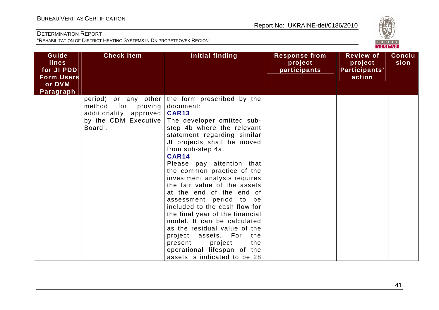

| Guide<br><b>lines</b><br>for JI PDD<br><b>Form Users</b><br>or DVM<br>Paragraph | <b>Check Item</b>                                                                     | <b>Initial finding</b>                                                                                                                                                                                                                                                                                                                                                                                                                                                                                                                                                                                                                                                                    | <b>Response from</b><br>project<br>participants | <b>Review of</b><br>project<br>Participants'<br>action | <b>Conclu</b><br>sion |
|---------------------------------------------------------------------------------|---------------------------------------------------------------------------------------|-------------------------------------------------------------------------------------------------------------------------------------------------------------------------------------------------------------------------------------------------------------------------------------------------------------------------------------------------------------------------------------------------------------------------------------------------------------------------------------------------------------------------------------------------------------------------------------------------------------------------------------------------------------------------------------------|-------------------------------------------------|--------------------------------------------------------|-----------------------|
|                                                                                 | for<br>proving<br>method<br>additionality approved<br>by the CDM Executive<br>Board". | period) or any other the form prescribed by the<br>document:<br><b>CAR13</b><br>The developer omitted sub-<br>step 4b where the relevant<br>statement regarding similar<br>JI projects shall be moved<br>from sub-step 4a.<br><b>CAR14</b><br>Please pay attention that<br>the common practice of the<br>investment analysis requires<br>the fair value of the assets<br>at the end of the end of<br>assessment period to be<br>included to the cash flow for<br>the final year of the financial<br>model. It can be calculated<br>as the residual value of the<br>project assets. For<br>the<br>project<br>the<br>present<br>operational lifespan of the<br>assets is indicated to be 28 |                                                 |                                                        |                       |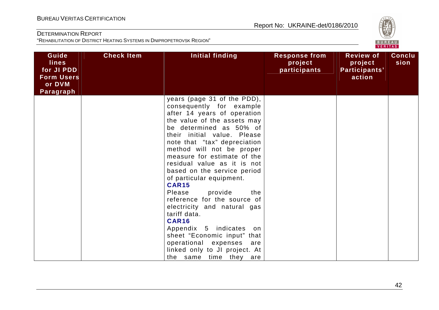

| Guide<br><b>lines</b><br>for JI PDD<br><b>Form Users</b><br>or DVM | <b>Check Item</b> | <b>Initial finding</b>                                                                                                                                                                                                                                                                                                                                                                                                                                                                                                                                                                                                                                              | <b>Response from</b><br>project<br>participants | <b>Review of</b><br>project<br>Participants'<br>action | <b>Conclu</b><br>sion |
|--------------------------------------------------------------------|-------------------|---------------------------------------------------------------------------------------------------------------------------------------------------------------------------------------------------------------------------------------------------------------------------------------------------------------------------------------------------------------------------------------------------------------------------------------------------------------------------------------------------------------------------------------------------------------------------------------------------------------------------------------------------------------------|-------------------------------------------------|--------------------------------------------------------|-----------------------|
| Paragraph                                                          |                   | years (page 31 of the PDD),<br>consequently for example<br>after 14 years of operation<br>the value of the assets may<br>be determined as 50% of<br>their initial value. Please<br>note that "tax" depreciation<br>method will not be proper<br>measure for estimate of the<br>residual value as it is not<br>based on the service period<br>of particular equipment.<br><b>CAR15</b><br>provide<br>Please<br>the<br>reference for the source of<br>electricity and natural gas<br>tariff data.<br><b>CAR16</b><br>Appendix 5 indicates<br>on<br>sheet "Economic input" that<br>operational expenses are<br>linked only to JI project. At<br>the same time they are |                                                 |                                                        |                       |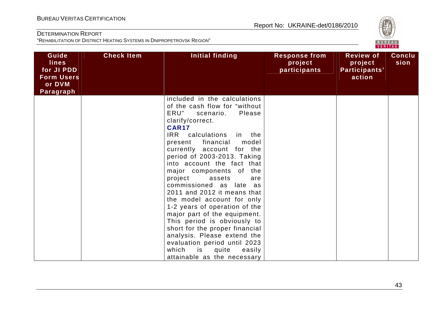

| Guide<br><b>lines</b><br>for JI PDD<br><b>Form Users</b><br>or DVM<br>Paragraph | <b>Check Item</b> | Initial finding                                                                                                                                                                                                                                                                                                                                                                                                                                                                                                                                                                                                                                                                                            | <b>Response from</b><br>project<br>participants | <b>Review of</b><br>project<br>Participants'<br>action | <b>Conclu</b><br>sion |
|---------------------------------------------------------------------------------|-------------------|------------------------------------------------------------------------------------------------------------------------------------------------------------------------------------------------------------------------------------------------------------------------------------------------------------------------------------------------------------------------------------------------------------------------------------------------------------------------------------------------------------------------------------------------------------------------------------------------------------------------------------------------------------------------------------------------------------|-------------------------------------------------|--------------------------------------------------------|-----------------------|
|                                                                                 |                   | included in the calculations<br>of the cash flow for "without<br>ERU"<br>Please<br>scenario.<br>clarify/correct.<br><b>CAR17</b><br>IRR calculations<br>in the<br>present financial<br>model<br>currently account for the<br>period of 2003-2013. Taking<br>into account the fact that<br>major components of<br>the<br>project<br>assets<br>are<br>commissioned as late as<br>2011 and 2012 it means that<br>the model account for only<br>1-2 years of operation of the<br>major part of the equipment.<br>This period is obviously to<br>short for the proper financial<br>analysis. Please extend the<br>evaluation period until 2023<br>which<br>is<br>quite<br>easily<br>attainable as the necessary |                                                 |                                                        |                       |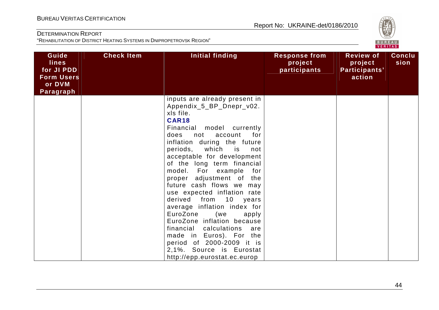

| Guide<br><b>lines</b><br>for JI PDD<br><b>Form Users</b><br>or DVM<br>Paragraph | <b>Check Item</b> | Initial finding                                                                                                                                                                                                                                                                                                                                                                                                                                                                                                                                                                                                                                                        | <b>Response from</b><br>project<br>participants | <b>Review of</b><br>project<br>Participants'<br>action | <b>Conclu</b><br>sion |
|---------------------------------------------------------------------------------|-------------------|------------------------------------------------------------------------------------------------------------------------------------------------------------------------------------------------------------------------------------------------------------------------------------------------------------------------------------------------------------------------------------------------------------------------------------------------------------------------------------------------------------------------------------------------------------------------------------------------------------------------------------------------------------------------|-------------------------------------------------|--------------------------------------------------------|-----------------------|
|                                                                                 |                   | inputs are already present in<br>Appendix_5_BP_Dnepr_v02.<br>xls file.<br><b>CAR18</b><br>Financial model currently<br>for<br>account<br>does<br>not<br>inflation during the future<br>periods, which<br>is<br>not<br>acceptable for development<br>of the long term financial<br>model. For example for<br>proper adjustment of the<br>future cash flows we may<br>use expected inflation rate<br>derived from 10 years<br>average inflation index for<br>EuroZone<br>(we<br>apply<br>EuroZone inflation because<br>financial calculations<br>are<br>made in Euros). For the<br>period of 2000-2009 it is<br>2,1%. Source is Eurostat<br>http://epp.eurostat.ec.europ |                                                 |                                                        |                       |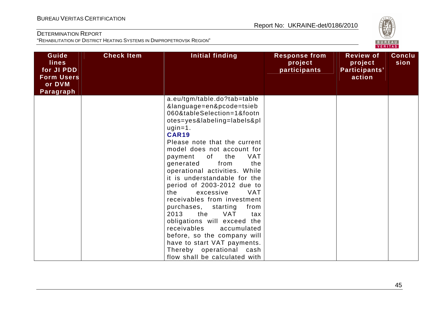

| Guide<br><b>lines</b><br>for JI PDD<br><b>Form Users</b><br>or DVM<br>Paragraph | <b>Check Item</b> | Initial finding                                                                                                                                                                                                                                                                                                                                                                                                                                                                                                                                                                                                                                                                                                 | <b>Response from</b><br>project<br>participants | <b>Review of</b><br>project<br>Participants'<br>action | <b>Conclu</b><br>sion |
|---------------------------------------------------------------------------------|-------------------|-----------------------------------------------------------------------------------------------------------------------------------------------------------------------------------------------------------------------------------------------------------------------------------------------------------------------------------------------------------------------------------------------------------------------------------------------------------------------------------------------------------------------------------------------------------------------------------------------------------------------------------------------------------------------------------------------------------------|-------------------------------------------------|--------------------------------------------------------|-----------------------|
|                                                                                 |                   | a.eu/tgm/table.do?tab=table<br>&language=en&pcode=tsieb<br>060&tableSelection=1&footn<br>otes=yes&labeling=labels&pl<br>$ugin=1.$<br><b>CAR19</b><br>Please note that the current<br>model does not account for<br>of<br>the<br><b>VAT</b><br>payment<br>from<br>generated<br>the<br>operational activities. While<br>it is understandable for the<br>period of 2003-2012 due to<br><b>VAT</b><br>the<br>excessive<br>receivables from investment<br>purchases,<br>starting<br>from<br>2013<br>the<br><b>VAT</b><br>tax<br>obligations will exceed the<br>receivables<br>accumulated<br>before, so the company will<br>have to start VAT payments.<br>Thereby operational cash<br>flow shall be calculated with |                                                 |                                                        |                       |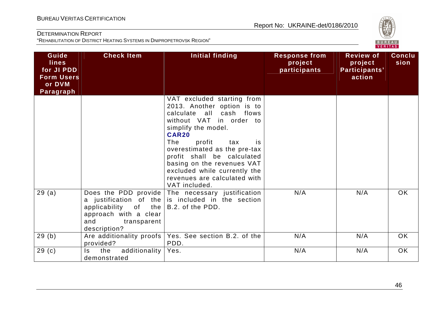

| Guide<br><b>lines</b><br>for JI PDD<br><b>Form Users</b><br>or DVM<br>Paragraph | <b>Check Item</b>                                                                                             | <b>Initial finding</b>                                                                                                                                                                                                                                                                                                                                             | <b>Response from</b><br>project<br>participants | <b>Review of</b><br>project<br>Participants'<br>action | <b>Conclu</b><br>sion |
|---------------------------------------------------------------------------------|---------------------------------------------------------------------------------------------------------------|--------------------------------------------------------------------------------------------------------------------------------------------------------------------------------------------------------------------------------------------------------------------------------------------------------------------------------------------------------------------|-------------------------------------------------|--------------------------------------------------------|-----------------------|
|                                                                                 |                                                                                                               | VAT excluded starting from<br>2013. Another option is to<br>calculate all cash flows<br>without VAT in order to<br>simplify the model.<br><b>CAR20</b><br>The<br>profit<br>tax<br>is.<br>overestimated as the pre-tax<br>profit shall be calculated<br>basing on the revenues VAT<br>excluded while currently the<br>revenues are calculated with<br>VAT included. |                                                 |                                                        |                       |
| 29(a)                                                                           | a justification of the<br>applicability of the<br>approach with a clear<br>and<br>transparent<br>description? | Does the PDD provide The necessary justification<br>is included in the section<br>B.2. of the PDD.                                                                                                                                                                                                                                                                 | N/A                                             | N/A                                                    | <b>OK</b>             |
| 29(b)                                                                           | Are additionality proofs<br>provided?                                                                         | Yes. See section B.2. of the<br>PDD.                                                                                                                                                                                                                                                                                                                               | N/A                                             | N/A                                                    | OK                    |
| 29 <sub>(c)</sub>                                                               | additionality<br>the<br>Is.<br>demonstrated                                                                   | Yes.                                                                                                                                                                                                                                                                                                                                                               | N/A                                             | N/A                                                    | OK                    |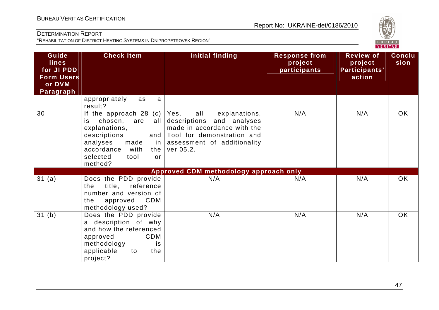

| Guide<br><b>lines</b><br>for JI PDD<br><b>Form Users</b><br>or DVM<br>Paragraph | <b>Check Item</b>                                                                                                                                                                                 | Initial finding                                                                                                                                                    | <b>Response from</b><br>project<br>participants | <b>Review of</b><br>project<br>Participants'<br>action | <b>Conclu</b><br>sion |
|---------------------------------------------------------------------------------|---------------------------------------------------------------------------------------------------------------------------------------------------------------------------------------------------|--------------------------------------------------------------------------------------------------------------------------------------------------------------------|-------------------------------------------------|--------------------------------------------------------|-----------------------|
|                                                                                 | appropriately<br>a<br>as<br>result?                                                                                                                                                               |                                                                                                                                                                    |                                                 |                                                        |                       |
| 30                                                                              | If the approach $28$ (c)<br>chosen,<br>all<br>are<br>is<br>explanations,<br>descriptions<br>and  <br>analyses<br>made<br>in I<br>accordance<br>with<br>the I<br>selected<br>tool<br>or<br>method? | all<br>Yes,<br>explanations,<br>descriptions and analyses<br>made in accordance with the<br>Tool for demonstration and<br>assessment of additionality<br>ver 05.2. | N/A                                             | N/A                                                    | <b>OK</b>             |
|                                                                                 |                                                                                                                                                                                                   | Approved CDM methodology approach only                                                                                                                             |                                                 |                                                        |                       |
| 31(a)                                                                           | Does the PDD provide<br>title,<br>reference<br>the<br>number and version of<br><b>CDM</b><br>the<br>approved<br>methodology used?                                                                 | N/A                                                                                                                                                                | N/A                                             | N/A                                                    | <b>OK</b>             |
| 31(b)                                                                           | Does the PDD provide<br>a description of why<br>and how the referenced<br>CDM<br>approved<br>methodology<br>is<br>applicable<br>the<br>to<br>project?                                             | N/A                                                                                                                                                                | N/A                                             | N/A                                                    | OK                    |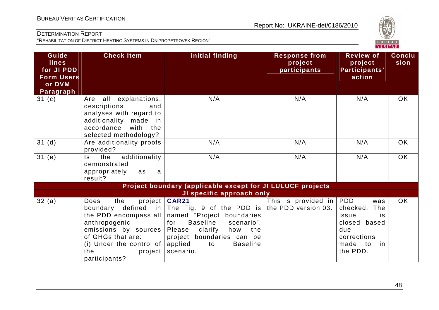

| Guide<br><b>lines</b><br>for JI PDD<br><b>Form Users</b><br>or DVM<br><b>Paragraph</b> | <b>Check Item</b>                                                                                                                                                     | <b>Initial finding</b>                                                                                                                                                                                                                                                    | <b>Response from</b><br>project<br>participants | <b>Review of</b><br>project<br>Participants'<br>action                                                              | <b>Conclu</b><br>sion |
|----------------------------------------------------------------------------------------|-----------------------------------------------------------------------------------------------------------------------------------------------------------------------|---------------------------------------------------------------------------------------------------------------------------------------------------------------------------------------------------------------------------------------------------------------------------|-------------------------------------------------|---------------------------------------------------------------------------------------------------------------------|-----------------------|
| 31(c)                                                                                  | Are all explanations,<br>descriptions<br>and<br>analyses with regard to<br>additionality made in<br>accordance<br>with<br>the<br>selected methodology?                | N/A                                                                                                                                                                                                                                                                       | N/A                                             | N/A                                                                                                                 | <b>OK</b>             |
| 31(d)                                                                                  | Are additionality proofs<br>provided?                                                                                                                                 | N/A                                                                                                                                                                                                                                                                       | N/A                                             | N/A                                                                                                                 | OK                    |
| 31(e)                                                                                  | additionality<br>the<br>Is.<br>demonstrated<br>appropriately<br>as<br>a<br>result?                                                                                    | N/A                                                                                                                                                                                                                                                                       | N/A                                             | N/A                                                                                                                 | OK                    |
|                                                                                        |                                                                                                                                                                       | Project boundary (applicable except for JI LULUCF projects                                                                                                                                                                                                                |                                                 |                                                                                                                     |                       |
|                                                                                        |                                                                                                                                                                       | JI specific approach only                                                                                                                                                                                                                                                 |                                                 |                                                                                                                     |                       |
| 32(a)                                                                                  | the<br>Does<br>the PDD encompass all<br>anthropogenic<br>emissions by sources<br>of GHGs that are:<br>(i) Under the control of $ $<br>the<br>project<br>participants? | project   CAR21<br>boundary defined in The Fig. 9 of the PDD is the PDD version 03.<br>named "Project boundaries<br><b>Baseline</b><br>scenario".<br>for<br>Please<br>clarify<br>how<br>the<br>project boundaries can be<br>applied<br><b>Baseline</b><br>to<br>scenario. | This is provided in $ PDD $                     | was<br>checked.<br>The<br>issue<br>is<br>closed based<br>due<br>corrections<br>made to<br><sub>in</sub><br>the PDD. | <b>OK</b>             |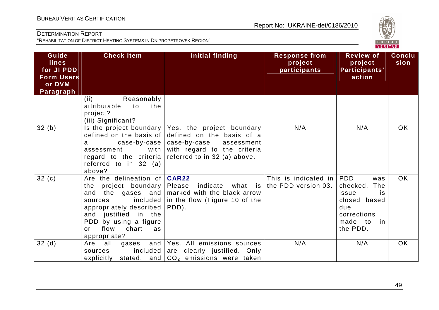

| Guide<br><b>lines</b><br>for JI PDD<br><b>Form Users</b><br>or DVM<br>Paragraph | <b>Check Item</b>                                                                                                                                                                                                                   | Initial finding                                                                                                                                                                                       | <b>Response from</b><br>project<br>participants     | <b>Review of</b><br>project<br>Participants'<br>action                                                | <b>Conclu</b><br>sion |
|---------------------------------------------------------------------------------|-------------------------------------------------------------------------------------------------------------------------------------------------------------------------------------------------------------------------------------|-------------------------------------------------------------------------------------------------------------------------------------------------------------------------------------------------------|-----------------------------------------------------|-------------------------------------------------------------------------------------------------------|-----------------------|
|                                                                                 | Reasonably<br>(ii)<br>attributable<br>the<br>to<br>project?<br>(iii) Significant?                                                                                                                                                   |                                                                                                                                                                                                       |                                                     |                                                                                                       |                       |
| 32(b)                                                                           | defined on the basis of<br>a<br>with<br>assessment<br>regard to the criteria<br>referred to in 32 (a)<br>above?                                                                                                                     | Is the project boundary $\sqrt{Y}$ Yes, the project boundary<br>defined on the basis of a<br>case-by-case   case-by-case<br>assessment<br>with regard to the criteria<br>referred to in 32 (a) above. | N/A                                                 | N/A                                                                                                   | <b>OK</b>             |
| 32(c)                                                                           | Are the delineation of <b>CAR22</b><br>the project boundary<br>the gases and<br>and<br>included<br>sources<br>appropriately described<br>and justified in the<br>PDD by using a figure<br>flow<br>chart<br>as<br>or<br>appropriate? | Please<br>indicate<br>what is<br>marked with the black arrow<br>in the flow (Figure 10 of the<br>PDD).                                                                                                | This is indicated in $ PDD $<br>the PDD version 03. | was<br>checked.<br>The<br>issue<br>is<br>closed based<br>due<br>corrections<br>made to in<br>the PDD. | OK.                   |
| 32(d)                                                                           | all<br>Are<br>sources<br>explicitly                                                                                                                                                                                                 | gases and Yes. All emissions sources<br>included are clearly justified. Only<br>stated, and $CO2$ emissions were taken                                                                                | N/A                                                 | N/A                                                                                                   | <b>OK</b>             |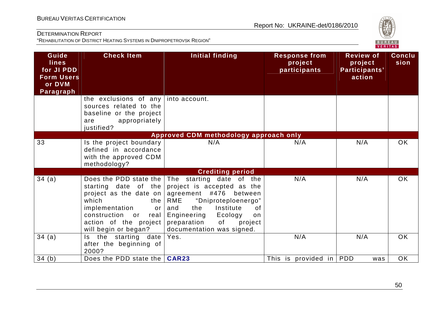

| Guide<br><b>lines</b><br>for JI PDD<br><b>Form Users</b><br>or DVM<br>Paragraph | <b>Check Item</b>                                                                                                                                                                               | <b>Initial finding</b>                                                                                                                                                                                                                          | <b>Response from</b><br>project<br>participants | <b>Review of</b><br>project<br>Participants'<br>action | <b>Conclu</b><br>sion |
|---------------------------------------------------------------------------------|-------------------------------------------------------------------------------------------------------------------------------------------------------------------------------------------------|-------------------------------------------------------------------------------------------------------------------------------------------------------------------------------------------------------------------------------------------------|-------------------------------------------------|--------------------------------------------------------|-----------------------|
|                                                                                 | the exclusions of any<br>sources related to the<br>baseline or the project<br>appropriately<br>are<br>justified?                                                                                | into account.                                                                                                                                                                                                                                   |                                                 |                                                        |                       |
|                                                                                 |                                                                                                                                                                                                 | Approved CDM methodology approach only                                                                                                                                                                                                          |                                                 |                                                        |                       |
| 33                                                                              | Is the project boundary<br>defined in accordance<br>with the approved CDM<br>methodology?                                                                                                       | N/A                                                                                                                                                                                                                                             | N/A                                             | N/A                                                    | <b>OK</b>             |
|                                                                                 |                                                                                                                                                                                                 | <b>Crediting period</b>                                                                                                                                                                                                                         |                                                 |                                                        |                       |
| 34(a)                                                                           | Does the PDD state the<br>starting date of the<br>project as the date on<br>which<br>the<br>implementation<br>or<br>construction<br>or<br>real<br>action of the project<br>will begin or began? | The starting date of the<br>project is accepted as the<br>agreement #476<br>between<br>RME<br>"Dniproteploenergo"<br>Institute<br>and<br>the<br>0f<br>Engineering<br>Ecology<br>on<br>preparation<br>of<br>project<br>documentation was signed. | N/A                                             | N/A                                                    | <b>OK</b>             |
| 34(a)                                                                           | the starting date<br>Is.<br>after the beginning of<br>2000?                                                                                                                                     | Yes.                                                                                                                                                                                                                                            | N/A                                             | N/A                                                    | <b>OK</b>             |
| 34(b)                                                                           | Does the PDD state the   CAR23                                                                                                                                                                  |                                                                                                                                                                                                                                                 | This is provided in PDD                         | was                                                    | OK                    |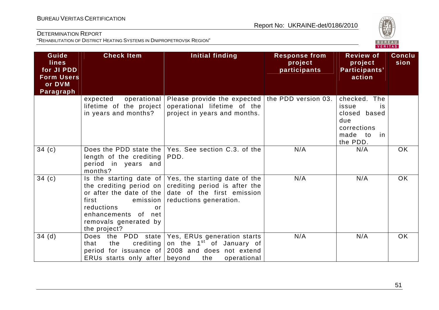

| Guide<br><b>lines</b><br>for JI PDD<br><b>Form Users</b><br>or DVM<br>Paragraph | <b>Check Item</b>                                                                                       | Initial finding                                                                                                                                                                                 | <b>Response from</b><br>project<br>participants | <b>Review of</b><br>project<br>Participants'<br>action                                                | <b>Conclu</b><br>sion |
|---------------------------------------------------------------------------------|---------------------------------------------------------------------------------------------------------|-------------------------------------------------------------------------------------------------------------------------------------------------------------------------------------------------|-------------------------------------------------|-------------------------------------------------------------------------------------------------------|-----------------------|
|                                                                                 | operational<br>expected<br>lifetime of the project<br>in years and months?                              | Please provide the expected the PDD version 03.<br>operational lifetime of the<br>project in years and months.                                                                                  |                                                 | checked. The<br>issue<br><b>is</b><br>closed based<br>due<br>corrections<br>made to<br>in<br>the PDD. |                       |
| 34 $(c)$                                                                        | length of the crediting<br>period in years and<br>months?                                               | Does the PDD state the Yes. See section C.3. of the<br>PDD.                                                                                                                                     | N/A                                             | N/A                                                                                                   | <b>OK</b>             |
| 34(c)                                                                           | first<br>emission  <br>reductions<br>or<br>enhancements of net<br>removals generated by<br>the project? | Is the starting date of Yes, the starting date of the<br>the crediting period on crediting period is after the<br>or after the date of the date of the first emission<br>reductions generation. | N/A                                             | N/A                                                                                                   | <b>OK</b>             |
| 34(d)                                                                           | crediting  <br>that<br>the<br>ERUs starts only after beyond                                             | Does the PDD state   Yes, ERUs generation starts<br>on the 1 <sup>st</sup> of January of<br>period for issuance of 2008 and does not extend<br>the<br>operational                               | N/A                                             | N/A                                                                                                   | OK                    |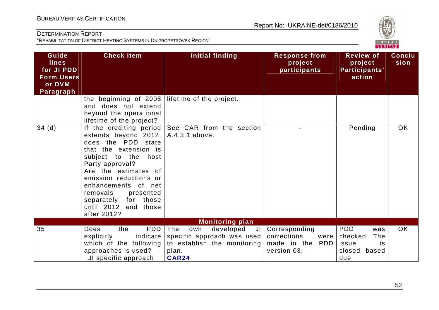

| Guide<br><b>lines</b><br>for JI PDD<br><b>Form Users</b><br>or DVM | <b>Check Item</b>                                                                                                                                                                                                                                                                                                  | <b>Initial finding</b>                                                                                              | <b>Response from</b><br>project<br>participants                        | <b>Review of</b><br>project<br>Participants'<br>action                        | <b>Conclu</b><br>sion |
|--------------------------------------------------------------------|--------------------------------------------------------------------------------------------------------------------------------------------------------------------------------------------------------------------------------------------------------------------------------------------------------------------|---------------------------------------------------------------------------------------------------------------------|------------------------------------------------------------------------|-------------------------------------------------------------------------------|-----------------------|
| Paragraph                                                          | the beginning of 2008<br>and does not extend<br>beyond the operational<br>lifetime of the project?                                                                                                                                                                                                                 | lifetime of the project.                                                                                            |                                                                        |                                                                               |                       |
| 34(d)                                                              | If the crediting period<br>extends beyond 2012,<br>does the PDD state<br>that the extension is<br>subject to the host<br>Party approval?<br>Are the estimates of<br>emission reductions or<br>of net<br>enhancements<br>removals<br>presented<br>those<br>separately<br>for<br>until 2012 and those<br>after 2012? | See CAR from the section<br>A.4.3.1 above.                                                                          |                                                                        | Pending                                                                       | <b>OK</b>             |
|                                                                    |                                                                                                                                                                                                                                                                                                                    | <b>Monitoring plan</b>                                                                                              |                                                                        |                                                                               |                       |
| 35                                                                 | <b>PDD</b><br><b>Does</b><br>the<br>indicate<br>explicitly<br>which of the following<br>approaches is used?<br>-JI specific approach                                                                                                                                                                               | The<br>developed<br>own<br>JI<br>specific approach was used<br>to establish the monitoring<br>plan.<br><b>CAR24</b> | Corresponding<br>corrections<br>were<br>made in the PDD<br>version 03. | <b>PDD</b><br>was<br>The<br>checked.<br>issue<br>is<br>based<br>closed<br>due | <b>OK</b>             |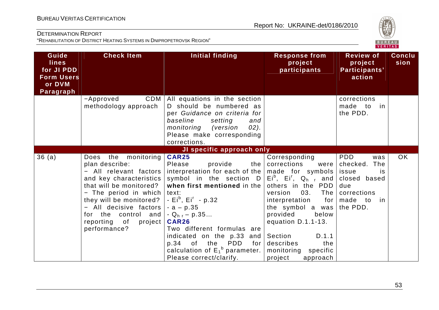

| Guide<br><b>lines</b><br>for JI PDD<br><b>Form Users</b><br>or DVM | <b>Check Item</b>                                                                                                                                                                                                                                                             | <b>Initial finding</b>                                                                                                                                                                                                                                                                                                                                                                                                                                                                | <b>Response from</b><br>project<br>participants                                                                                                                                                                                                                    | <b>Review of</b><br>project<br>Participants'<br>action                                                              | <b>Conclu</b><br>sion |
|--------------------------------------------------------------------|-------------------------------------------------------------------------------------------------------------------------------------------------------------------------------------------------------------------------------------------------------------------------------|---------------------------------------------------------------------------------------------------------------------------------------------------------------------------------------------------------------------------------------------------------------------------------------------------------------------------------------------------------------------------------------------------------------------------------------------------------------------------------------|--------------------------------------------------------------------------------------------------------------------------------------------------------------------------------------------------------------------------------------------------------------------|---------------------------------------------------------------------------------------------------------------------|-----------------------|
| Paragraph                                                          | CDM<br>-Approved<br>methodology approach                                                                                                                                                                                                                                      | All equations in the section<br>D should be numbered as<br>per Guidance on criteria for<br>baseline<br>setting<br>and<br>monitoring<br>$02$ ).<br>(version<br>Please make corresponding<br>corrections.                                                                                                                                                                                                                                                                               |                                                                                                                                                                                                                                                                    | corrections<br>made to<br>in<br>the PDD.                                                                            |                       |
|                                                                    |                                                                                                                                                                                                                                                                               | JI specific approach only                                                                                                                                                                                                                                                                                                                                                                                                                                                             |                                                                                                                                                                                                                                                                    |                                                                                                                     |                       |
| 36(a)                                                              | the monitoring<br>Does<br>plan describe:<br>- All relevant factors<br>and key characteristics<br>that will be monitored?<br>- The period in which<br>they will be monitored?<br>- All decisive factors<br>for the control and<br>reporting<br>of<br>project  <br>performance? | <b>CAR25</b><br>Please<br>provide<br>interpretation for each of the $ $ made for symbols $ $<br>symbol in the section $D/Ei^b$ , Ei <sup>r</sup> , Q <sub>hr</sub> and<br>when first mentioned in the<br>text:<br>- $Ei^b$ , $Ei^r$ - p.32<br>$-a - p.35$<br>- Q <sub>hr</sub> – p.35<br><b>CAR26</b><br>Two different formulas are<br>indicated on the $p.33$ and Section<br>$p.34$ of<br><b>PDD</b><br>the<br>for  <br>calculation of $E_1^b$ parameter.<br>Please correct/clarify. | Corresponding<br>the $ $ corrections<br>were<br>others in the PDD<br>03.<br>The<br>version<br>interpretation<br>for  <br>the symbol a was<br>provided<br>below<br>equation D.1.1-13.<br>D.1.1<br>describes<br>the<br>monitoring<br>specific<br>project<br>approach | <b>PDD</b><br>was<br>checked.<br>The<br>is<br>issue<br>closed based<br>due<br>corrections<br>made to in<br>the PDD. | OK                    |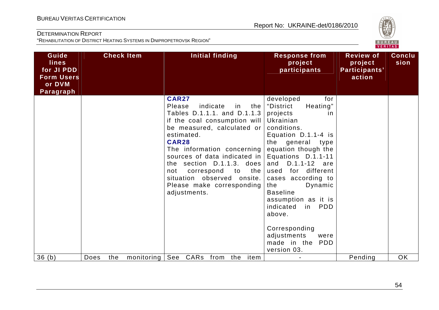

| Guide                                           |             | <b>Check Item</b> | <b>Initial finding</b>                                                                                                                                                                                                                                                                                                                                                                  | <b>Response from</b>                                                                                                                                                                                                                                                                                                                                                                                                             | <b>Review of</b>                   | <b>Conclu</b> |
|-------------------------------------------------|-------------|-------------------|-----------------------------------------------------------------------------------------------------------------------------------------------------------------------------------------------------------------------------------------------------------------------------------------------------------------------------------------------------------------------------------------|----------------------------------------------------------------------------------------------------------------------------------------------------------------------------------------------------------------------------------------------------------------------------------------------------------------------------------------------------------------------------------------------------------------------------------|------------------------------------|---------------|
| <b>lines</b><br>for JI PDD<br><b>Form Users</b> |             |                   |                                                                                                                                                                                                                                                                                                                                                                                         | project<br>participants                                                                                                                                                                                                                                                                                                                                                                                                          | project<br>Participants'<br>action | sion          |
| or DVM<br>Paragraph                             |             |                   |                                                                                                                                                                                                                                                                                                                                                                                         |                                                                                                                                                                                                                                                                                                                                                                                                                                  |                                    |               |
|                                                 |             |                   | <b>CAR27</b><br>indicate<br>Please<br>the<br>in<br>Tables D.1.1.1. and D.1.1.3<br>if the coal consumption will<br>be measured, calculated or<br>estimated.<br><b>CAR28</b><br>The information concerning<br>sources of data indicated in<br>the section $D.1.1.3$ . does<br>the l<br>correspond<br>to<br>not<br>situation observed onsite.<br>Please make corresponding<br>adjustments. | developed<br>for<br>Heating"<br>"District<br>projects<br><i>in</i><br>Ukrainian<br>conditions.<br>Equation D.1.1-4 is<br>the general type<br>equation though the<br>Equations D.1.1-11<br>D.1.1-12 are<br>and<br>used for different<br>cases according to<br>Dynamic<br>the<br><b>Baseline</b><br>assumption as it is<br>indicated<br>in PDD<br>above.<br>Corresponding<br>adjustments<br>were<br>made in the PDD<br>version 03. |                                    |               |
| 36(h)                                           | Does<br>the | monitoring        | See<br>CARs from<br>item<br>the                                                                                                                                                                                                                                                                                                                                                         |                                                                                                                                                                                                                                                                                                                                                                                                                                  | Pending                            | <b>OK</b>     |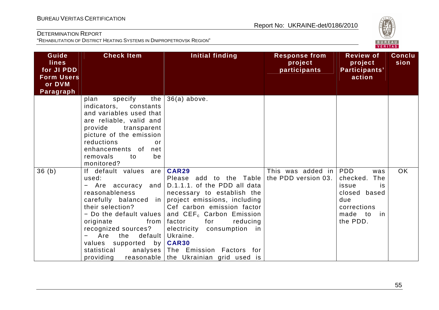

| Guide<br><b>lines</b><br>for JI PDD<br><b>Form Users</b><br>or DVM<br>Paragraph | <b>Check Item</b>                                                                                                                                                                                                                                                                     | Initial finding                                                                                                                                                                                                                                                                                                                                                  | <b>Response from</b><br>project<br>participants | <b>Review of</b><br>project<br>Participants'<br>action                                                                 | <b>Conclu</b><br>sion |
|---------------------------------------------------------------------------------|---------------------------------------------------------------------------------------------------------------------------------------------------------------------------------------------------------------------------------------------------------------------------------------|------------------------------------------------------------------------------------------------------------------------------------------------------------------------------------------------------------------------------------------------------------------------------------------------------------------------------------------------------------------|-------------------------------------------------|------------------------------------------------------------------------------------------------------------------------|-----------------------|
|                                                                                 | the<br>specify<br>plan<br>indicators,<br>constants<br>and variables used that<br>are reliable, valid and<br>provide transparent<br>picture of the emission<br>reductions<br>or<br>enhancements of<br>net<br>removals<br>to<br>be<br>monitored?                                        | $36(a)$ above.                                                                                                                                                                                                                                                                                                                                                   |                                                 |                                                                                                                        |                       |
| 36(b)                                                                           | If default values are<br>used:<br>- Are accuracy<br>and<br>reasonableness<br>carefully balanced in<br>their selection?<br>- Do the default values<br>originate<br>from<br>recognized sources?<br>Are<br>default<br>the<br>values supported by<br>statistical<br>analyses<br>providing | CAR29<br>Please add to the Table<br>D.1.1.1. of the PDD all data<br>necessary to establish the<br>project emissions, including<br>Cef carbon emission factor<br>and CEF <sub>c</sub> Carbon Emission<br>factor<br>for<br>reducing<br>electricity consumption in<br>Ukraine.<br><b>CAR30</b><br>The Emission Factors for<br>reasonable the Ukrainian grid used is | This was added in<br>the PDD version 03.        | <b>PDD</b><br>was<br>checked.<br>The<br>issue<br>is<br>closed based<br>due<br>corrections<br>made to<br>in<br>the PDD. | <b>OK</b>             |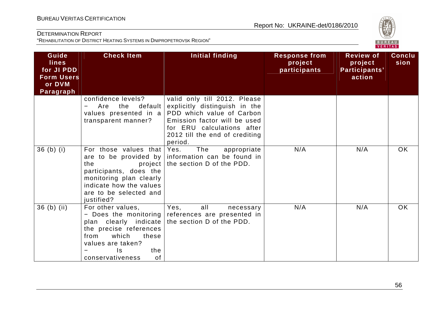

| Guide<br><b>lines</b><br>for JI PDD<br><b>Form Users</b><br>or DVM<br>Paragraph | <b>Check Item</b>                                                                                                                                                    | Initial finding                                                                                                                                                                                       | <b>Response from</b><br>project<br>participants | <b>Review of</b><br>project<br>Participants'<br>action | <b>Conclu</b><br>sion |
|---------------------------------------------------------------------------------|----------------------------------------------------------------------------------------------------------------------------------------------------------------------|-------------------------------------------------------------------------------------------------------------------------------------------------------------------------------------------------------|-------------------------------------------------|--------------------------------------------------------|-----------------------|
|                                                                                 | confidence levels?<br>default<br>Are<br>the<br>values presented in a<br>transparent manner?                                                                          | valid only till 2012. Please<br>explicitly distinguish in the<br>PDD which value of Carbon<br>Emission factor will be used<br>for ERU calculations after<br>2012 till the end of crediting<br>period. |                                                 |                                                        |                       |
| $36$ (b) (i)                                                                    | For those values that Yes.<br>the<br>project<br>participants, does the<br>monitoring plan clearly<br>indicate how the values<br>are to be selected and<br>justified? | The<br>appropriate<br>are to be provided by information can be found in<br>the section D of the PDD.                                                                                                  | N/A                                             | N/A                                                    | <b>OK</b>             |
| $36$ (b) (ii)                                                                   | For other values,<br>plan clearly indicate<br>the precise references<br>which<br>from<br>these<br>values are taken?<br>the<br>Is.<br>of<br>conservativeness          | Yes,<br>all<br>necessary<br>- Does the monitoring references are presented in<br>the section D of the PDD.                                                                                            | N/A                                             | N/A                                                    | <b>OK</b>             |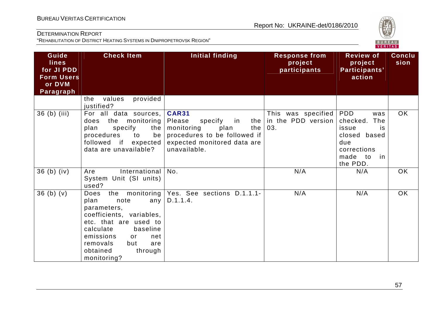

| Guide                                                                  | <b>Check Item</b>                                                                                                                                                                                           | Initial finding                                                                                                                                       | <b>Response from</b>                                      | <b>Review of</b>                                                                                            | <b>Conclu</b> |
|------------------------------------------------------------------------|-------------------------------------------------------------------------------------------------------------------------------------------------------------------------------------------------------------|-------------------------------------------------------------------------------------------------------------------------------------------------------|-----------------------------------------------------------|-------------------------------------------------------------------------------------------------------------|---------------|
| <b>lines</b><br>for JI PDD<br><b>Form Users</b><br>or DVM<br>Paragraph |                                                                                                                                                                                                             |                                                                                                                                                       | project<br>participants                                   | project<br>Participants'<br>action                                                                          | sion          |
|                                                                        | provided<br>values<br>the<br>justified?                                                                                                                                                                     |                                                                                                                                                       |                                                           |                                                                                                             |               |
| 36 (b) (iii)                                                           | For all data sources,<br>the monitoring<br>does<br>specify<br>plan<br>the<br>procedures<br>to<br>be<br>followed if expected<br>data are unavailable?                                                        | <b>CAR31</b><br>Please<br>specify<br>in<br>monitoring<br>plan<br>the  <br>procedures to be followed if<br>expected monitored data are<br>unavailable. | This was specified   PDD<br>the in the PDD version<br>03. | was<br>checked.<br>The<br>issue<br>is<br>closed based<br>due<br>corrections<br>made to<br>in in<br>the PDD. | <b>OK</b>     |
| $36$ (b) (iv)                                                          | International<br>Are<br>System Unit (SI units)<br>used?                                                                                                                                                     | No.                                                                                                                                                   | N/A                                                       | N/A                                                                                                         | <b>OK</b>     |
| 36(b)(v)                                                               | Does<br>plan<br>note<br>parameters,<br>coefficients, variables,<br>etc. that are used to<br>calculate<br>baseline<br>emissions<br>net<br>or<br>removals<br>but<br>are<br>obtained<br>through<br>monitoring? | the monitoring   Yes. See sections D.1.1.1-<br>any $ D.1.1.4.$                                                                                        | N/A                                                       | N/A                                                                                                         | OK            |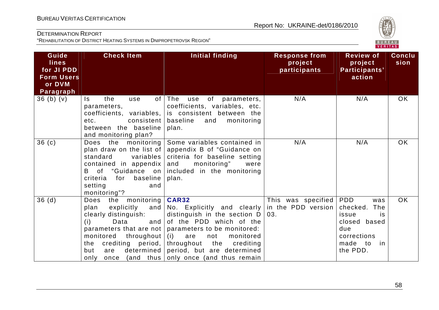

| Guide<br><b>lines</b><br>for JI PDD<br><b>Form Users</b><br>or DVM<br>Paragraph | <b>Check Item</b>                                                                                                                                                                           | Initial finding                                                                                                                                                                                                                                                                                                        | <b>Response from</b><br>project<br>participants | <b>Review of</b><br>project<br>Participants'<br>action                                                          | <b>Conclu</b><br>sion |
|---------------------------------------------------------------------------------|---------------------------------------------------------------------------------------------------------------------------------------------------------------------------------------------|------------------------------------------------------------------------------------------------------------------------------------------------------------------------------------------------------------------------------------------------------------------------------------------------------------------------|-------------------------------------------------|-----------------------------------------------------------------------------------------------------------------|-----------------------|
| $36$ (b) (v)                                                                    | the<br>$\mathsf{ls}$<br>use<br>parameters,<br>coefficients, variables,<br>consistent  <br>etc.<br>between the baseline<br>and monitoring plan?                                              | of $ $ The<br>use<br>of parameters,<br>coefficients, variables, etc.<br>is consistent between the<br>baseline<br>and<br>monitoring<br>plan.                                                                                                                                                                            | N/A                                             | N/A                                                                                                             | <b>OK</b>             |
| 36(c)                                                                           | Does the monitoring<br>plan draw on the list of $ $<br>standard<br>variables<br>contained in appendix<br>B of "Guidance on<br>baseline<br>criteria<br>for<br>setting<br>and<br>monitoring"? | Some variables contained in<br>appendix B of "Guidance on<br>criteria for baseline setting<br>and<br>monitoring"<br>were<br>included in the monitoring<br>plan.                                                                                                                                                        | N/A                                             | N/A                                                                                                             | <b>OK</b>             |
| 36(d)                                                                           | the monitoring<br>Does<br>plan<br>clearly distinguish:<br>and<br>(i)<br>Data<br>monitored throughout (i)<br>crediting period,<br>the<br>determined<br>but<br>are<br>only<br>once            | CAR32<br>explicitly and $\overline{N}$ Ro. Explicitly and clearly<br>distinguish in the section D<br>of the PDD which of the<br>parameters that are not parameters to be monitored:<br>are<br>monitored<br>not<br>throughout<br>the<br>crediting<br>period, but are determined<br>(and thus only once (and thus remain | This was specified<br>in the PDD version<br>03. | PDD<br>was<br>The<br>checked.<br>issue<br>is<br>closed based<br>due<br>corrections<br>made to<br>in<br>the PDD. | OK                    |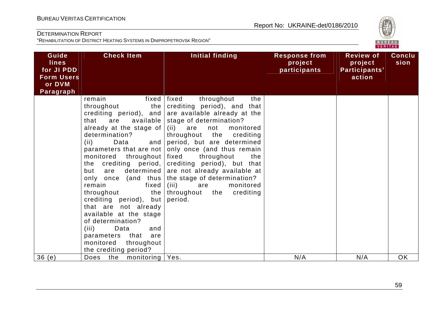

| Guide<br><b>lines</b><br>for JI PDD<br><b>Form Users</b><br>or DVM<br>Paragraph | <b>Check Item</b>                                                                                                                                                                                                                                                                                                                                                                                                                                                                                                      | <b>Initial finding</b>                                                                                                                                                                                                                                                                                                                                                                                                                                                         | <b>Response from</b><br>project<br>participants | <b>Review of</b><br>project<br>Participants'<br>action | <b>Conclu</b><br>sion |
|---------------------------------------------------------------------------------|------------------------------------------------------------------------------------------------------------------------------------------------------------------------------------------------------------------------------------------------------------------------------------------------------------------------------------------------------------------------------------------------------------------------------------------------------------------------------------------------------------------------|--------------------------------------------------------------------------------------------------------------------------------------------------------------------------------------------------------------------------------------------------------------------------------------------------------------------------------------------------------------------------------------------------------------------------------------------------------------------------------|-------------------------------------------------|--------------------------------------------------------|-----------------------|
|                                                                                 | remain<br>throughout<br>the  <br>are<br>available  <br>that<br>already at the stage of  <br>determination?<br>and<br>(ii)<br>Data<br>parameters that are not<br>monitored<br>throughout<br>the crediting period,<br>determined  <br>but<br>are<br>only once (and thus<br>remain<br>fixed<br>throughout<br>the  <br>crediting period), but<br>that are not already<br>available at the stage<br>of determination?<br>(iii)<br>Data<br>and<br>parameters that<br>are<br>monitored<br>throughout<br>the crediting period? | fixed   fixed<br>throughout<br>the<br>crediting period), and that<br>crediting period), and are available already at the<br>stage of determination?<br>(ii) are<br>not<br>monitored<br>throughout the crediting<br>period, but are determined<br>only once (and thus remain<br>fixed<br>throughout<br>the<br>crediting period), but that<br>are not already available at<br>the stage of determination?<br>(iii)<br>monitored<br>are<br>crediting<br>throughout the<br>period. |                                                 |                                                        |                       |
| 36(e)                                                                           | monitoring   Yes.<br>the<br>Does                                                                                                                                                                                                                                                                                                                                                                                                                                                                                       |                                                                                                                                                                                                                                                                                                                                                                                                                                                                                | N/A                                             | N/A                                                    | OK                    |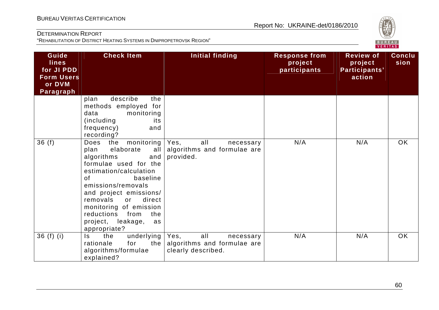

| Guide<br>lines<br>for JI PDD<br><b>Form Users</b><br>or DVM<br>Paragraph | <b>Check Item</b>                                                                                                                                                                                                                                                                                                             | <b>Initial finding</b>                                                        | <b>Response from</b><br>project<br>participants | <b>Review of</b><br>project<br>Participants'<br>action | <b>Conclu</b><br>sion |
|--------------------------------------------------------------------------|-------------------------------------------------------------------------------------------------------------------------------------------------------------------------------------------------------------------------------------------------------------------------------------------------------------------------------|-------------------------------------------------------------------------------|-------------------------------------------------|--------------------------------------------------------|-----------------------|
|                                                                          | describe<br>plan<br>the<br>methods employed for<br>data<br>monitoring<br>(including<br>its<br>frequency)<br>and<br>recording?                                                                                                                                                                                                 |                                                                               |                                                 |                                                        |                       |
| 36(f)                                                                    | monitoring<br>Does<br>the<br>elaborate<br>plan<br>all<br>algorithms<br>and<br>formulae used for the<br>estimation/calculation<br>baseline<br>of<br>emissions/removals<br>and project emissions/<br>removals<br>direct<br>or<br>monitoring of emission<br>reductions<br>from<br>the<br>project, leakage,<br>as<br>appropriate? | Yes,<br>all<br>necessary<br>algorithms and formulae are<br>provided.          | N/A                                             | N/A                                                    | <b>OK</b>             |
| $36(f)$ (i)                                                              | underlying<br>the<br>Is.<br>the<br>rationale<br>for<br>algorithms/formulae<br>explained?                                                                                                                                                                                                                                      | Yes,<br>all<br>necessary<br>algorithms and formulae are<br>clearly described. | N/A                                             | N/A                                                    | <b>OK</b>             |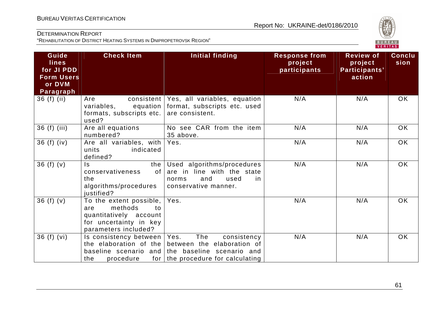

| Guide<br>lines<br>for JI PDD<br><b>Form Users</b><br>or DVM<br>Paragraph | <b>Check Item</b>                                                                                                               | <b>Initial finding</b>                                                                                                                                            | <b>Response from</b><br>project<br>participants | <b>Review of</b><br>project<br>Participants'<br>action | <b>Conclu</b><br>sion |
|--------------------------------------------------------------------------|---------------------------------------------------------------------------------------------------------------------------------|-------------------------------------------------------------------------------------------------------------------------------------------------------------------|-------------------------------------------------|--------------------------------------------------------|-----------------------|
| $36(f)$ (ii)                                                             | Are<br>equation<br>variables,<br>formats, subscripts etc.<br>used?                                                              | consistent   Yes, all variables, equation<br>format, subscripts etc. used<br>are consistent.                                                                      | N/A                                             | N/A                                                    | <b>OK</b>             |
| 36 (f) (iii)                                                             | Are all equations<br>numbered?                                                                                                  | No see CAR from the item<br>35 above.                                                                                                                             | N/A                                             | N/A                                                    | <b>OK</b>             |
| $36(f)$ (iv)                                                             | Are all variables, with<br>units<br>indicated<br>defined?                                                                       | Yes.                                                                                                                                                              | N/A                                             | N/A                                                    | <b>OK</b>             |
| 36 $(f)(v)$                                                              | the<br>Is.<br>of<br>conservativeness<br>the<br>algorithms/procedures<br>justified?                                              | Used algorithms/procedures<br>are in line with the state<br>and<br>used<br>norms<br>in<br>conservative manner.                                                    | N/A                                             | N/A                                                    | <b>OK</b>             |
| 36 $(f)(v)$                                                              | To the extent possible, $ $<br>methods<br>to<br>are<br>quantitatively account<br>for uncertainty in key<br>parameters included? | Yes.                                                                                                                                                              | N/A                                             | N/A                                                    | <b>OK</b>             |
| 36(f) (vi)                                                               | Is consistency between   Yes.<br>the<br>procedure                                                                               | The<br>consistency<br>the elaboration of the between the elaboration of<br>baseline scenario and the baseline scenario and<br>for   the procedure for calculating | N/A                                             | N/A                                                    | <b>OK</b>             |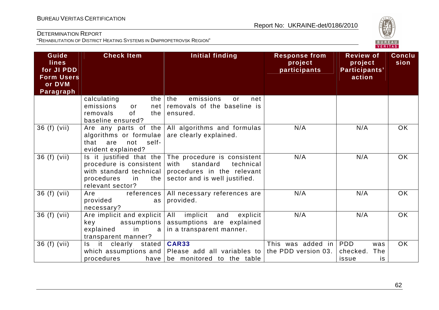

| Guide<br><b>lines</b><br>for JI PDD<br><b>Form Users</b><br>or DVM<br>Paragraph | <b>Check Item</b>                                                                                | <b>Initial finding</b>                                                                                                                                       | <b>Response from</b><br>project<br>participants | <b>Review of</b><br>project<br>Participants'<br>action      | <b>Conclu</b><br>sion |
|---------------------------------------------------------------------------------|--------------------------------------------------------------------------------------------------|--------------------------------------------------------------------------------------------------------------------------------------------------------------|-------------------------------------------------|-------------------------------------------------------------|-----------------------|
|                                                                                 | calculating<br>emissions<br>net<br>or<br>0f<br>removals<br>the I<br>baseline ensured?            | the $ $ the<br>emissions<br>net<br>or<br>removals of the baseline is<br>ensured.                                                                             |                                                 |                                                             |                       |
| 36 (f) (vii)                                                                    | algorithms or formulae<br>not<br>self-<br>that<br>are<br>evident explained?                      | Are any parts of the $\vert$ All algorithms and formulas<br>are clearly explained.                                                                           | N/A                                             | N/A                                                         | <b>OK</b>             |
| 36 (f) (vii)                                                                    | procedure is consistent<br>with standard technical<br>procedures<br>in<br>relevant sector?       | Is it justified that the $ $ The procedure is consistent<br>standard<br>with<br>technical<br>procedures in the relevant<br>the sector and is well justified. | N/A                                             | N/A                                                         | <b>OK</b>             |
| 36 (f) (vii)                                                                    | references  <br>Are<br>provided<br>as<br>necessary?                                              | All necessary references are<br>provided.                                                                                                                    | N/A                                             | N/A                                                         | <b>OK</b>             |
| 36 (f) (vii)                                                                    | Are implicit and explicit<br>assumptions  <br>key<br>explained<br>in<br>a<br>transparent manner? | All<br>implicit<br>and<br>explicit<br>assumptions are explained<br>in a transparent manner.                                                                  | N/A                                             | N/A                                                         | <b>OK</b>             |
| 36 (f) (vii)                                                                    | it.<br>clearly stated<br>Is.<br>procedures                                                       | <b>CAR33</b><br>which assumptions and Please add all variables to the PDD version 03.<br>have be monitored to the table                                      | This was added in                               | <b>PDD</b><br>was<br>checked.<br><b>The</b><br>is.<br>issue | <b>OK</b>             |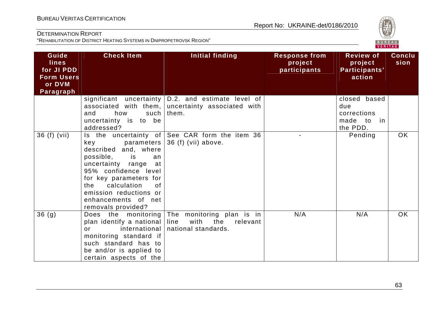

| Guide<br><b>lines</b><br>for JI PDD<br><b>Form Users</b><br>or DVM<br>Paragraph | <b>Check Item</b>                                                                                                                                                                                                                               | <b>Initial finding</b>                                                                      | <b>Response from</b><br>project<br>participants | <b>Review of</b><br>project<br>Participants'<br>action       | <b>Conclu</b><br>sion |
|---------------------------------------------------------------------------------|-------------------------------------------------------------------------------------------------------------------------------------------------------------------------------------------------------------------------------------------------|---------------------------------------------------------------------------------------------|-------------------------------------------------|--------------------------------------------------------------|-----------------------|
|                                                                                 | associated with them,<br>how<br>such<br>and<br>uncertainty is to be<br>addressed?                                                                                                                                                               | significant uncertainty $D.2$ and estimate level of<br>uncertainty associated with<br>them. |                                                 | closed based<br>due<br>corrections<br>made to in<br>the PDD. |                       |
| 36 (f) (vii)                                                                    | key<br>parameters<br>described and, where<br>possible, is<br>an<br>uncertainty range<br>at<br>95% confidence level<br>for key parameters for<br>calculation<br>0f<br>the<br>emission reductions or<br>enhancements of net<br>removals provided? | Is the uncertainty of See CAR form the item 36<br>36 (f) (vii) above.                       |                                                 | Pending                                                      | OK                    |
| 36(9)                                                                           | Does the monitoring<br>plan identify a national<br>international<br>or<br>monitoring standard if<br>such standard has to<br>be and/or is applied to<br>certain aspects of the                                                                   | The monitoring plan is in<br>line<br>with<br>the<br>relevant<br>national standards.         | N/A                                             | N/A                                                          | OK                    |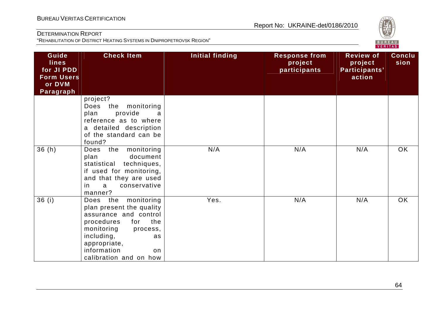

| Guide<br><b>lines</b><br>for JI PDD<br><b>Form Users</b><br>or DVM<br>Paragraph | <b>Check Item</b>                                                                                                                                                                                                     | Initial finding | <b>Response from</b><br>project<br>participants | <b>Review of</b><br>project<br>Participants'<br>action | Conclu<br>sion |
|---------------------------------------------------------------------------------|-----------------------------------------------------------------------------------------------------------------------------------------------------------------------------------------------------------------------|-----------------|-------------------------------------------------|--------------------------------------------------------|----------------|
|                                                                                 | project?<br>the monitoring<br>Does<br>provide<br>plan<br>a<br>reference as to where<br>a detailed description<br>of the standard can be<br>found?                                                                     |                 |                                                 |                                                        |                |
| 36(h)                                                                           | the<br>monitoring<br>Does<br>plan<br>document<br>statistical techniques,<br>if used for monitoring,<br>and that they are used<br>conservative<br>a<br>in<br>manner?                                                   | N/A             | N/A                                             | N/A                                                    | OK             |
| 36(i)                                                                           | monitoring<br>Does the<br>plan present the quality<br>assurance and control<br>the<br>procedures<br>for<br>monitoring<br>process,<br>including,<br>as<br>appropriate,<br>information<br>on.<br>calibration and on how | Yes.            | N/A                                             | N/A                                                    | <b>OK</b>      |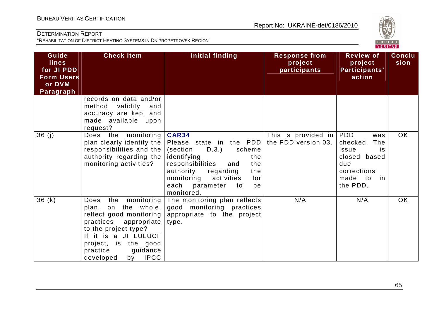

| Guide<br><b>lines</b><br>for JI PDD<br><b>Form Users</b><br>or DVM<br>Paragraph | <b>Check Item</b>                                                                                                                                                                                                                  | Initial finding                                                                                                                                                                                                                                                 | <b>Response from</b><br>project<br>participants | <b>Review of</b><br>project<br>Participants'<br>action                                              | <b>Conclu</b><br>sion |
|---------------------------------------------------------------------------------|------------------------------------------------------------------------------------------------------------------------------------------------------------------------------------------------------------------------------------|-----------------------------------------------------------------------------------------------------------------------------------------------------------------------------------------------------------------------------------------------------------------|-------------------------------------------------|-----------------------------------------------------------------------------------------------------|-----------------------|
|                                                                                 | records on data and/or<br>validity<br>method<br>and<br>accuracy are kept and<br>made available upon<br>request?                                                                                                                    |                                                                                                                                                                                                                                                                 |                                                 |                                                                                                     |                       |
| 36(j)                                                                           | Does the monitoring<br>plan clearly identify the<br>responsibilities and the<br>authority regarding the<br>monitoring activities?                                                                                                  | <b>CAR34</b><br>Please state in the PDD the PDD version 03.<br>(section<br>D.3.)<br>scheme<br>identifying<br>the<br>responsibilities<br>the<br>and<br>authority<br>the<br>regarding<br>monitoring<br>activities<br>for<br>each parameter to<br>be<br>monitored. | This is provided in $ PDD $                     | was<br>checked. The<br>issue<br>is.<br>closed based<br>due<br>corrections<br>made to in<br>the PDD. | OK                    |
| 36(k)                                                                           | monitoring<br>Does<br>the<br>the whole,<br>plan,<br>on<br>reflect good monitoring<br>practices appropriate<br>to the project type?<br>If it is a JI LULUCF<br>project, is the good<br>practice<br>guidance<br>by IPCC<br>developed | The monitoring plan reflects<br>good monitoring practices<br>appropriate to the project<br>type.                                                                                                                                                                | N/A                                             | N/A                                                                                                 | <b>OK</b>             |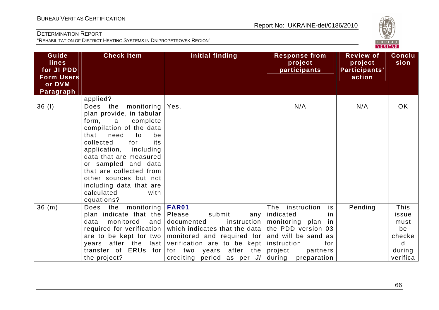

| Guide<br><b>lines</b><br>for JI PDD<br><b>Form Users</b><br>or DVM<br>Paragraph | <b>Check Item</b>                                                                                                                                                                                                                                                                                                                                               | Initial finding                                                                                                                                                                                 | <b>Response from</b><br>project<br>participants                                             | <b>Review of</b><br>project<br>Participants'<br>action | <b>Conclu</b><br>sion                      |
|---------------------------------------------------------------------------------|-----------------------------------------------------------------------------------------------------------------------------------------------------------------------------------------------------------------------------------------------------------------------------------------------------------------------------------------------------------------|-------------------------------------------------------------------------------------------------------------------------------------------------------------------------------------------------|---------------------------------------------------------------------------------------------|--------------------------------------------------------|--------------------------------------------|
|                                                                                 | applied?                                                                                                                                                                                                                                                                                                                                                        |                                                                                                                                                                                                 |                                                                                             |                                                        |                                            |
| 36(1)                                                                           | Does<br>the<br>monitoring<br>plan provide, in tabular<br>form.<br>complete<br>a<br>compilation of the data<br>that<br>need<br>be<br>to<br>collected<br>for<br>its<br>application, including<br>data that are measured<br>or sampled and data<br>that are collected from<br>other sources but not<br>including data that are<br>calculated<br>with<br>equations? | Yes.                                                                                                                                                                                            | N/A                                                                                         | N/A                                                    | OK                                         |
| 36(m)                                                                           | Does the<br>  monitoring<br>plan indicate that the<br>monitored<br>data<br>and<br>required for verification<br>are to be kept for two<br>after the<br>last<br>years                                                                                                                                                                                             | FAR01<br>Please<br>submit<br>any<br>documented<br>which indicates that the data the PDD version 03<br>monitored and required for and will be sand as<br>verification are to be kept instruction | The<br>instruction<br>is<br>indicated<br>in<br>instruction   monitoring $plan$<br>in<br>for | Pending                                                | This<br>issue<br>must<br>be<br>checke<br>d |
|                                                                                 | transfer of ERUs for<br>the project?                                                                                                                                                                                                                                                                                                                            | for two years<br>after the $ $ project<br>crediting period as per $JI $                                                                                                                         | partners<br>during<br>preparation                                                           |                                                        | during<br>verifica                         |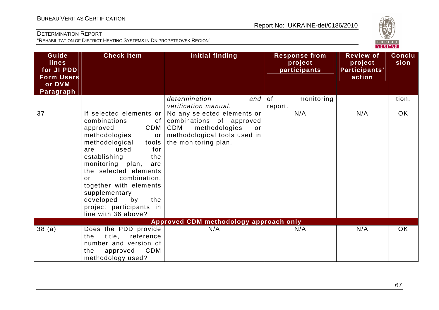

| Guide<br><b>lines</b><br>for JI PDD<br><b>Form Users</b><br>or DVM<br>Paragraph | <b>Check Item</b>                                                                                                                                                                                                                                                                                                                                                | <b>Initial finding</b>                                                                                                                        | <b>Response from</b><br>project<br>participants | <b>Review of</b><br>project<br>Participants'<br>action | <b>Conclu</b><br>sion |
|---------------------------------------------------------------------------------|------------------------------------------------------------------------------------------------------------------------------------------------------------------------------------------------------------------------------------------------------------------------------------------------------------------------------------------------------------------|-----------------------------------------------------------------------------------------------------------------------------------------------|-------------------------------------------------|--------------------------------------------------------|-----------------------|
|                                                                                 |                                                                                                                                                                                                                                                                                                                                                                  | determination<br>and<br>verification manual.                                                                                                  | of<br>monitoring<br>report.                     |                                                        | tion.                 |
| 37                                                                              | If selected elements or<br>combinations<br>of<br>CDM<br>approved<br>methodologies<br>or<br>methodological<br>tools<br>used<br>for<br>are<br>establishing<br>the<br>monitoring plan,<br>are<br>the selected elements<br>combination,<br>or<br>together with elements<br>supplementary<br>developed<br>by<br>the<br>project participants in<br>line with 36 above? | No any selected elements or<br>combinations of approved<br>methodologies<br>CDM<br>or<br>methodological tools used in<br>the monitoring plan. | N/A                                             | N/A                                                    | OK                    |
|                                                                                 |                                                                                                                                                                                                                                                                                                                                                                  | Approved CDM methodology approach only                                                                                                        |                                                 |                                                        |                       |
| 38(a)                                                                           | Does the PDD provide<br>title,<br>reference<br>the<br>number and version of<br><b>CDM</b><br>the<br>approved<br>methodology used?                                                                                                                                                                                                                                | N/A                                                                                                                                           | N/A                                             | N/A                                                    | <b>OK</b>             |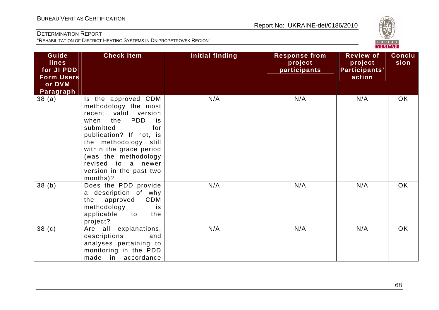

| Guide<br><b>lines</b><br>for JI PDD<br><b>Form Users</b><br>or DVM<br>Paragraph | <b>Check Item</b>                                                                                                                                                                                                                                                                                | <b>Initial finding</b> | <b>Response from</b><br>project<br>participants | <b>Review of</b><br>project<br>Participants'<br>action | <b>Conclu</b><br>sion |
|---------------------------------------------------------------------------------|--------------------------------------------------------------------------------------------------------------------------------------------------------------------------------------------------------------------------------------------------------------------------------------------------|------------------------|-------------------------------------------------|--------------------------------------------------------|-----------------------|
| 38 (a)                                                                          | Is the approved CDM<br>methodology the most<br>recent valid version<br><b>PDD</b><br>the<br>when<br>is i<br>submitted<br>for<br>publication? If not, is<br>the methodology still<br>within the grace period<br>(was the methodology<br>revised to a newer<br>version in the past two<br>months)? | N/A                    | N/A                                             | N/A                                                    | OK                    |
| 38(b)                                                                           | Does the PDD provide<br>a description of why<br><b>CDM</b><br>approved<br>the<br>methodology<br>is<br>applicable<br>to<br>the<br>project?                                                                                                                                                        | N/A                    | N/A                                             | N/A                                                    | OK                    |
| 38 <sub>(c)</sub>                                                               | Are all explanations,<br>descriptions<br>and<br>analyses pertaining to<br>monitoring in the PDD<br>made in accordance                                                                                                                                                                            | N/A                    | N/A                                             | N/A                                                    | OK                    |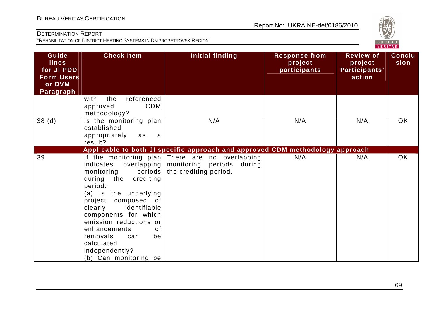

| Guide<br><b>lines</b><br>for JI PDD<br><b>Form Users</b><br>or DVM<br>Paragraph | <b>Check Item</b>                                                                                                                                                                                                                                                                                             | Initial finding                                                                                                        | <b>Response from</b><br>project<br>participants | <b>Review of</b><br>project<br>Participants'<br>action | <b>Conclu</b><br>sion |
|---------------------------------------------------------------------------------|---------------------------------------------------------------------------------------------------------------------------------------------------------------------------------------------------------------------------------------------------------------------------------------------------------------|------------------------------------------------------------------------------------------------------------------------|-------------------------------------------------|--------------------------------------------------------|-----------------------|
|                                                                                 | the<br>referenced<br>with<br><b>CDM</b><br>approved<br>methodology?                                                                                                                                                                                                                                           |                                                                                                                        |                                                 |                                                        |                       |
| 38 <sub>(d)</sub>                                                               | Is the monitoring plan<br>established<br>appropriately<br>as<br>a<br>result?                                                                                                                                                                                                                                  | N/A                                                                                                                    | N/A                                             | N/A                                                    | <b>OK</b>             |
|                                                                                 |                                                                                                                                                                                                                                                                                                               | Applicable to both JI specific approach and approved CDM methodology approach                                          |                                                 |                                                        |                       |
| 39                                                                              | indicates<br>periods<br>monitoring<br>during the<br>crediting<br>period:<br>(a) Is the underlying<br>project composed of<br>clearly<br>identifiable<br>components for which<br>emission reductions or<br>enhancements<br>0f<br>removals<br>be<br>can<br>calculated<br>independently?<br>(b) Can monitoring be | If the monitoring plan There are no overlapping<br>overlapping   monitoring periods<br>during<br>the crediting period. | N/A                                             | N/A                                                    | <b>OK</b>             |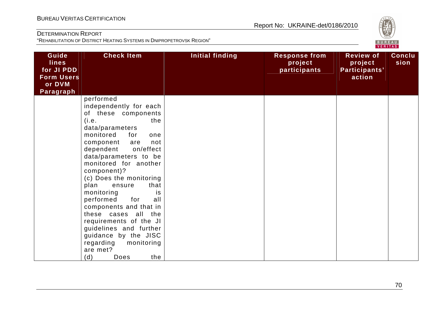

| Guide<br><b>lines</b><br>for JI PDD<br><b>Form Users</b><br>or DVM<br>Paragraph | <b>Check Item</b>                                                                                                                                                                                                                                                                                                                                                                                                                                                                                                                            | Initial finding | <b>Response from</b><br>project<br>participants | <b>Review of</b><br>project<br>Participants'<br>action | <b>Conclu</b><br>sion |
|---------------------------------------------------------------------------------|----------------------------------------------------------------------------------------------------------------------------------------------------------------------------------------------------------------------------------------------------------------------------------------------------------------------------------------------------------------------------------------------------------------------------------------------------------------------------------------------------------------------------------------------|-----------------|-------------------------------------------------|--------------------------------------------------------|-----------------------|
|                                                                                 | performed<br>independently for each<br>of these components<br>(i.e.<br>the<br>data/parameters<br>monitored<br>for<br>one<br>component<br>not<br>are<br>dependent<br>on/effect<br>data/parameters to be<br>monitored for another<br>component)?<br>(c) Does the monitoring<br>that<br>plan<br>ensure<br>monitoring<br>is<br>for<br>performed<br>all<br>components and that in<br>these cases all the<br>requirements of the JI<br>guidelines and further<br>guidance by the JISC<br>regarding<br>monitoring<br>are met?<br>(d)<br>the<br>Does |                 |                                                 |                                                        |                       |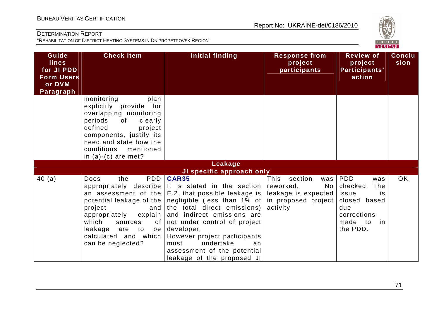

| Guide<br><b>lines</b><br>for JI PDD<br><b>Form Users</b><br>or DVM<br>Paragraph | <b>Check Item</b>                                                                                                                                                                                                                 | Initial finding                                                                                                                                                                                                                                                                                                                                                                                                                                  | <b>Response from</b><br>project<br>participants                                           | <b>Review of</b><br>project<br>Participants'<br>action                                                                    | <b>Conclu</b><br>sion |
|---------------------------------------------------------------------------------|-----------------------------------------------------------------------------------------------------------------------------------------------------------------------------------------------------------------------------------|--------------------------------------------------------------------------------------------------------------------------------------------------------------------------------------------------------------------------------------------------------------------------------------------------------------------------------------------------------------------------------------------------------------------------------------------------|-------------------------------------------------------------------------------------------|---------------------------------------------------------------------------------------------------------------------------|-----------------------|
|                                                                                 | monitoring<br>plan<br>explicitly provide for<br>overlapping monitoring<br>periods<br>of<br>clearly<br>defined<br>project<br>components, justify its<br>need and state how the<br>conditions<br>mentioned<br>in $(a)-(c)$ are met? |                                                                                                                                                                                                                                                                                                                                                                                                                                                  |                                                                                           |                                                                                                                           |                       |
|                                                                                 |                                                                                                                                                                                                                                   | Leakage                                                                                                                                                                                                                                                                                                                                                                                                                                          |                                                                                           |                                                                                                                           |                       |
|                                                                                 |                                                                                                                                                                                                                                   | JI specific approach only                                                                                                                                                                                                                                                                                                                                                                                                                        |                                                                                           |                                                                                                                           |                       |
| 40(a)                                                                           | PDD<br>Does<br>the<br>project<br>and<br>appropriately explain<br>which<br>sources<br>of <sub>1</sub><br>leakage<br>are to<br>calculated and which<br>can be neglected?                                                            | <b>CAR35</b><br>appropriately describe It is stated in the section<br>an assessment of the $ E.2$ that possible leakage is $ $<br>potential leakage of the negligible (less than 1% of in proposed project<br>the total direct emissions)<br>and indirect emissions are<br>not under control of project<br>be developer.<br>However project participants<br>undertake<br>must<br>an<br>assessment of the potential<br>leakage of the proposed JI | This<br>section<br>was<br>reworked.<br>No <sub>1</sub><br>leakage is expected<br>activity | <b>PDD</b><br>was<br>The<br>checked.<br>issue<br>is<br>closed based<br>due<br>corrections<br>made to<br>in in<br>the PDD. | OK                    |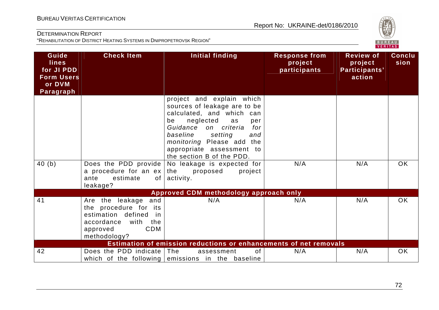

| Guide<br><b>lines</b><br>for JI PDD<br><b>Form Users</b><br>or DVM<br>Paragraph | <b>Check Item</b>                                                                                                                                   | <b>Initial finding</b>                                                                                                                                                                                                                                                                                                                 | <b>Response from</b><br>project<br>participants | <b>Review of</b><br>project<br>Participants'<br>action | <b>Conclu</b><br>sion |
|---------------------------------------------------------------------------------|-----------------------------------------------------------------------------------------------------------------------------------------------------|----------------------------------------------------------------------------------------------------------------------------------------------------------------------------------------------------------------------------------------------------------------------------------------------------------------------------------------|-------------------------------------------------|--------------------------------------------------------|-----------------------|
| 40(b)                                                                           | Does the PDD provide  <br>a procedure for an $ex$                                                                                                   | project and explain which<br>sources of leakage are to be<br>calculated, and which can<br>neglected<br>be<br>as<br>per<br>Guidance on criteria<br>for<br>baseline<br>setting<br>and<br>monitoring Please add the<br>appropriate assessment to<br>the section B of the PDD.<br>No leakage is expected for<br>the<br>proposed<br>project | N/A                                             | N/A                                                    | OK                    |
|                                                                                 | estimate<br>of<br>ante<br>leakage?                                                                                                                  | activity.                                                                                                                                                                                                                                                                                                                              |                                                 |                                                        |                       |
|                                                                                 |                                                                                                                                                     | Approved CDM methodology approach only                                                                                                                                                                                                                                                                                                 |                                                 |                                                        |                       |
| 41                                                                              | and<br>Are the leakage<br>the procedure for its<br>estimation defined<br>-in<br>accordance<br>with<br>the<br><b>CDM</b><br>approved<br>methodology? | N/A                                                                                                                                                                                                                                                                                                                                    | N/A                                             | N/A                                                    | <b>OK</b>             |
|                                                                                 |                                                                                                                                                     | Estimation of emission reductions or enhancements of net removals                                                                                                                                                                                                                                                                      |                                                 |                                                        |                       |
| 42                                                                              | Does the PDD indicate The                                                                                                                           | of<br>assessment<br>which of the following emissions in the baseline                                                                                                                                                                                                                                                                   | N/A                                             | N/A                                                    | OK                    |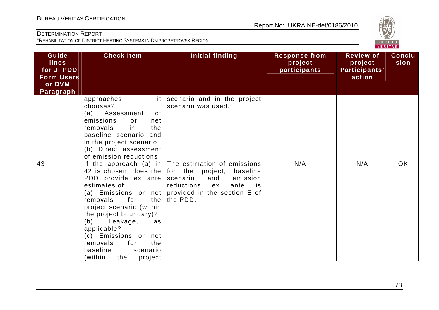

| Guide<br><b>lines</b><br>for JI PDD<br><b>Form Users</b><br>or DVM<br>Paragraph | <b>Check Item</b>                                                                                                                                                                                                                                                                                 | Initial finding                                                                                                                                                                                                            | <b>Response from</b><br>project<br>participants | <b>Review of</b><br>project<br>Participants'<br>action | <b>Conclu</b><br>sion |
|---------------------------------------------------------------------------------|---------------------------------------------------------------------------------------------------------------------------------------------------------------------------------------------------------------------------------------------------------------------------------------------------|----------------------------------------------------------------------------------------------------------------------------------------------------------------------------------------------------------------------------|-------------------------------------------------|--------------------------------------------------------|-----------------------|
|                                                                                 | approaches<br>it I<br>chooses?<br>(a) Assessment<br>0f<br>emissions<br>or<br>net<br>in<br>removals<br>the<br>baseline scenario and<br>in the project scenario<br>(b) Direct assessment<br>of emission reductions                                                                                  | scenario and in the project<br>scenario was used.                                                                                                                                                                          |                                                 |                                                        |                       |
| 43                                                                              | 42 is chosen, does the<br>PDD provide ex ante<br>estimates of:<br>for<br>the<br>removals<br>project scenario (within<br>the project boundary)?<br>(b)<br>Leakage,<br>as.<br>applicable?<br>(c) Emissions or<br>net<br>removals<br>the<br>for<br>baseline<br>scenario<br>(within<br>project<br>the | If the approach (a) in $ $ The estimation of emissions<br>for the project,<br>baseline<br>scenario<br>emission<br>and<br>reductions<br>ante<br>ex<br>is<br>(a) Emissions or net provided in the section $E$ of<br>the PDD. | N/A                                             | N/A                                                    | <b>OK</b>             |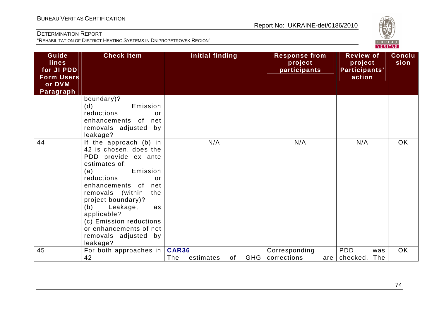

| Guide<br><b>lines</b><br>for JI PDD<br><b>Form Users</b><br>or DVM<br>Paragraph | <b>Check Item</b>                                                                                                                                                                                                                                                                                                                           | Initial finding                  |                  | <b>Response from</b><br>project<br>participants | <b>Review of</b><br>project<br>Participants'<br>action | <b>Conclu</b><br>sion |
|---------------------------------------------------------------------------------|---------------------------------------------------------------------------------------------------------------------------------------------------------------------------------------------------------------------------------------------------------------------------------------------------------------------------------------------|----------------------------------|------------------|-------------------------------------------------|--------------------------------------------------------|-----------------------|
|                                                                                 | boundary)?<br>(d)<br>Emission<br>reductions<br>or<br>enhancements of<br>net<br>removals adjusted<br>by<br>leakage?                                                                                                                                                                                                                          |                                  |                  |                                                 |                                                        |                       |
| 44                                                                              | If the approach (b) in<br>42 is chosen, does the<br>PDD provide ex ante<br>estimates of:<br>Emission<br>(a)<br>reductions<br>or<br>enhancements of<br>net<br>removals (within<br>the<br>project boundary)?<br>(b)<br>Leakage,<br>as<br>applicable?<br>(c) Emission reductions<br>or enhancements of net<br>removals adjusted by<br>leakage? | N/A                              |                  | N/A                                             | N/A                                                    | <b>OK</b>             |
| 45                                                                              | For both approaches in<br>42                                                                                                                                                                                                                                                                                                                | <b>CAR36</b><br>The<br>estimates | <b>GHG</b><br>0f | Corresponding<br>corrections                    | <b>PDD</b><br>was<br>The<br>checked.<br>are            | <b>OK</b>             |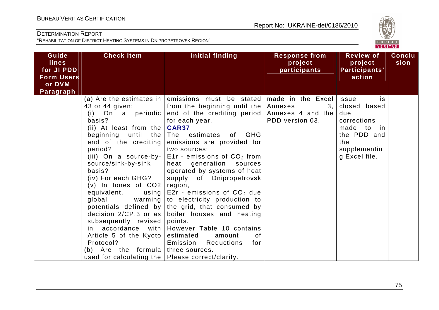

| Guide<br><b>lines</b><br>for JI PDD<br><b>Form Users</b><br>or DVM<br>Paragraph | <b>Check Item</b>                                                                                                                                                                                                                                                                                                                                                                                                            | Initial finding                                                                                                                                                                                                                                                                                                                                                                                                                                                                                                                                                                                                                                                                                                          | <b>Response from</b><br>project<br>participants | <b>Review of</b><br>project<br>Participants'<br>action                                                        | <b>Conclu</b><br>sion |
|---------------------------------------------------------------------------------|------------------------------------------------------------------------------------------------------------------------------------------------------------------------------------------------------------------------------------------------------------------------------------------------------------------------------------------------------------------------------------------------------------------------------|--------------------------------------------------------------------------------------------------------------------------------------------------------------------------------------------------------------------------------------------------------------------------------------------------------------------------------------------------------------------------------------------------------------------------------------------------------------------------------------------------------------------------------------------------------------------------------------------------------------------------------------------------------------------------------------------------------------------------|-------------------------------------------------|---------------------------------------------------------------------------------------------------------------|-----------------------|
|                                                                                 | 43 or 44 given:<br>basis?<br>(ii) At least from the $CARS7$<br>beginning until<br>the<br>end of the crediting  <br>period?<br>(iii) On a source-by-<br>source/sink-by-sink<br>basis?<br>(iv) For each GHG?<br>$(v)$ In tones of $CO2$<br>equivalent,<br>global<br>subsequently revised<br>Article 5 of the Kyoto<br>Protocol?<br>Are the formula three sources.<br>(b)<br>used for calculating the   Please correct/clarify. | (a) Are the estimates in emissions must be stated made in the Excel issue<br>from the beginning until the<br>(i) On a periodic end of the crediting period Annexes 4 and the<br>for each year.<br>The estimates of GHG<br>emissions are provided for<br>two sources:<br>E1r - emissions of $CO2$ from<br>heat generation sources<br>operated by systems of heat<br>supply of Dnipropetrovsk<br>region,<br>using $ E2r -$ emissions of $CO2$ due<br>warming to electricity production to<br>potentials defined by the grid, that consumed by<br>decision $2/CP.3$ or as boiler houses and heating<br>points.<br>in $accordance$ with However Table 10 contains<br>estimated<br>0f<br>amount<br>Emission Reductions<br>for | Annexes<br>3,  <br>PDD version 03.              | is<br>closed based<br>due<br>corrections<br>made to in<br>the PDD and<br>the<br>supplementin<br>g Excel file. |                       |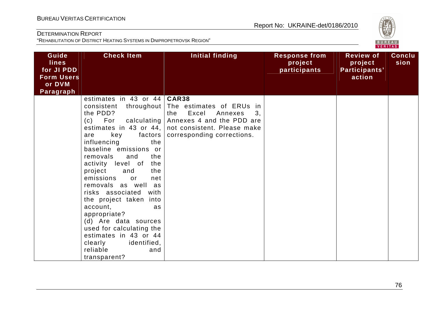

| Guide<br><b>lines</b><br>for JI PDD<br><b>Form Users</b><br>or DVM | <b>Check Item</b>                                                                                                                                                                                                                                                                                                                                                                                                                                                                                                                                                                 | <b>Initial finding</b>                                                                                                                              | <b>Response from</b><br>project<br>participants | <b>Review of</b><br>project<br>Participants'<br>action | <b>Conclu</b><br>sion |
|--------------------------------------------------------------------|-----------------------------------------------------------------------------------------------------------------------------------------------------------------------------------------------------------------------------------------------------------------------------------------------------------------------------------------------------------------------------------------------------------------------------------------------------------------------------------------------------------------------------------------------------------------------------------|-----------------------------------------------------------------------------------------------------------------------------------------------------|-------------------------------------------------|--------------------------------------------------------|-----------------------|
| Paragraph                                                          | estimates in 43 or $44   \text{CAR}38$<br>throughout<br>consistent<br>the PDD?<br>$(c)$ For<br>calculating  <br>estimates in 43 or 44, $ $<br>key<br>factors<br>are<br>influencing<br>the<br>baseline emissions or<br>removals<br>and<br>the<br>activity level of<br>the<br>project<br>the<br>and<br>emissions<br>or<br>net<br>removals as well as<br>risks associated with<br>the project taken into<br>account,<br>as<br>appropriate?<br>(d) Are data sources<br>used for calculating the<br>estimates in 43 or 44<br>clearly<br>identified,<br>reliable<br>and<br>transparent? | The estimates of ERUs in<br>Excel<br>Annexes<br>the<br>3,<br>Annexes 4 and the PDD are<br>not consistent. Please make<br>corresponding corrections. |                                                 |                                                        |                       |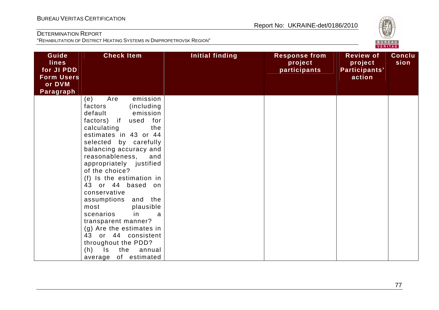

| Guide<br><b>lines</b><br>for JI PDD<br><b>Form Users</b><br>or DVM<br><b>Paragraph</b> | <b>Check Item</b>                                                                                                                                                                                                                                                                                                                                                                                                                                                                                                                                                      | Initial finding | <b>Response from</b><br>project<br>participants | <b>Review of</b><br>project<br>Participants'<br>action | <b>Conclu</b><br>sion |
|----------------------------------------------------------------------------------------|------------------------------------------------------------------------------------------------------------------------------------------------------------------------------------------------------------------------------------------------------------------------------------------------------------------------------------------------------------------------------------------------------------------------------------------------------------------------------------------------------------------------------------------------------------------------|-----------------|-------------------------------------------------|--------------------------------------------------------|-----------------------|
|                                                                                        | emission<br>Are<br>(e)<br>(including)<br>factors<br>default<br>emission<br>factors) if used for<br>calculating<br>the<br>estimates in 43 or 44<br>selected by carefully<br>balancing accuracy and<br>reasonableness,<br>and<br>appropriately justified<br>of the choice?<br>(f) Is the estimation in<br>43 or 44 based on<br>conservative<br>assumptions and the<br>plausible<br>most<br>scenarios<br>in<br>a<br>transparent manner?<br>(g) Are the estimates in<br>43 or 44 consistent<br>throughout the PDD?<br>$(h)$ Is<br>the<br>annual<br>of estimated<br>average |                 |                                                 |                                                        |                       |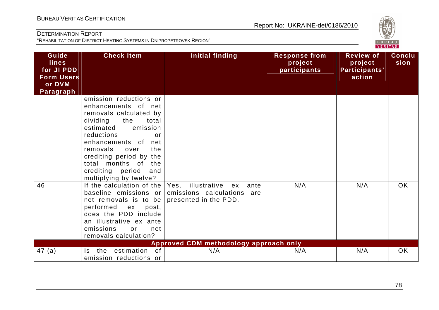# Report No: UKRAINE-det/0186/2010

# DETERMINATION REPORT

BUREAU <sup>V</sup>ERITAS <sup>C</sup>ERTIFICATION

| Guide<br><b>lines</b><br>for JI PDD<br><b>Form Users</b><br>or DVM<br>Paragraph | <b>Check Item</b>                                                                                                                                                                                                                                                                                                       | <b>Initial finding</b>                                                                    | <b>Response from</b><br>project<br>participants | <b>Review of</b><br>project<br>Participants'<br>action | <b>Conclu</b><br>sion |  |
|---------------------------------------------------------------------------------|-------------------------------------------------------------------------------------------------------------------------------------------------------------------------------------------------------------------------------------------------------------------------------------------------------------------------|-------------------------------------------------------------------------------------------|-------------------------------------------------|--------------------------------------------------------|-----------------------|--|
|                                                                                 | emission reductions or<br>enhancements of net<br>removals calculated by<br>dividing<br>the<br>total<br>estimated<br>emission<br>reductions<br>$\alpha$ r<br>enhancements of net<br>removals<br>the<br>over<br>crediting period by the<br>months of<br>the<br>total<br>crediting period<br>and<br>multiplying by twelve? |                                                                                           |                                                 |                                                        |                       |  |
| 46                                                                              | If the calculation of the<br>baseline emissions or<br>net removals is to be<br>performed ex<br>post,<br>does the PDD include<br>an illustrative ex ante<br>emissions<br>or<br>net<br>removals calculation?                                                                                                              | Yes, illustrative<br>ante<br>ex<br>emissions calculations<br>are<br>presented in the PDD. | N/A                                             | N/A                                                    | <b>OK</b>             |  |
|                                                                                 |                                                                                                                                                                                                                                                                                                                         | Approved CDM methodology approach only                                                    |                                                 |                                                        |                       |  |
| 47 (a)                                                                          | estimation<br><b>of</b><br>the<br>Is.<br>emission reductions or                                                                                                                                                                                                                                                         | N/A                                                                                       | N/A                                             | N/A                                                    | <b>OK</b>             |  |

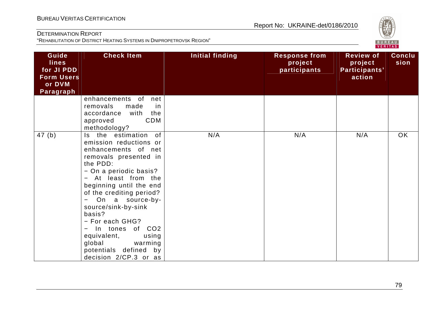

| Guide<br><b>lines</b><br>for JI PDD<br><b>Form Users</b><br>or DVM<br>Paragraph | <b>Check Item</b>                                                                                                                                                                                                                                                                                                                                                                                                 | <b>Initial finding</b> | <b>Response from</b><br>project<br>participants | <b>Review of</b><br>project<br>Participants'<br>action | <b>Conclu</b><br>sion |
|---------------------------------------------------------------------------------|-------------------------------------------------------------------------------------------------------------------------------------------------------------------------------------------------------------------------------------------------------------------------------------------------------------------------------------------------------------------------------------------------------------------|------------------------|-------------------------------------------------|--------------------------------------------------------|-----------------------|
|                                                                                 | enhancements of<br>net<br>removals<br>made<br>in<br>accordance<br>with<br>the<br><b>CDM</b><br>approved<br>methodology?                                                                                                                                                                                                                                                                                           |                        |                                                 |                                                        |                       |
| 47(b)                                                                           | the estimation of<br>Is.<br>emission reductions or<br>enhancements of net<br>removals presented in<br>the PDD:<br>- On a periodic basis?<br>- At least from the<br>beginning until the end<br>of the crediting period?<br>On a source-by-<br>source/sink-by-sink<br>basis?<br>- For each GHG?<br>- In tones of CO2<br>equivalent,<br>using<br>global<br>warming<br>potentials defined by<br>decision 2/CP.3 or as | N/A                    | N/A                                             | N/A                                                    | OK                    |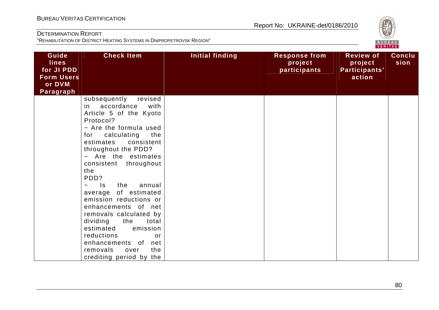

| Guide<br><b>lines</b><br>for JI PDD<br><b>Form Users</b><br>or DVM<br>Paragraph | <b>Check Item</b>                                                                                                                                                                                                                                                                                                                                                                                                                                                                                                                                                               | Initial finding | <b>Response from</b><br>project<br>participants | <b>Review of</b><br>project<br>Participants'<br>action | <b>Conclu</b><br>sion |
|---------------------------------------------------------------------------------|---------------------------------------------------------------------------------------------------------------------------------------------------------------------------------------------------------------------------------------------------------------------------------------------------------------------------------------------------------------------------------------------------------------------------------------------------------------------------------------------------------------------------------------------------------------------------------|-----------------|-------------------------------------------------|--------------------------------------------------------|-----------------------|
|                                                                                 | subsequently<br>revised<br>in<br>accordance<br>with<br>Article 5 of the Kyoto<br>Protocol?<br>- Are the formula used<br>for<br>calculating<br>the<br>consistent<br>estimates<br>throughout the PDD?<br>- Are the estimates<br>throughout<br>consistent<br>the<br>PDD?<br>$\equiv$<br>$\mathsf{ls}$<br>the<br>annual<br>average of estimated<br>emission reductions or<br>enhancements of net<br>removals calculated by<br>dividing<br>the<br>total<br>estimated<br>emission<br>reductions<br>or<br>enhancements of<br>net<br>the<br>removals<br>over<br>crediting period by the |                 |                                                 |                                                        |                       |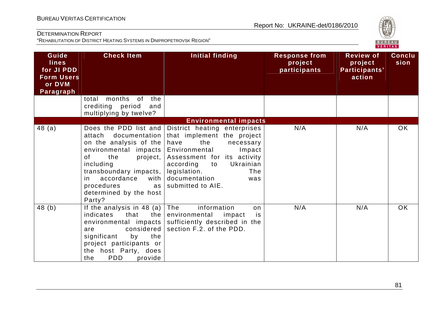

| Guide<br><b>lines</b><br>for JI PDD<br><b>Form Users</b><br>or DVM<br>Paragraph | <b>Check Item</b>                                                                                                                                                                                                                 | Initial finding                                                                                                                                                                                                                                                            | <b>Response from</b><br>project<br>participants | <b>Review of</b><br>project<br>Participants'<br>action | Conclu<br>sion |
|---------------------------------------------------------------------------------|-----------------------------------------------------------------------------------------------------------------------------------------------------------------------------------------------------------------------------------|----------------------------------------------------------------------------------------------------------------------------------------------------------------------------------------------------------------------------------------------------------------------------|-------------------------------------------------|--------------------------------------------------------|----------------|
|                                                                                 | months of<br>the<br>total<br>crediting period<br>and<br>multiplying by twelve?                                                                                                                                                    |                                                                                                                                                                                                                                                                            |                                                 |                                                        |                |
|                                                                                 |                                                                                                                                                                                                                                   | <b>Environmental impacts</b>                                                                                                                                                                                                                                               |                                                 |                                                        |                |
| 48(a)                                                                           | documentation<br>attach<br>on the analysis of the<br>environmental impacts  <br>of<br>the<br>project,<br>including<br>transboundary impacts,<br>accordance<br>with<br>in.<br>procedures<br>as<br>determined by the host<br>Party? | Does the PDD list and District heating enterprises<br>that implement the project<br>the<br>have<br>necessary<br>Environmental<br>Impact<br>Assessment for its activity<br>Ukrainian<br>according<br>to<br>legislation.<br>The<br>documentation<br>was<br>submitted to AIE. | N/A                                             | N/A                                                    | OK             |
| 48(b)                                                                           | If the analysis in 48 (a) $\vert$<br>indicates<br>the $ $<br>that<br>environmental impacts<br>considered<br>are<br>significant<br>by<br>the<br>project participants or<br>the host Party, does<br><b>PDD</b><br>provide<br>the    | information<br>The<br>on<br>environmental<br>impact<br>is<br>sufficiently described in the<br>section F.2. of the PDD.                                                                                                                                                     | N/A                                             | N/A                                                    | <b>OK</b>      |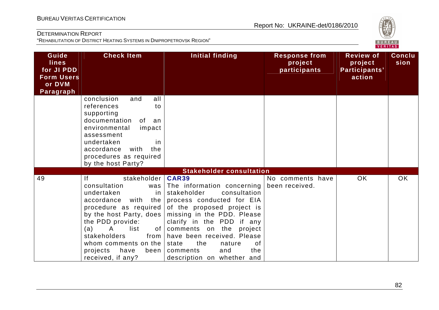

| Guide<br><b>lines</b><br>for JI PDD<br><b>Form Users</b><br>or DVM<br>Paragraph | <b>Check Item</b>                                                                                                                                                                                                                                                                                               | <b>Initial finding</b>                                                                                                                                                                                                                                                                                                                              | <b>Response from</b><br>project<br>participants | <b>Review of</b><br>project<br>Participants'<br>action | <b>Conclu</b><br>sion |
|---------------------------------------------------------------------------------|-----------------------------------------------------------------------------------------------------------------------------------------------------------------------------------------------------------------------------------------------------------------------------------------------------------------|-----------------------------------------------------------------------------------------------------------------------------------------------------------------------------------------------------------------------------------------------------------------------------------------------------------------------------------------------------|-------------------------------------------------|--------------------------------------------------------|-----------------------|
|                                                                                 | conclusion<br>and<br>all<br>references<br>to<br>supporting<br>documentation<br>of<br>an<br>environmental<br>impact<br>assessment<br>undertaken<br><i>in</i><br>accordance<br>with<br>the<br>procedures as required<br>by the host Party?                                                                        |                                                                                                                                                                                                                                                                                                                                                     |                                                 |                                                        |                       |
|                                                                                 |                                                                                                                                                                                                                                                                                                                 | <b>Stakeholder consultation</b>                                                                                                                                                                                                                                                                                                                     |                                                 |                                                        |                       |
| 49                                                                              | stakeholder<br><u>If</u><br>consultation<br>was<br>undertaken<br>in.<br>accordance<br>with<br>the<br>procedure as required<br>by the host Party, does<br>the PDD provide:<br>$\mathsf{A}$<br>list<br>(a)<br>0f<br>stakeholders<br>from<br>whom comments on the<br>projects<br>have<br>been<br>received, if any? | <b>CAR39</b><br>The information concerning<br>stakeholder<br>consultation<br>process conducted for EIA<br>of the proposed project is<br>missing in the PDD. Please<br>clarify in the PDD if any<br>comments on the<br>project<br>have been received. Please<br>state<br>the<br>of<br>nature<br>and<br>the<br>comments<br>description on whether and | No comments have<br>been received.              | OK                                                     | <b>OK</b>             |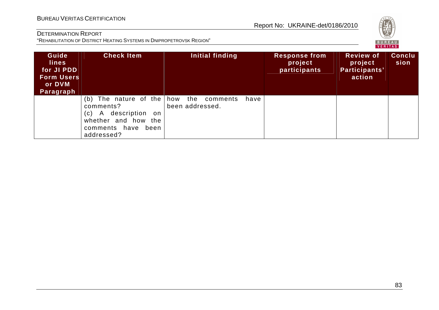

| Guide<br><b>lines</b><br>for JI PDD<br><b>Form Users</b><br>or DVM<br>Paragraph | <b>Check Item</b>                                                                                                                             | Initial finding                     | <b>Response from</b><br>project<br>participants | <b>Review of</b><br>project<br>Participants'<br>action | <b>Conclu</b><br>sion |
|---------------------------------------------------------------------------------|-----------------------------------------------------------------------------------------------------------------------------------------------|-------------------------------------|-------------------------------------------------|--------------------------------------------------------|-----------------------|
|                                                                                 | The nature of the how the<br>(b)<br>comments?<br>A description<br>on.<br>(C)<br>whether and how<br>the<br>comments have<br>been<br>addressed? | comments<br>have<br>been addressed. |                                                 |                                                        |                       |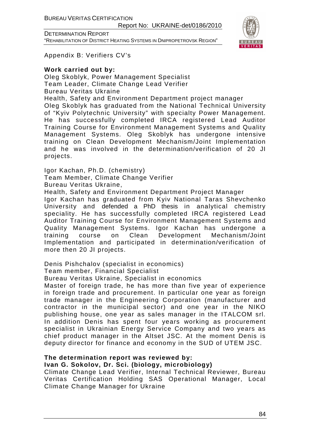BUREAU VERITAS CERTIFICATION

Report No: UKRAINE-det/0186/2010

DETERMINATION REPORT "REHABILITATION OF DISTRICT HEATING SYSTEMS IN DNIPROPETROVSK REGION"



Appendix B: Verifiers CV's

### **Work carried out by:**

Oleg Skoblyk, Power Management Specialist Team Leader, Climate Change Lead Verifier Bureau Veritas Ukraine Health, Safety and Environment Department project manager Oleg Skoblyk has graduated from the National Technical University of "Kyiv Polytechnic University" with specialty Power Management. He has successfully completed IRCA registered Lead Auditor Training Course for Environment Management Systems and Quality Management Systems. Oleg Skoblyk has undergone intensive training on Clean Development Mechanism/Joint Implementation and he was involved in the determination/verification of 20 JI projects.

Igor Kachan, Ph.D. (chemistry)

Team Member, Climate Change Verifier

Bureau Veritas Ukraine,

Health, Safety and Environment Department Project Manager Igor Kachan has graduated from Kyiv National Taras Shevchenko University and defended a PhD thesis in analytical chemistry speciality. He has successfully completed IRCA registered Lead Auditor Training Course for Environment Management Systems and Quality Management Systems. Igor Kachan has undergone a training course on Clean Development Mechanism/Joint Implementation and participated in determination/verification of more then 20 JI projects.

Denis Pishchalov (specialist in economics) Team member, Financial Specialist

Bureau Veritas Ukraine, Specialist in economics

Master of foreign trade, he has more than five year of experience in foreign trade and procurement. In particular one year as foreign trade manager in the Engineering Corporation (manufacturer and contractor in the municipal sector) and one year in the NIKO publishing house, one year as sales manager in the ITALCOM srl. In addition Denis has spent four years working as procurement specialist in Ukrainian Energy Service Company and two years as chief product manager in the Altset JSC. At the moment Denis is deputy director for finance and economy in the SUD of UTEM JSC.

# **The determination report was reviewed by:**

# **Ivan G. Sokolov, Dr. Sci. (biology, microbiology)**

Climate Change Lead Verifier, Internal Technical Reviewer, Bureau Veritas Certification Holding SAS Operational Manager, Local Climate Change Manager for Ukraine